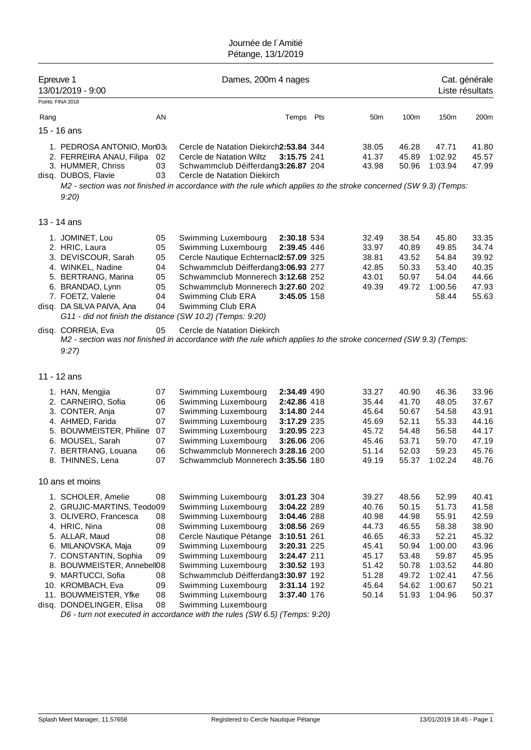| Epreuve 1 | 13/01/2019 - 9:00                                                                                                                                                                                                                       |                                              | Dames, 200m 4 nages                                                                                                                                                                                                                                         |                                                                                                                                     |                                                                                        |                                                                                        |                                                                                                | Cat. générale<br>Liste résultats                                                       |
|-----------|-----------------------------------------------------------------------------------------------------------------------------------------------------------------------------------------------------------------------------------------|----------------------------------------------|-------------------------------------------------------------------------------------------------------------------------------------------------------------------------------------------------------------------------------------------------------------|-------------------------------------------------------------------------------------------------------------------------------------|----------------------------------------------------------------------------------------|----------------------------------------------------------------------------------------|------------------------------------------------------------------------------------------------|----------------------------------------------------------------------------------------|
|           | Points: FINA 2018                                                                                                                                                                                                                       |                                              |                                                                                                                                                                                                                                                             |                                                                                                                                     |                                                                                        |                                                                                        |                                                                                                |                                                                                        |
| Rang      |                                                                                                                                                                                                                                         | AN                                           |                                                                                                                                                                                                                                                             | Temps Pts                                                                                                                           | 50 <sub>m</sub>                                                                        | 100m                                                                                   | 150m                                                                                           | 200m                                                                                   |
|           | 15 - 16 ans                                                                                                                                                                                                                             |                                              |                                                                                                                                                                                                                                                             |                                                                                                                                     |                                                                                        |                                                                                        |                                                                                                |                                                                                        |
|           | 1. PEDROSA ANTONIO, Mon03<br>2. FERREIRA ANAU, Filipa<br>3. HUMMER, Chriss<br>disq. DUBOS, Flavie<br>9:20                                                                                                                               | 02<br>03<br>03                               | Cercle de Natation Diekirch2:53.84 344<br>Cercle de Natation Wiltz<br>Schwammclub Déifferdang3:26.87 204<br>Cercle de Natation Diekirch<br>M2 - section was not finished in accordance with the rule which applies to the stroke concerned (SW 9.3) (Temps: | 3:15.75 241                                                                                                                         | 38.05<br>41.37<br>43.98                                                                | 46.28<br>45.89<br>50.96                                                                | 47.71<br>1:02.92<br>1:03.94                                                                    | 41.80<br>45.57<br>47.99                                                                |
|           | 13 - 14 ans                                                                                                                                                                                                                             |                                              |                                                                                                                                                                                                                                                             |                                                                                                                                     |                                                                                        |                                                                                        |                                                                                                |                                                                                        |
|           | 1. JOMINET, Lou<br>2. HRIC, Laura<br>3. DEVISCOUR, Sarah<br>4. WINKEL, Nadine<br>5. BERTRANG, Marina<br>6. BRANDAO, Lynn<br>7. FOETZ, Valerie<br>disq. DA SILVA PAIVA, Ana<br>G11 - did not finish the distance (SW 10.2) (Temps: 9:20) | 05<br>05<br>05<br>04<br>05<br>05<br>04<br>04 | Swimming Luxembourg<br>Swimming Luxembourg<br>Cercle Nautique Echternacl2:57.09 325<br>Schwammclub Déifferdang3:06.93 277<br>Schwammclub Monnerech 3:12.68 252<br>Schwammclub Monnerech 3:27.60 202<br>Swimming Club ERA<br>Swimming Club ERA               | 2:30.18 534<br>2:39.45 446<br>3:45.05 158                                                                                           | 32.49<br>33.97<br>38.81<br>42.85<br>43.01<br>49.39                                     | 38.54<br>40.89<br>43.52<br>50.33<br>50.97<br>49.72                                     | 45.80<br>49.85<br>54.84<br>53.40<br>54.04<br>1:00.56<br>58.44                                  | 33.35<br>34.74<br>39.92<br>40.35<br>44.66<br>47.93<br>55.63                            |
|           | disq. CORREIA, Eva<br>9:27                                                                                                                                                                                                              | 05                                           | Cercle de Natation Diekirch<br>M2 - section was not finished in accordance with the rule which applies to the stroke concerned (SW 9.3) (Temps:                                                                                                             |                                                                                                                                     |                                                                                        |                                                                                        |                                                                                                |                                                                                        |
|           | 11 - 12 ans                                                                                                                                                                                                                             |                                              |                                                                                                                                                                                                                                                             |                                                                                                                                     |                                                                                        |                                                                                        |                                                                                                |                                                                                        |
|           | 1. HAN, Mengjia<br>2. CARNEIRO, Sofia<br>3. CONTER, Anja<br>4. AHMED, Farida<br>5. BOUWMEISTER, Philine<br>6. MOUSEL, Sarah<br>7. BERTRANG, Louana<br>8. THINNES, Lena                                                                  | 07<br>06<br>07<br>07<br>07<br>07<br>06<br>07 | Swimming Luxembourg<br>Swimming Luxembourg<br>Swimming Luxembourg<br>Swimming Luxembourg<br>Swimming Luxembourg<br>Swimming Luxembourg<br>Schwammclub Monnerech 3:28.16 200<br>Schwammclub Monnerech 3:35.56 180                                            | 2:34.49 490<br>2:42.86 418<br>3:14.80 244<br>3:17.29 235<br>3:20.95 223<br>3:26.06 206                                              | 33.27<br>35.44<br>45.64<br>45.69<br>45.72<br>45.46<br>51.14<br>49.19                   | 40.90<br>41.70<br>50.67<br>52.11<br>54.48<br>53.71<br>52.03<br>55.37                   | 46.36<br>48.05<br>54.58<br>55.33<br>56.58<br>59.70<br>59.23<br>1:02.24                         | 33.96<br>37.67<br>43.91<br>44.16<br>44.17<br>47.19<br>45.76<br>48.76                   |
|           | 10 ans et moins                                                                                                                                                                                                                         |                                              |                                                                                                                                                                                                                                                             |                                                                                                                                     |                                                                                        |                                                                                        |                                                                                                |                                                                                        |
|           | 1. SCHOLER, Amelie<br>2. GRUJIC-MARTINS, Teodo09<br>3. OLIVERO, Francesca<br>4. HRIC, Nina<br>5. ALLAR, Maud<br>6. MILANOVSKA, Maja<br>7. CONSTANTIN, Sophia<br>8. BOUWMEISTER, Annebell08<br>9. MARTUCCI, Sofia<br>10. KROMBACH, Eva   | 08<br>08<br>08<br>08<br>09<br>09<br>08<br>09 | Swimming Luxembourg<br>Swimming Luxembourg<br>Swimming Luxembourg<br>Swimming Luxembourg<br>Cercle Nautique Pétange<br>Swimming Luxembourg<br>Swimming Luxembourg<br>Swimming Luxembourg<br>Schwammclub Déifferdang3:30.97 192<br>Swimming Luxembourg       | 3:01.23 304<br>3:04.22 289<br>3:04.46 288<br>3:08.56 269<br>3:10.51 261<br>3:20.31 225<br>3:24.47 211<br>3:30.52 193<br>3:31.14 192 | 39.27<br>40.76<br>40.98<br>44.73<br>46.65<br>45.41<br>45.17<br>51.42<br>51.28<br>45.64 | 48.56<br>50.15<br>44.98<br>46.55<br>46.33<br>50.94<br>53.48<br>50.78<br>49.72<br>54.62 | 52.99<br>51.73<br>55.91<br>58.38<br>52.21<br>1:00.00<br>59.87<br>1:03.52<br>1:02.41<br>1:00.67 | 40.41<br>41.58<br>42.59<br>38.90<br>45.32<br>43.96<br>45.95<br>44.80<br>47.56<br>50.21 |
|           | 11. BOUWMEISTER, Yfke<br>disq. DONDELINGER, Elisa                                                                                                                                                                                       | 08<br>08                                     | Swimming Luxembourg<br>Swimming Luxembourg                                                                                                                                                                                                                  | 3:37.40 176                                                                                                                         | 50.14                                                                                  | 51.93                                                                                  | 1:04.96                                                                                        | 50.37                                                                                  |

*D6 - turn not executed in accordance with the rules (SW 6.5) (Temps: 9:20)*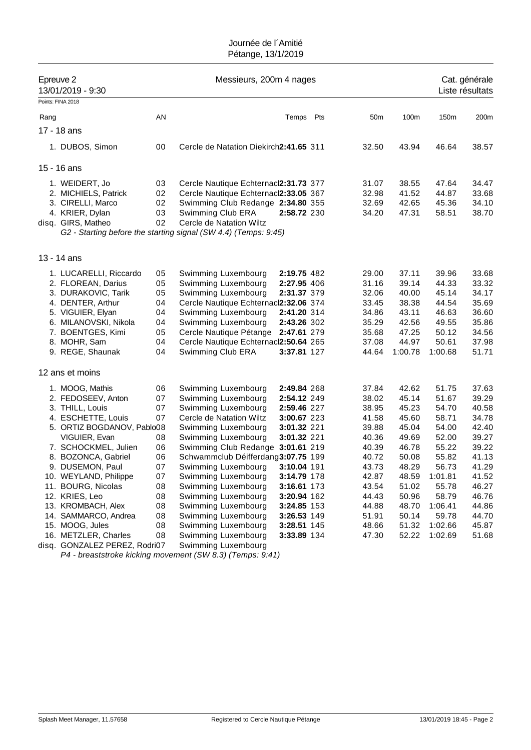| Epreuve 2 | 13/01/2019 - 9:30<br>Points: FINA 2018 |    | Messieurs, 200m 4 nages                                         |             |                 |         |         | Cat. générale<br>Liste résultats |
|-----------|----------------------------------------|----|-----------------------------------------------------------------|-------------|-----------------|---------|---------|----------------------------------|
|           |                                        |    |                                                                 |             |                 |         |         |                                  |
| Rang      |                                        | AN |                                                                 | Temps Pts   | 50 <sub>m</sub> | 100m    | 150m    | 200m                             |
|           | 17 - 18 ans                            |    |                                                                 |             |                 |         |         |                                  |
|           | 1. DUBOS, Simon                        | 00 | Cercle de Natation Diekirch2:41.65 311                          |             | 32.50           | 43.94   | 46.64   | 38.57                            |
|           | 15 - 16 ans                            |    |                                                                 |             |                 |         |         |                                  |
|           | 1. WEIDERT, Jo                         | 03 | Cercle Nautique Echternacl2:31.73 377                           |             | 31.07           | 38.55   | 47.64   | 34.47                            |
|           | 2. MICHIELS, Patrick                   | 02 | Cercle Nautique Echternacl2:33.05 367                           |             | 32.98           | 41.52   | 44.87   | 33.68                            |
|           | 3. CIRELLI, Marco                      | 02 | Swimming Club Redange 2:34.80 355                               |             | 32.69           | 42.65   | 45.36   | 34.10                            |
|           | 4. KRIER, Dylan                        | 03 | Swimming Club ERA                                               | 2:58.72 230 | 34.20           | 47.31   | 58.51   | 38.70                            |
|           | disq. GIRS, Matheo                     | 02 | Cercle de Natation Wiltz                                        |             |                 |         |         |                                  |
|           |                                        |    | G2 - Starting before the starting signal (SW 4.4) (Temps: 9:45) |             |                 |         |         |                                  |
|           |                                        |    |                                                                 |             |                 |         |         |                                  |
|           | 13 - 14 ans                            |    |                                                                 |             |                 |         |         |                                  |
|           | 1. LUCARELLI, Riccardo                 | 05 | Swimming Luxembourg                                             | 2:19.75 482 | 29.00           | 37.11   | 39.96   | 33.68                            |
|           | 2. FLOREAN, Darius                     | 05 | Swimming Luxembourg                                             | 2:27.95 406 | 31.16           | 39.14   | 44.33   | 33.32                            |
|           | 3. DURAKOVIC, Tarik                    | 05 | Swimming Luxembourg                                             | 2:31.37 379 | 32.06           | 40.00   | 45.14   | 34.17                            |
|           | 4. DENTER, Arthur                      | 04 | Cercle Nautique Echternacl2:32.06 374                           |             | 33.45           | 38.38   | 44.54   | 35.69                            |
|           | 5. VIGUIER, Elyan                      | 04 | Swimming Luxembourg                                             | 2:41.20 314 | 34.86           | 43.11   | 46.63   | 36.60                            |
|           | 6. MILANOVSKI, Nikola                  | 04 | Swimming Luxembourg                                             | 2:43.26 302 | 35.29           | 42.56   | 49.55   | 35.86                            |
|           | 7. BOENTGES, Kimi                      | 05 | Cercle Nautique Pétange                                         | 2:47.61 279 | 35.68           | 47.25   | 50.12   | 34.56                            |
|           | 8. MOHR, Sam                           | 04 | Cercle Nautique Echternacl2:50.64 265                           |             | 37.08           | 44.97   | 50.61   | 37.98                            |
|           | 9. REGE, Shaunak                       | 04 | Swimming Club ERA                                               | 3:37.81 127 | 44.64           | 1:00.78 | 1:00.68 | 51.71                            |
|           | 12 ans et moins                        |    |                                                                 |             |                 |         |         |                                  |
|           |                                        |    |                                                                 |             |                 |         |         |                                  |
|           | 1. MOOG, Mathis                        | 06 | Swimming Luxembourg                                             | 2:49.84 268 | 37.84           | 42.62   | 51.75   | 37.63                            |
|           | 2. FEDOSEEV, Anton                     | 07 | Swimming Luxembourg                                             | 2:54.12 249 | 38.02           | 45.14   | 51.67   | 39.29                            |
|           | 3. THILL, Louis                        | 07 | Swimming Luxembourg                                             | 2:59.46 227 | 38.95           | 45.23   | 54.70   | 40.58                            |
|           | 4. ESCHETTE, Louis                     | 07 | Cercle de Natation Wiltz                                        | 3:00.67 223 | 41.58           | 45.60   | 58.71   | 34.78                            |
|           | 5. ORTIZ BOGDANOV, Pablo08             |    | Swimming Luxembourg                                             | 3:01.32 221 | 39.88           | 45.04   | 54.00   | 42.40                            |
|           | VIGUIER, Evan                          | 08 | Swimming Luxembourg                                             | 3:01.32 221 | 40.36           | 49.69   | 52.00   | 39.27                            |
|           | 7. SCHOCKMEL, Julien                   | 06 | Swimming Club Redange 3:01.61 219                               |             | 40.39           | 46.78   | 55.22   | 39.22                            |
|           | 8. BOZONCA, Gabriel                    | 06 | Schwammclub Déifferdang3:07.75 199                              |             | 40.72           | 50.08   | 55.82   | 41.13                            |
|           | 9. DUSEMON, Paul                       | 07 | Swimming Luxembourg                                             | 3:10.04 191 | 43.73           | 48.29   | 56.73   | 41.29                            |
|           | 10. WEYLAND, Philippe                  | 07 | Swimming Luxembourg                                             | 3:14.79 178 | 42.87           | 48.59   | 1:01.81 | 41.52                            |
|           | 11. BOURG, Nicolas                     | 08 | Swimming Luxembourg                                             | 3:16.61 173 | 43.54           | 51.02   | 55.78   | 46.27                            |
|           | 12. KRIES, Leo                         | 08 | Swimming Luxembourg                                             | 3:20.94 162 | 44.43           | 50.96   | 58.79   | 46.76                            |
|           | 13. KROMBACH, Alex                     | 08 | Swimming Luxembourg                                             | 3:24.85 153 | 44.88           | 48.70   | 1:06.41 | 44.86                            |
|           | 14. SAMMARCO, Andrea                   | 08 | Swimming Luxembourg                                             | 3:26.53 149 | 51.91           | 50.14   | 59.78   | 44.70                            |
|           | 15. MOOG, Jules                        | 08 | Swimming Luxembourg                                             | 3:28.51 145 | 48.66           | 51.32   | 1:02.66 | 45.87                            |
|           | 16. METZLER, Charles                   | 08 | Swimming Luxembourg                                             | 3:33.89 134 | 47.30           | 52.22   | 1:02.69 | 51.68                            |
|           | disq. GONZALEZ PEREZ, Rodri07          |    | Swimming Luxembourg                                             |             |                 |         |         |                                  |

*P4 - breaststroke kicking movement (SW 8.3) (Temps: 9:41)*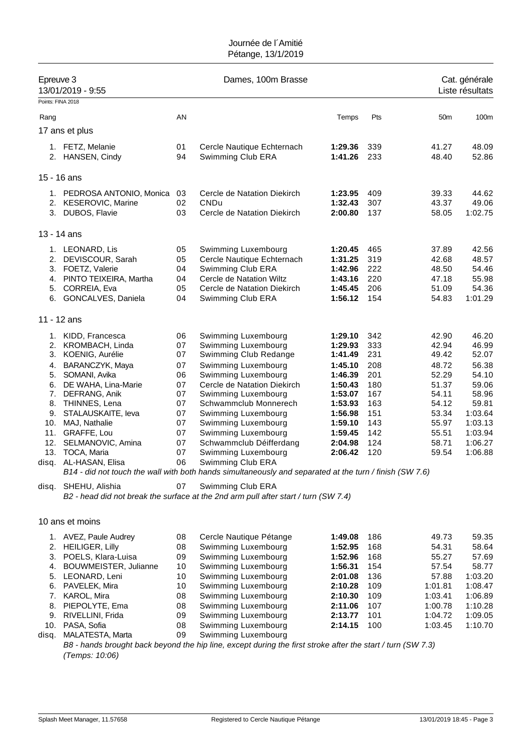| Epreuve 3 | 13/01/2019 - 9:55<br>Points: FINA 2018 |          | Dames, 100m Brasse                                                                                       |                    |            |                 | Cat. générale<br>Liste résultats |
|-----------|----------------------------------------|----------|----------------------------------------------------------------------------------------------------------|--------------------|------------|-----------------|----------------------------------|
| Rang      |                                        | AN       |                                                                                                          | Temps              | Pts        | 50 <sub>m</sub> | 100m                             |
|           | 17 ans et plus                         |          |                                                                                                          |                    |            |                 |                                  |
|           |                                        |          |                                                                                                          |                    |            |                 |                                  |
|           | 1. FETZ, Melanie<br>2. HANSEN, Cindy   | 01<br>94 | Cercle Nautique Echternach<br>Swimming Club ERA                                                          | 1:29.36<br>1:41.26 | 339<br>233 | 41.27<br>48.40  | 48.09<br>52.86                   |
|           |                                        |          |                                                                                                          |                    |            |                 |                                  |
|           | 15 - 16 ans                            |          |                                                                                                          |                    |            |                 |                                  |
|           | 1. PEDROSA ANTONIO, Monica             | 03       | Cercle de Natation Diekirch                                                                              | 1:23.95            | 409        | 39.33           | 44.62                            |
|           | 2. KESEROVIC, Marine                   | 02       | CNDu                                                                                                     | 1:32.43            | 307        | 43.37           | 49.06                            |
|           | 3. DUBOS, Flavie                       | 03       | Cercle de Natation Diekirch                                                                              | 2:00.80            | 137        | 58.05           | 1:02.75                          |
|           | 13 - 14 ans                            |          |                                                                                                          |                    |            |                 |                                  |
|           | 1. LEONARD, Lis                        | 05       | Swimming Luxembourg                                                                                      | 1:20.45            | 465        | 37.89           | 42.56                            |
| 2.        | DEVISCOUR, Sarah                       | 05       | Cercle Nautique Echternach                                                                               | 1:31.25            | 319        | 42.68           | 48.57                            |
|           | 3. FOETZ, Valerie                      | 04       | Swimming Club ERA                                                                                        | 1:42.96            | 222        | 48.50           | 54.46                            |
|           | 4. PINTO TEIXEIRA, Martha              | 04       | Cercle de Natation Wiltz                                                                                 | 1:43.16            | 220        | 47.18           | 55.98                            |
| 5.        | CORREIA, Eva                           | 05       | Cercle de Natation Diekirch                                                                              | 1:45.45            | 206        | 51.09           | 54.36                            |
| 6.        | GONCALVES, Daniela                     | 04       | Swimming Club ERA                                                                                        | 1:56.12            | 154        | 54.83           | 1:01.29                          |
|           | 11 - 12 ans                            |          |                                                                                                          |                    |            |                 |                                  |
|           | 1. KIDD, Francesca                     | 06       | Swimming Luxembourg                                                                                      | 1:29.10            | 342        | 42.90           | 46.20                            |
|           | 2. KROMBACH, Linda                     | 07       | Swimming Luxembourg                                                                                      | 1:29.93            | 333        | 42.94           | 46.99                            |
| 3.        | KOENIG, Aurélie                        | 07       | Swimming Club Redange                                                                                    | 1:41.49            | 231        | 49.42           | 52.07                            |
| 4.        | BARANCZYK, Maya                        | 07       | Swimming Luxembourg                                                                                      | 1:45.10            | 208        | 48.72           | 56.38                            |
| 5.        | SOMANI, Avika                          | 06       | Swimming Luxembourg                                                                                      | 1:46.39            | 201        | 52.29           | 54.10                            |
| 6.        | DE WAHA, Lina-Marie                    | 07       | Cercle de Natation Diekirch                                                                              | 1:50.43            | 180        | 51.37           | 59.06                            |
| 7.        | DEFRANG, Anik                          | 07       | Swimming Luxembourg                                                                                      | 1:53.07            | 167        | 54.11           | 58.96                            |
| 8.<br>9.  | THINNES, Lena<br>STALAUSKAITE, leva    | 07<br>07 | Schwammclub Monnerech                                                                                    | 1:53.93            | 163<br>151 | 54.12           | 59.81<br>1:03.64                 |
| 10.       | MAJ, Nathalie                          | 07       | Swimming Luxembourg<br>Swimming Luxembourg                                                               | 1:56.98<br>1:59.10 | 143        | 53.34<br>55.97  | 1:03.13                          |
| 11.       | GRAFFE, Lou                            | 07       | Swimming Luxembourg                                                                                      | 1:59.45            | 142        | 55.51           | 1:03.94                          |
| 12.       | SELMANOVIC, Amina                      | 07       | Schwammclub Déifferdang                                                                                  | 2:04.98            | 124        | 58.71           | 1:06.27                          |
| 13.       | TOCA, Maria                            | 07       | Swimming Luxembourg                                                                                      | 2:06.42            | 120        | 59.54           | 1:06.88                          |
| disq.     | AL-HASAN, Elisa                        | 06       | Swimming Club ERA                                                                                        |                    |            |                 |                                  |
|           |                                        |          | B14 - did not touch the wall with both hands simultaneously and separated at the turn / finish (SW 7.6)  |                    |            |                 |                                  |
| disq.     | SHEHU, Alishia                         | 07       | Swimming Club ERA<br>B2 - head did not break the surface at the 2nd arm pull after start / turn (SW 7.4) |                    |            |                 |                                  |
|           | 10 ans et moins                        |          |                                                                                                          |                    |            |                 |                                  |
|           | 1. AVEZ, Paule Audrey                  | 08       | Cercle Nautique Pétange                                                                                  | 1:49.08            | 186        | 49.73           | 59.35                            |
|           | 2. HEILIGER, Lilly                     | 08       | Swimming Luxembourg                                                                                      | 1:52.95            | 168        | 54.31           | 58.64                            |
|           | 3. POELS, Klara-Luisa                  | 09       | Swimming Luxembourg                                                                                      | 1:52.96            | 168        | 55.27           | 57.69                            |

| 3. POELS, Klara-Luisa    | 09 | Swimming Luxembourg | 1:52.96 168 |       | 55.27   | 57.69   |
|--------------------------|----|---------------------|-------------|-------|---------|---------|
| 4. BOUWMEISTER, Julianne | 10 | Swimming Luxembourg | 1:56.31     | - 154 | 57.54   | 58.77   |
| 5. LEONARD, Leni         | 10 | Swimming Luxembourg | 2:01.08     | 136   | 57.88   | 1:03.20 |
| 6. PAVELEK, Mira         | 10 | Swimming Luxembourg | 2:10.28     | 109   | 1:01.81 | 1:08.47 |
| 7. KAROL, Mira           | 08 | Swimming Luxembourg | 2:10.30     | 109   | 1:03.41 | 1:06.89 |
| 8. PIEPOLYTE, Ema        | 08 | Swimming Luxembourg | 2:11.06     | 107   | 1:00.78 | 1:10.28 |
| 9. RIVELLINI, Frida      | 09 | Swimming Luxembourg | 2:13.77     | 101   | 1:04.72 | 1:09.05 |
| 10. PASA, Sofia          | 08 | Swimming Luxembourg | 2:14.15     | - 100 | 1:03.45 | 1:10.70 |
| disq. MALATESTA, Marta   | 09 | Swimming Luxembourg |             |       |         |         |

*B8 - hands brought back beyond the hip line, except during the first stroke after the start / turn (SW 7.3) (Temps: 10:06)*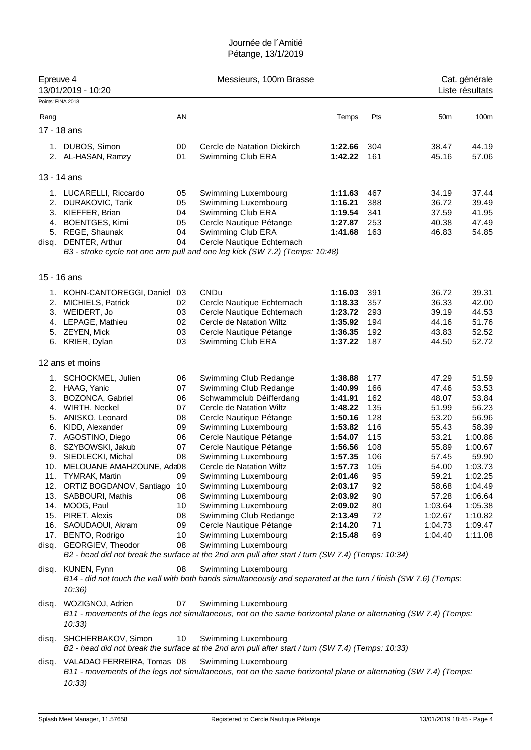| Epreuve 4<br>Points: FINA 2018 | 13/01/2019 - 10:20                                                                                                                                                                                                                                                                                                                                                                                                          |                                                                                              | Messieurs, 100m Brasse                                                                                                                                                                                                                                                                                                                                                                                                                                                                                                                                               |                                                                                                                                                                                         |                                                                                                              |                                                                                                                                                               | Cat. générale<br>Liste résultats                                                                                                                                          |
|--------------------------------|-----------------------------------------------------------------------------------------------------------------------------------------------------------------------------------------------------------------------------------------------------------------------------------------------------------------------------------------------------------------------------------------------------------------------------|----------------------------------------------------------------------------------------------|----------------------------------------------------------------------------------------------------------------------------------------------------------------------------------------------------------------------------------------------------------------------------------------------------------------------------------------------------------------------------------------------------------------------------------------------------------------------------------------------------------------------------------------------------------------------|-----------------------------------------------------------------------------------------------------------------------------------------------------------------------------------------|--------------------------------------------------------------------------------------------------------------|---------------------------------------------------------------------------------------------------------------------------------------------------------------|---------------------------------------------------------------------------------------------------------------------------------------------------------------------------|
|                                |                                                                                                                                                                                                                                                                                                                                                                                                                             | AN                                                                                           |                                                                                                                                                                                                                                                                                                                                                                                                                                                                                                                                                                      | Temps                                                                                                                                                                                   | Pts                                                                                                          | 50 <sub>m</sub>                                                                                                                                               | 100m                                                                                                                                                                      |
| Rang                           |                                                                                                                                                                                                                                                                                                                                                                                                                             |                                                                                              |                                                                                                                                                                                                                                                                                                                                                                                                                                                                                                                                                                      |                                                                                                                                                                                         |                                                                                                              |                                                                                                                                                               |                                                                                                                                                                           |
|                                | 17 - 18 ans                                                                                                                                                                                                                                                                                                                                                                                                                 |                                                                                              |                                                                                                                                                                                                                                                                                                                                                                                                                                                                                                                                                                      |                                                                                                                                                                                         |                                                                                                              |                                                                                                                                                               |                                                                                                                                                                           |
|                                | 1. DUBOS, Simon<br>2. AL-HASAN, Ramzy                                                                                                                                                                                                                                                                                                                                                                                       | 00<br>01                                                                                     | Cercle de Natation Diekirch<br>Swimming Club ERA                                                                                                                                                                                                                                                                                                                                                                                                                                                                                                                     | 1:22.66<br>1:42.22                                                                                                                                                                      | 304<br>161                                                                                                   | 38.47<br>45.16                                                                                                                                                | 44.19<br>57.06                                                                                                                                                            |
| 13 - 14 ans                    |                                                                                                                                                                                                                                                                                                                                                                                                                             |                                                                                              |                                                                                                                                                                                                                                                                                                                                                                                                                                                                                                                                                                      |                                                                                                                                                                                         |                                                                                                              |                                                                                                                                                               |                                                                                                                                                                           |
| 2.<br>disq.                    | 1. LUCARELLI, Riccardo<br><b>DURAKOVIC, Tarik</b><br>3. KIEFFER, Brian<br>4. BOENTGES, Kimi<br>5. REGE, Shaunak<br>DENTER, Arthur                                                                                                                                                                                                                                                                                           | 05<br>05<br>04<br>05<br>04<br>04                                                             | Swimming Luxembourg<br>Swimming Luxembourg<br>Swimming Club ERA<br>Cercle Nautique Pétange<br>Swimming Club ERA<br>Cercle Nautique Echternach<br>B3 - stroke cycle not one arm pull and one leg kick (SW 7.2) (Temps: 10:48)                                                                                                                                                                                                                                                                                                                                         | 1:11.63<br>1:16.21<br>1:19.54<br>1:27.87<br>1:41.68                                                                                                                                     | 467<br>388<br>341<br>253<br>163                                                                              | 34.19<br>36.72<br>37.59<br>40.38<br>46.83                                                                                                                     | 37.44<br>39.49<br>41.95<br>47.49<br>54.85                                                                                                                                 |
| 15 - 16 ans                    |                                                                                                                                                                                                                                                                                                                                                                                                                             |                                                                                              |                                                                                                                                                                                                                                                                                                                                                                                                                                                                                                                                                                      |                                                                                                                                                                                         |                                                                                                              |                                                                                                                                                               |                                                                                                                                                                           |
| 2.<br>6.                       | 1. KOHN-CANTOREGGI, Daniel<br>MICHIELS, Patrick<br>3. WEIDERT, Jo<br>4. LEPAGE, Mathieu<br>5. ZEYEN, Mick<br>KRIER, Dylan                                                                                                                                                                                                                                                                                                   | 03<br>02<br>03<br>02<br>03<br>03                                                             | CNDu<br>Cercle Nautique Echternach<br>Cercle Nautique Echternach<br>Cercle de Natation Wiltz<br>Cercle Nautique Pétange<br>Swimming Club ERA                                                                                                                                                                                                                                                                                                                                                                                                                         | 1:16.03<br>1:18.33<br>1:23.72<br>1:35.92<br>1:36.35<br>1:37.22                                                                                                                          | 391<br>357<br>293<br>194<br>192<br>187                                                                       | 36.72<br>36.33<br>39.19<br>44.16<br>43.83<br>44.50                                                                                                            | 39.31<br>42.00<br>44.53<br>51.76<br>52.52<br>52.72                                                                                                                        |
|                                | 12 ans et moins                                                                                                                                                                                                                                                                                                                                                                                                             |                                                                                              |                                                                                                                                                                                                                                                                                                                                                                                                                                                                                                                                                                      |                                                                                                                                                                                         |                                                                                                              |                                                                                                                                                               |                                                                                                                                                                           |
| 3.<br>6.<br>8.                 | 1. SCHOCKMEL, Julien<br>2. HAAG, Yanic<br>BOZONCA, Gabriel<br>4. WIRTH, Neckel<br>5. ANISKO, Leonard<br>KIDD, Alexander<br>7. AGOSTINO, Diego<br>SZYBOWSKI, Jakub<br>9. SIEDLECKI, Michal<br>10. MELOUANE AMAHZOUNE, Ada08<br>11. TYMRAK, Martin<br>12. ORTIZ BOGDANOV, Santiago 10<br>13. SABBOURI, Mathis<br>14. MOOG, Paul<br>15. PIRET, Alexis<br>16. SAOUDAOUI, Akram<br>17. BENTO, Rodrigo<br>disq. GEORGIEV, Theodor | 06<br>07<br>06<br>07<br>08<br>09<br>06<br>07<br>08<br>09<br>08<br>10<br>08<br>09<br>10<br>08 | Swimming Club Redange<br>Swimming Club Redange<br>Schwammclub Déifferdang<br>Cercle de Natation Wiltz<br>Cercle Nautique Pétange<br>Swimming Luxembourg<br>Cercle Nautique Pétange<br>Cercle Nautique Pétange<br>Swimming Luxembourg<br>Cercle de Natation Wiltz<br>Swimming Luxembourg<br>Swimming Luxembourg<br>Swimming Luxembourg<br>Swimming Luxembourg<br>Swimming Club Redange<br>Cercle Nautique Pétange<br>Swimming Luxembourg<br>Swimming Luxembourg<br>B2 - head did not break the surface at the 2nd arm pull after start / turn (SW 7.4) (Temps: 10:34) | 1:38.88<br>1:40.99<br>1:41.91<br>1:48.22<br>1:50.16<br>1:53.82<br>1:54.07<br>1:56.56<br>1:57.35<br>1:57.73<br>2:01.46<br>2:03.17<br>2:03.92<br>2:09.02<br>2:13.49<br>2:14.20<br>2:15.48 | 177<br>166<br>162<br>135<br>128<br>116<br>115<br>108<br>106<br>105<br>95<br>92<br>90<br>80<br>72<br>71<br>69 | 47.29<br>47.46<br>48.07<br>51.99<br>53.20<br>55.43<br>53.21<br>55.89<br>57.45<br>54.00<br>59.21<br>58.68<br>57.28<br>1:03.64<br>1:02.67<br>1:04.73<br>1:04.40 | 51.59<br>53.53<br>53.84<br>56.23<br>56.96<br>58.39<br>1:00.86<br>1:00.67<br>59.90<br>1:03.73<br>1:02.25<br>1:04.49<br>1:06.64<br>1:05.38<br>1:10.82<br>1:09.47<br>1:11.08 |
|                                | disq. KUNEN, Fynn<br>10:36                                                                                                                                                                                                                                                                                                                                                                                                  | 08                                                                                           | Swimming Luxembourg<br>B14 - did not touch the wall with both hands simultaneously and separated at the turn / finish (SW 7.6) (Temps:                                                                                                                                                                                                                                                                                                                                                                                                                               |                                                                                                                                                                                         |                                                                                                              |                                                                                                                                                               |                                                                                                                                                                           |
| disq.                          | WOZIGNOJ, Adrien<br>10:33                                                                                                                                                                                                                                                                                                                                                                                                   | 07                                                                                           | Swimming Luxembourg<br>B11 - movements of the legs not simultaneous, not on the same horizontal plane or alternating (SW 7.4) (Temps:                                                                                                                                                                                                                                                                                                                                                                                                                                |                                                                                                                                                                                         |                                                                                                              |                                                                                                                                                               |                                                                                                                                                                           |
|                                | disq. SHCHERBAKOV, Simon                                                                                                                                                                                                                                                                                                                                                                                                    | 10                                                                                           | Swimming Luxembourg<br>B2 - head did not break the surface at the 2nd arm pull after start / turn (SW 7.4) (Temps: 10:33)                                                                                                                                                                                                                                                                                                                                                                                                                                            |                                                                                                                                                                                         |                                                                                                              |                                                                                                                                                               |                                                                                                                                                                           |
|                                | disq. VALADAO FERREIRA, Tomas 08<br>10:33)                                                                                                                                                                                                                                                                                                                                                                                  |                                                                                              | Swimming Luxembourg<br>B11 - movements of the legs not simultaneous, not on the same horizontal plane or alternating (SW 7.4) (Temps:                                                                                                                                                                                                                                                                                                                                                                                                                                |                                                                                                                                                                                         |                                                                                                              |                                                                                                                                                               |                                                                                                                                                                           |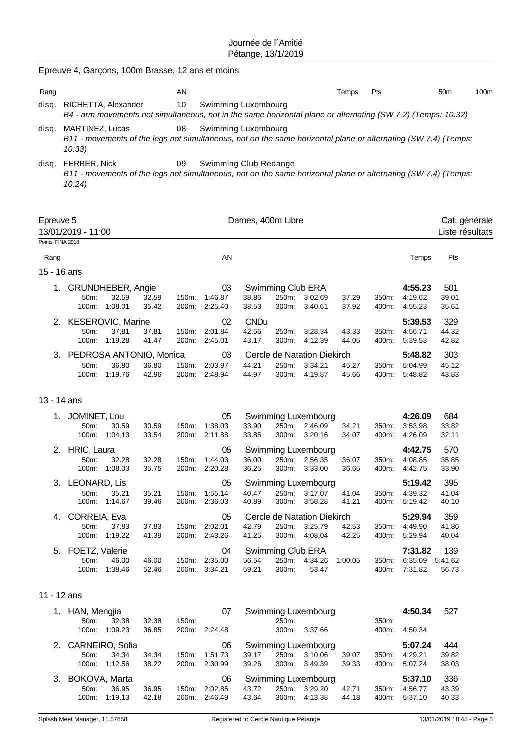|                                | Epreuve 4, Garçons, 100m Brasse, 12 ans et moins                                                                                            |                                             |                |                |                                      |                               |                                     |                                                       |                |                |                                       |                                  |      |
|--------------------------------|---------------------------------------------------------------------------------------------------------------------------------------------|---------------------------------------------|----------------|----------------|--------------------------------------|-------------------------------|-------------------------------------|-------------------------------------------------------|----------------|----------------|---------------------------------------|----------------------------------|------|
| Rang                           |                                                                                                                                             |                                             |                | ΑN             |                                      |                               |                                     |                                                       | Temps          | Pts            |                                       | 50 <sub>m</sub>                  | 100m |
| disq.                          | RICHETTA, Alexander<br>B4 - arm movements not simultaneous, not in the same horizontal plane or alternating (SW 7.2) (Temps: 10:32)         |                                             |                | 10             | Swimming Luxembourg                  |                               |                                     |                                                       |                |                |                                       |                                  |      |
| disq.                          | MARTINEZ, Lucas<br>B11 - movements of the legs not simultaneous, not on the same horizontal plane or alternating (SW 7.4) (Temps:<br>10:33) |                                             |                | 08             | Swimming Luxembourg                  |                               |                                     |                                                       |                |                |                                       |                                  |      |
| disq.                          | FERBER, Nick<br>B11 - movements of the legs not simultaneous, not on the same horizontal plane or alternating (SW 7.4) (Temps:<br>10:24)    |                                             |                | 09             | Swimming Club Redange                |                               |                                     |                                                       |                |                |                                       |                                  |      |
| Epreuve 5<br>Points: FINA 2018 | 13/01/2019 - 11:00                                                                                                                          |                                             |                |                |                                      | Dames, 400m Libre             |                                     |                                                       |                |                |                                       | Cat. générale<br>Liste résultats |      |
| Rang                           |                                                                                                                                             |                                             |                |                | AN                                   |                               |                                     |                                                       |                |                | Temps                                 | Pts                              |      |
|                                | 15 - 16 ans                                                                                                                                 |                                             |                |                |                                      |                               |                                     |                                                       |                |                |                                       |                                  |      |
| 1.                             | $50m$ :                                                                                                                                     | GRUNDHEBER, Angie<br>32.59<br>100m: 1:08.01 | 32.59<br>35.42 | 150m:<br>200m: | 03<br>1:46.87<br>2:25.40             | 38.86<br>38.53                | Swimming Club ERA<br>250m:<br>300m: | 3:02.69<br>3:40.61                                    | 37.29<br>37.92 | 350m:<br>400m: | 4:55.23<br>4:19.62<br>4:55.23         | 501<br>39.01<br>35.61            |      |
|                                | 2. KESEROVIC, Marine<br>50m:                                                                                                                | 37.81<br>100m: 1:19.28                      | 37.81<br>41.47 | 150m:<br>200m: | 02<br>2:01.84<br>2:45.01             | <b>CNDu</b><br>42.56<br>43.17 | 250m:<br>300m:                      | 3:28.34<br>4:12.39                                    | 43.33<br>44.05 | 350m:<br>400m: | 5:39.53<br>4:56.71<br>5:39.53         | 329<br>44.32<br>42.82            |      |
|                                | 3. PEDROSA ANTONIO, Monica<br>50m:                                                                                                          | 36.80<br>100m: 1:19.76                      | 36.80<br>42.96 | 150m:<br>200m: | 03<br>2:03.97<br>2:48.94             | 44.21<br>44.97                | 250m:<br>300m:                      | Cercle de Natation Diekirch<br>3:34.21<br>4:19.87     | 45.27<br>45.66 | 350m:<br>400m: | 5:48.82<br>5:04.99<br>5:48.82         | 303<br>45.12<br>43.83            |      |
|                                | 13 - 14 ans                                                                                                                                 |                                             |                |                |                                      |                               |                                     |                                                       |                |                |                                       |                                  |      |
| 1.                             | JOMINET, Lou<br>50m:<br>100m:                                                                                                               | 30.59<br>1:04.13                            | 30.59<br>33.54 | 150m:<br>200m: | 05<br>1:38.03<br>2:11.88             | 33.90<br>33.85                | 250m:<br>300m:                      | Swimming Luxembourg<br>2:46.09<br>3:20.16             | 34.21<br>34.07 | 350m:<br>400m: | 4:26.09<br>3:53.98<br>4:26.09         | 684<br>33.82<br>32.11            |      |
| 2.                             | HRIC, Laura<br>50m:                                                                                                                         | 32.28<br>100m: 1:08.03                      | 32.28<br>35.75 | 150m:          | 05<br>1:44.03<br>200m: 2:20.28       | 36.00<br>36.25                |                                     | Swimming Luxembourg<br>250m: 2:56.35<br>300m: 3:33.00 | 36.07<br>36.65 | 350m:          | 4:42.75<br>4:08.85<br>400m: 4:42.75   | 570<br>35.85<br>33.90            |      |
|                                | 3. LEONARD, Lis<br>50m:<br>100m:                                                                                                            | 35.21<br>1:14.67                            | 35.21<br>39.46 | 150m:          | 05<br>1:55.14<br>200m: 2:36.03       | 40.47<br>40.89                | 250m:<br>300m:                      | Swimming Luxembourg<br>3:17.07<br>3:58.28             | 41.04<br>41.21 | 350m:<br>400m: | 5:19.42<br>4:39.32<br>5:19.42         | 395<br>41.04<br>40.10            |      |
|                                | 4. CORREIA, Eva<br>50m:                                                                                                                     | 37.83<br>100m: 1:19.22                      | 37.83<br>41.39 |                | 05<br>150m: 2:02.01<br>200m: 2:43.26 | 42.79<br>41.25                | 250m:<br>300m:                      | Cercle de Natation Diekirch<br>3:25.79<br>4:08.04     | 42.53<br>42.25 | 350m:<br>400m: | 5:29.94<br>4:49.90<br>5:29.94         | 359<br>41.86<br>40.04            |      |
|                                | 5. FOETZ, Valerie<br>50m:                                                                                                                   | 46.00<br>100m: 1:38.46                      | 46.00<br>52.46 |                | 04<br>150m: 2:35.00<br>200m: 3:34.21 | 56.54<br>59.21                | Swimming Club ERA<br>300m:          | 250m: 4:34.26<br>53.47                                | 1:00.05        | 350m.<br>400m: | 7:31.82<br>6:35.09 5:41.62<br>7:31.82 | 139<br>56.73                     |      |
|                                | 11 - 12 ans                                                                                                                                 |                                             |                |                |                                      |                               |                                     |                                                       |                |                |                                       |                                  |      |
|                                | 1. HAN, Mengjia<br>50m:                                                                                                                     | 32.38<br>100m: 1:09.23                      | 32.38<br>36.85 | 150m:          | 07<br>200m: 2:24.48                  |                               | 250m:                               | Swimming Luxembourg<br>300m: 3:37.66                  |                | 350m:<br>400m: | 4:50.34<br>4:50.34                    | 527                              |      |
|                                | 2. CARNEIRO, Sofia<br>50m:                                                                                                                  | 34.34<br>100m: 1:12.56                      | 34.34<br>38.22 | 150m:          | 06<br>1:51.73<br>200m: 2:30.99       | 39.17<br>39.26                | 300m:                               | Swimming Luxembourg<br>250m: 3:10.06<br>3:49.39       | 39.07<br>39.33 | 350m:<br>400m: | 5:07.24<br>4:29.21<br>5:07.24         | 444<br>39.82<br>38.03            |      |
|                                | 3. BOKOVA, Marta<br>50m:                                                                                                                    | 36.95<br>100m: 1:19.13                      | 36.95<br>42.18 |                | 06<br>150m: 2:02.85<br>200m: 2:46.49 | 43.72<br>43.64                | 300m:                               | Swimming Luxembourg<br>250m: 3:29.20<br>4:13.38       | 42.71<br>44.18 | 350m:<br>400m: | 5:37.10<br>4:56.77<br>5:37.10         | 336<br>43.39<br>40.33            |      |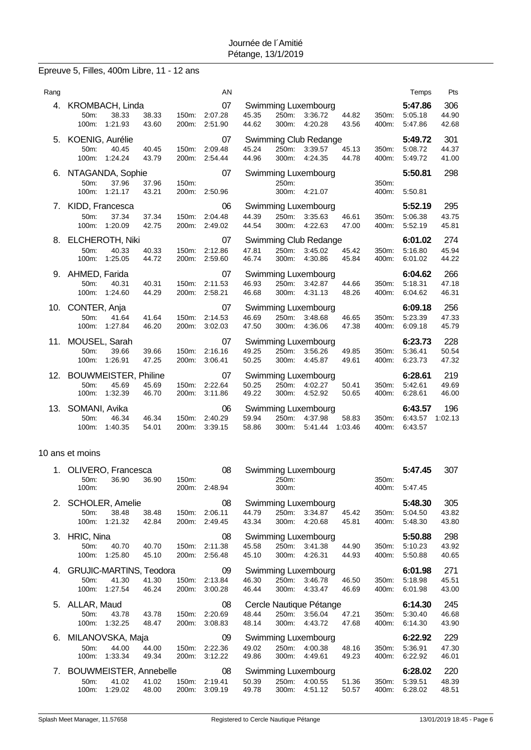# Epreuve 5, Filles, 400m Libre, 11 - 12 ans

| Rang |                                                                                    | AN                                         |                                                                                                                          | Pts<br>Temps                                           |
|------|------------------------------------------------------------------------------------|--------------------------------------------|--------------------------------------------------------------------------------------------------------------------------|--------------------------------------------------------|
| 4.   | KROMBACH, Linda<br>38.33<br>38.33<br>$50m$ :<br>1:21.93<br>100m:<br>43.60          | 07<br>2:07.28<br>150m:<br>200m:<br>2:51.90 | Swimming Luxembourg<br>3:36.72<br>44.82<br>45.35<br>250m:<br>350m:<br>44.62<br>300m:<br>4:20.28<br>43.56<br>400m:        | 306<br>5:47.86<br>44.90<br>5:05.18<br>5:47.86<br>42.68 |
| 5.   | KOENIG, Aurélie<br>40.45<br>50m:<br>40.45<br>100m:<br>1:24.24<br>43.79             | 07<br>2:09.48<br>150m:<br>2:54.44<br>200m: | Swimming Club Redange<br>45.24<br>250m:<br>3:39.57<br>45.13<br>350m:<br>44.96<br>300m:<br>4:24.35<br>44.78<br>400m:      | 301<br>5:49.72<br>5:08.72<br>44.37<br>5:49.72<br>41.00 |
| 6.   | NTAGANDA, Sophie<br>37.96<br>50m:<br>37.96<br>1:21.17<br>43.21<br>100m:            | 07<br>150m:<br>2:50.96<br>200m:            | Swimming Luxembourg<br>250m:<br>350m:<br>4:21.07<br>300m:<br>400m:                                                       | 5:50.81<br>298<br>5:50.81                              |
| 7.   | KIDD, Francesca<br>37.34<br>37.34<br>50m:<br>1:20.09<br>100m:<br>42.75             | 06<br>2:04.48<br>150m:<br>200m:<br>2:49.02 | Swimming Luxembourg<br>44.39<br>250m:<br>3:35.63<br>46.61<br>350m:<br>44.54<br>300m:<br>4:22.63<br>47.00<br>400m:        | 5:52.19<br>295<br>5:06.38<br>43.75<br>5:52.19<br>45.81 |
|      | 8. ELCHEROTH, Niki<br>50m:<br>40.33<br>40.33<br>100m:<br>1:25.05<br>44.72          | 07<br>2:12.86<br>150m:<br>200m:<br>2:59.60 | Swimming Club Redange<br>45.42<br>47.81<br>250m:<br>3:45.02<br>350m:<br>46.74<br>300m:<br>4:30.86<br>45.84<br>400m:      | 274<br>6:01.02<br>45.94<br>5:16.80<br>44.22<br>6:01.02 |
| 9.   | AHMED, Farida<br>50m:<br>40.31<br>40.31<br>100m:<br>1:24.60<br>44.29               | 07<br>2:11.53<br>150m:<br>200m:<br>2:58.21 | Swimming Luxembourg<br>46.93<br>250m:<br>3:42.87<br>44.66<br>350m:<br>46.68<br>300m:<br>4:31.13<br>48.26<br>400m:        | 266<br>6:04.62<br>5:18.31<br>47.18<br>6:04.62<br>46.31 |
|      | 10. CONTER, Anja<br>50m:<br>41.64<br>41.64<br>1:27.84<br>100m:<br>46.20            | 07<br>150m:<br>2:14.53<br>3:02.03<br>200m: | Swimming Luxembourg<br>46.69<br>250m:<br>3:48.68<br>46.65<br>350m:<br>47.50<br>300m:<br>4:36.06<br>47.38<br>400m:        | 256<br>6:09.18<br>5:23.39<br>47.33<br>6:09.18<br>45.79 |
|      | 11. MOUSEL, Sarah<br>50m:<br>39.66<br>39.66<br>1:26.91<br>47.25<br>100m:           | 07<br>2:16.16<br>150m:<br>200m:<br>3:06.41 | Swimming Luxembourg<br>49.25<br>250m:<br>3:56.26<br>49.85<br>350m:<br>50.25<br>300m:<br>4:45.87<br>49.61<br>400m:        | 228<br>6:23.73<br>5:36.41<br>50.54<br>47.32<br>6:23.73 |
| 12.  | <b>BOUWMEISTER, Philine</b><br>45.69<br>50m:<br>45.69<br>100m:<br>1:32.39<br>46.70 | 07<br>2:22.64<br>150m:<br>200m:<br>3:11.86 | <b>Swimming Luxembourg</b><br>50.25<br>250m:<br>4:02.27<br>50.41<br>350m:<br>49.22<br>300m:<br>4:52.92<br>50.65<br>400m: | 219<br>6:28.61<br>5:42.61<br>49.69<br>6:28.61<br>46.00 |
| 13.  | SOMANI, Avika<br>46.34<br>50m:<br>46.34<br>100m:<br>1:40.35<br>54.01               | 06<br>2:40.29<br>150m:<br>200m:<br>3:39.15 | Swimming Luxembourg<br>59.94<br>58.83<br>250m:<br>4:37.98<br>350m:<br>58.86<br>300m:<br>5.41.44<br>1:03.46<br>400m:      | 6:43.57<br>196<br>1:02.13<br>6:43.57<br>6:43.57        |

### 10 ans et moins

| 1. |                          | OLIVERO, Francesca      |                |                | 08                 |                |                | Swimming Luxembourg     |                |                | 5:47.45            | 307            |
|----|--------------------------|-------------------------|----------------|----------------|--------------------|----------------|----------------|-------------------------|----------------|----------------|--------------------|----------------|
|    | 50 <sub>m</sub><br>100m: | 36.90                   | 36.90          | 150m:<br>200m: | 2:48.94            |                | 250m:<br>300m: |                         |                | 350m:<br>400m: | 5.47.45            |                |
|    | 2. SCHOLER, Amelie       |                         |                |                | 08                 |                |                | Swimming Luxembourg     |                |                | 5:48.30            | 305            |
|    | $50m$ :<br>100m:         | 38.48<br>1:21.32        | 38.48<br>42.84 | 150m:<br>200m: | 2:06.11<br>2:49.45 | 44.79<br>43.34 | 250m:<br>300m: | 3:34.87<br>4:20.68      | 45.42<br>45.81 | 350m:<br>400m: | 5:04.50<br>5:48.30 | 43.82<br>43.80 |
| 3. | HRIC, Nina               |                         |                |                | 08                 |                |                | Swimming Luxembourg     |                |                | 5:50.88            | 298            |
|    | $50m$ :                  | 40.70                   | 40.70          | 150m:          | 2:11.38            | 45.58          | 250m:          | 3:41.38                 | 44.90          | 350m:          | 5:10.23            | 43.92          |
|    | 100m:                    | 1:25.80                 | 45.10          | 200m:          | 2:56.48            | 45.10          | 300m:          | 4:26.31                 | 44.93          | 400m:          | 5:50.88            | 40.65          |
| 4. |                          | GRUJIC-MARTINS, Teodora |                |                | 09                 |                |                | Swimming Luxembourg     |                |                | 6:01.98            | 271            |
|    | $50m$ :                  | 41.30                   | 41.30          | 150m:          | 2:13.84            | 46.30          | 250m:          | 3:46.78                 | 46.50          | 350m:          | 5:18.98            | 45.51          |
|    | 100m:                    | 1:27.54                 | 46.24          | 200m:          | 3:00.28            | 46.44          | 300m:          | 4:33.47                 | 46.69          | 400m:          | 6:01.98            | 43.00          |
| 5. | ALLAR, Maud              |                         |                |                | 08                 |                |                | Cercle Nautique Pétange |                |                | 6:14.30            | 245            |
|    | 50m:                     | 43.78                   | 43.78          | 150m:          | 2:20.69            | 48.44          | 250m:          | 3:56.04                 | 47.21          | 350m:          | 5:30.40            | 46.68          |
|    | 100m:                    | 1:32.25                 | 48.47          | 200m:          | 3:08.83            | 48.14          | 300m:          | 4:43.72                 | 47.68          | 400m:          | 6.14.30            | 43.90          |
| 6. | MILANOVSKA, Maja         |                         |                |                | 09                 |                |                | Swimming Luxembourg     |                |                | 6:22.92            | 229            |
|    | 50 <sub>m</sub> :        | 44.00                   | 44.00          | 150m:          | 2:22.36            | 49.02          | 250m:          | 4:00.38                 | 48.16          | 350m:          | 5:36.91            | 47.30          |
|    | 100m:                    | 1:33.34                 | 49.34          | 200m:          | 3:12.22            | 49.86          | 300m:          | 4:49.61                 | 49.23          | 400m:          | 6:22.92            | 46.01          |
| 7. |                          | BOUWMEISTER, Annebelle  |                |                | 08                 |                |                | Swimming Luxembourg     |                |                | 6:28.02            | 220            |
|    | 50m:                     | 41.02                   | 41.02          | 150m:          | 2:19.41            | 50.39          | 250m:          | 4:00.55                 | 51.36          | 350m:          | 5:39.51            | 48.39          |
|    | 100m:                    | 1:29.02                 | 48.00          | 200m:          | 3:09.19            | 49.78          | 300m:          | 4:51.12                 | 50.57          | 400m:          | 6.28.02            | 48.51          |
|    |                          |                         |                |                |                    |                |                |                         |                |                |                    |                |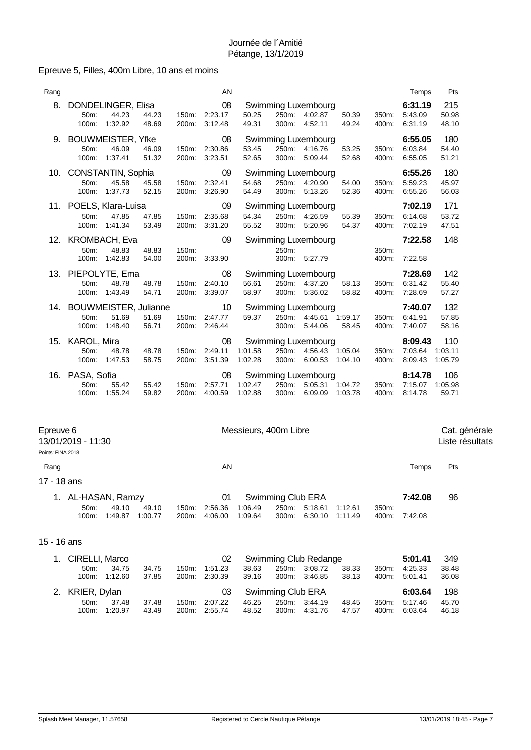# Epreuve 5, Filles, 400m Libre, 10 ans et moins

| Rang |                                  |                                            |                |                | AN                       |                    |                |                                                   |                    |                | Temps                         | Pts                       |
|------|----------------------------------|--------------------------------------------|----------------|----------------|--------------------------|--------------------|----------------|---------------------------------------------------|--------------------|----------------|-------------------------------|---------------------------|
| 8.   | 50m:<br>100m:                    | DONDELINGER, Elisa<br>44.23<br>1:32.92     | 44.23<br>48.69 | 150m:<br>200m: | 08<br>2:23.17<br>3:12.48 | 50.25<br>49.31     | 250m:<br>300m: | Swimming Luxembourg<br>4:02.87<br>4:52.11         | 50.39<br>49.24     | 350m:<br>400m: | 6:31.19<br>5:43.09<br>6:31.19 | 215<br>50.98<br>48.10     |
|      | 50m:<br>100m:                    | 9. BOUWMEISTER, Yfke<br>46.09<br>1:37.41   | 46.09<br>51.32 | 150m:<br>200m: | 08<br>2:30.86<br>3:23.51 | 53.45<br>52.65     | 250m:<br>300m: | Swimming Luxembourg<br>4:16.76<br>5:09.44         | 53.25<br>52.68     | 350m:<br>400m: | 6:55.05<br>6:03.84<br>6:55.05 | 180<br>54.40<br>51.21     |
| 10.  | 50m:<br>100m:                    | CONSTANTIN, Sophia<br>45.58<br>1:37.73     | 45.58<br>52.15 | 150m:<br>200m: | 09<br>2:32.41<br>3:26.90 | 54.68<br>54.49     | 250m:<br>300m: | Swimming Luxembourg<br>4:20.90<br>5:13.26         | 54.00<br>52.36     | 350m:<br>400m: | 6:55.26<br>5:59.23<br>6:55.26 | 180<br>45.97<br>56.03     |
|      | 50m:<br>100m:                    | 11. POELS, Klara-Luisa<br>47.85<br>1:41.34 | 47.85<br>53.49 | 150m:<br>200m: | 09<br>2:35.68<br>3:31.20 | 54.34<br>55.52     | 250m:<br>300m: | Swimming Luxembourg<br>4:26.59<br>5:20.96         | 55.39<br>54.37     | 350m:<br>400m: | 7:02.19<br>6:14.68<br>7:02.19 | 171<br>53.72<br>47.51     |
|      |                                  | 12. KROMBACH, Eva                          |                |                | 09                       |                    |                | Swimming Luxembourg                               |                    |                | 7:22.58                       | 148                       |
|      | 50m:<br>100m:                    | 48.83<br>1:42.83                           | 48.83<br>54.00 | 150m:<br>200m: | 3:33.90                  |                    | 250m:<br>300m: | 5:27.79                                           |                    | 350m:<br>400m: | 7:22.58                       |                           |
|      | 50m:<br>100m:                    | 13. PIEPOLYTE, Ema<br>48.78<br>1:43.49     | 48.78<br>54.71 | 150m:<br>200m: | 08<br>2:40.10<br>3:39.07 | 56.61<br>58.97     | 250m:<br>300m: | Swimming Luxembourg<br>4:37.20<br>5:36.02         | 58.13<br>58.82     | 350m:<br>400m: | 7:28.69<br>6:31.42<br>7:28.69 | 142<br>55.40<br>57.27     |
|      |                                  | 14. BOUWMEISTER, Julianne                  |                |                | 10                       |                    |                | Swimming Luxembourg                               |                    |                | 7:40.07                       | 132                       |
|      | 50m:<br>100m:                    | 51.69<br>1:48.40                           | 51.69<br>56.71 | 150m:<br>200m: | 2:47.77<br>2:46.44       | 59.37              | 250m:<br>300m: | 4:45.61<br>5:44.06                                | 1:59.17<br>58.45   | 350m:<br>400m: | 6:41.91<br>7:40.07            | 57.85<br>58.16            |
|      | 15. KAROL, Mira<br>50m:<br>100m: | 48.78<br>1:47.53                           | 48.78<br>58.75 | 150m:<br>200m: | 08<br>2:49.11<br>3:51.39 | 1:01.58<br>1:02.28 | 250m:<br>300m: | Swimming Luxembourg<br>4:56.43 1:05.04<br>6:00.53 | 1:04.10            | 350m:<br>400m: | 8:09.43<br>7:03.64<br>8:09.43 | 110<br>1:03.11<br>1:05.79 |
| 16.  | PASA, Sofia<br>50m:<br>100m:     | 55.42<br>1:55.24                           | 55.42<br>59.82 | 150m:<br>200m: | 08<br>2:57.71<br>4:00.59 | 1:02.47<br>1:02.88 | 250m:<br>300m: | Swimming Luxembourg<br>5:05.31<br>6:09.09         | 1:04.72<br>1:03.78 | 350m:<br>400m: | 8:14.78<br>7:15.07<br>8:14.78 | 106<br>1:05.98<br>59.71   |

| Epreuve 6         | 13/01/2019 - 11:30 |         |         |       |         | Messieurs, 400m Libre |                   |                       |         |       |         | Cat. générale<br>Liste résultats |
|-------------------|--------------------|---------|---------|-------|---------|-----------------------|-------------------|-----------------------|---------|-------|---------|----------------------------------|
| Points: FINA 2018 |                    |         |         |       |         |                       |                   |                       |         |       |         |                                  |
| Rang              |                    |         |         |       | AN      |                       |                   |                       |         |       | Temps   | Pts                              |
| 17 - 18 ans       |                    |         |         |       |         |                       |                   |                       |         |       |         |                                  |
| 1.                | AL-HASAN, Ramzy    |         |         |       | 01      |                       | Swimming Club ERA |                       |         |       | 7:42.08 | 96                               |
|                   | $50m$ :            | 49.10   | 49.10   | 150m: | 2:56.36 | 1:06.49               | 250m:             | 5:18.61               | 1:12.61 | 350m: |         |                                  |
|                   | 100m:              | 1:49.87 | 1:00.77 | 200m: | 4:06.00 | 1:09.64               | 300m:             | 6:30.10               | 1:11.49 | 400m: | 7:42.08 |                                  |
| 15 - 16 ans       |                    |         |         |       |         |                       |                   |                       |         |       |         |                                  |
| 1.                | CIRELLI, Marco     |         |         |       | 02      |                       |                   | Swimming Club Redange |         |       | 5:01.41 | 349                              |
|                   | 50m:               | 34.75   | 34.75   | 150m: | 1:51.23 | 38.63                 | 250m:             | 3:08.72               | 38.33   | 350m: | 4:25.33 | 38.48                            |
|                   | 100m:              | 1:12.60 | 37.85   | 200m: | 2:30.39 | 39.16                 | 300m:             | 3:46.85               | 38.13   | 400m: | 5.01.41 | 36.08                            |
| 2.                | KRIER, Dylan       |         |         |       | 03      |                       | Swimming Club ERA |                       |         |       | 6:03.64 | 198                              |
|                   | $50m$ :            | 37.48   | 37.48   | 150m: | 2:07.22 | 46.25                 | 250m:             | 3:44.19               | 48.45   | 350m: | 5:17.46 | 45.70                            |
|                   | 100m:              | 1:20.97 | 43.49   | 200m: | 2:55.74 | 48.52                 | 300m:             | 4:31.76               | 47.57   | 400m: | 6:03.64 | 46.18                            |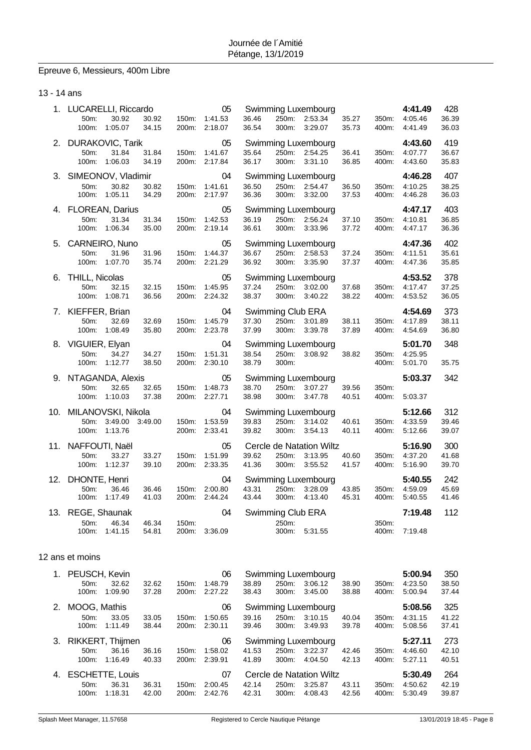# Epreuve 6, Messieurs, 400m Libre

### 13 - 14 ans

|     | 1. LUCARELLI, Riccardo<br>50m:<br>30.92<br>1:05.07<br>100m:              | 30.92<br>150m:<br>34.15          | 05<br>1:41.53<br>200m: 2:18.07 | 36.46<br>36.54             | Swimming Luxembourg<br>250m: 2:53.34<br>300m:<br>3:29.07         | 35.27<br>35.73 | 350m:<br>400m: | 4:41.49<br>4:05.46<br>4:41.49 | 428<br>36.39<br>36.03 |
|-----|--------------------------------------------------------------------------|----------------------------------|--------------------------------|----------------------------|------------------------------------------------------------------|----------------|----------------|-------------------------------|-----------------------|
| 2.  | <b>DURAKOVIC, Tarik</b><br>50m:<br>31.84<br>100m:<br>1:06.03             | 31.84<br>150m:<br>34.19          | 05<br>1:41.67<br>200m: 2:17.84 | 35.64<br>36.17             | Swimming Luxembourg<br>250m: 2:54.25<br>300m:<br>3:31.10         | 36.41<br>36.85 | 350m:<br>400m: | 4:43.60<br>4:07.77<br>4:43.60 | 419<br>36.67<br>35.83 |
| 3.  | SIMEONOV, Vladimir<br>50m:<br>30.82<br>100m:<br>1:05.11                  | 30.82<br>150m:<br>34.29          | 04<br>1:41.61<br>200m: 2:17.97 | 36.50<br>36.36             | Swimming Luxembourg<br>250m:<br>2:54.47<br>300m:<br>3:32.00      | 36.50<br>37.53 | 350m:<br>400m: | 4:46.28<br>4:10.25<br>4:46.28 | 407<br>38.25<br>36.03 |
|     | 4. FLOREAN, Darius<br>50m:<br>31.34<br>100m:<br>1:06.34                  | 31.34<br>150m:<br>35.00          | 05<br>1:42.53<br>200m: 2:19.14 | 36.19<br>36.61             | Swimming Luxembourg<br>250m: 2:56.24<br>300m:<br>3:33.96         | 37.10<br>37.72 | 350m:<br>400m: | 4:47.17<br>4:10.81<br>4:47.17 | 403<br>36.85<br>36.36 |
|     | 5. CARNEIRO, Nuno<br>50m:<br>31.96<br>100m:<br>1:07.70                   | 31.96<br>150m:<br>35.74          | 05<br>1:44.37<br>200m: 2:21.29 | 36.67<br>36.92             | Swimming Luxembourg<br>250m: 2:58.53<br>300m:<br>3:35.90         | 37.24<br>37.37 | 350m:<br>400m: | 4:47.36<br>4:11.51<br>4:47.36 | 402<br>35.61<br>35.85 |
|     | 6. THILL, Nicolas<br>50m:<br>32.15<br>100m:<br>1:08.71                   | 32.15<br>150m:<br>36.56          | 05<br>1:45.95<br>200m: 2:24.32 | 37.24<br>38.37             | Swimming Luxembourg<br>250m:<br>3:02.00<br>300m:<br>3:40.22      | 37.68<br>38.22 | 350m:<br>400m: | 4:53.52<br>4:17.47<br>4:53.52 | 378<br>37.25<br>36.05 |
|     | 7. KIEFFER, Brian<br>50m:<br>32.69<br>100m:<br>1:08.49                   | 32.69<br>150m:<br>35.80<br>200m: | 04<br>1:45.79<br>2:23.78       | 37.30<br>37.99<br>300m:    | Swimming Club ERA<br>250m:<br>3:01.89<br>3:39.78                 | 38.11<br>37.89 | 350m:<br>400m: | 4:54.69<br>4:17.89<br>4:54.69 | 373<br>38.11<br>36.80 |
|     | 8. VIGUIER, Elyan<br>50m:<br>34.27<br>100m:<br>1:12.77                   | 34.27<br>150m:<br>38.50<br>200m: | 04<br>1:51.31<br>2:30.10       | 38.54<br>38.79<br>300m:    | Swimming Luxembourg<br>3:08.92<br>250m:                          | 38.82          | 350m:<br>400m: | 5:01.70<br>4:25.95<br>5:01.70 | 348<br>35.75          |
|     | 9. NTAGANDA, Alexis<br>50m:<br>32.65<br>100m:<br>1:10.03                 | 32.65<br>150m:<br>37.38          | 05<br>1:48.73<br>200m: 2:27.71 | 38.70<br>38.98             | Swimming Luxembourg<br>3:07.27<br>250m:<br>300m:<br>3:47.78      | 39.56<br>40.51 | 350m:<br>400m: | 5:03.37<br>5:03.37            | 342                   |
|     | 10. MILANOVSKI, Nikola<br>50m:<br>3:49.00<br>3:49.00<br>100m:<br>1:13.76 | 150m:                            | 04<br>1:53.59<br>200m: 2:33.41 | 39.83<br>250m:<br>39.82    | Swimming Luxembourg<br>3:14.02<br>300m:<br>3:54.13               | 40.61<br>40.11 | 350m:<br>400m: | 5:12.66<br>4:33.59<br>5:12.66 | 312<br>39.46<br>39.07 |
|     | 11. NAFFOUTI, Naël<br>50m:<br>33.27<br>100m:<br>1:12.37                  | 33.27<br>150m:<br>39.10          | 05<br>1:51.99<br>200m: 2:33.35 | 39.62<br>41.36             | Cercle de Natation Wiltz<br>250m:<br>3:13.95<br>300m:<br>3:55.52 | 40.60<br>41.57 | 350m:<br>400m: | 5:16.90<br>4:37.20<br>5:16.90 | 300<br>41.68<br>39.70 |
| 12. | DHONTE, Henri<br>50m:<br>36.46<br>100m:<br>1:17.49                       | 36.46<br>150m:<br>41.03<br>200m: | 04<br>2:00.80<br>2:44.24       | 43.31<br>43.44<br>300m:    | Swimming Luxembourg<br>250m:<br>3:28.09<br>4:13.40               | 43.85<br>45.31 | 350m:<br>400m: | 5:40.55<br>4:59.09<br>5:40.55 | 242<br>45.69<br>41.46 |
|     | 13. REGE, Shaunak<br>50m:<br>46.34<br>100m:<br>1:41.15                   | 46.34<br>150m:<br>54.81<br>200m: | 04<br>3:36.09                  | Swimming Club ERA<br>250m: | 300m:<br>5:31.55                                                 |                | 350m:<br>400m: | 7:19.48<br>7:19.48            | 112                   |
|     |                                                                          |                                  |                                |                            |                                                                  |                |                |                               |                       |

### 12 ans et moins

| $1_{\cdot}$ | PEUSCH, Kevin     |                        |       |                    | 06      |       |          | Swimming Luxembourg      |       |          | 5:00.94 | 350   |
|-------------|-------------------|------------------------|-------|--------------------|---------|-------|----------|--------------------------|-------|----------|---------|-------|
|             | 50 <sub>m</sub> : | 32.62                  | 32.62 | $150m$ :           | 1:48.79 | 38.89 | 250m:    | 3:06.12                  | 38.90 | 350m:    | 4:23.50 | 38.50 |
|             | $100m$ :          | 1:09.90                | 37.28 | 200 <sub>m</sub> : | 2:27.22 | 38.43 | $300m$ : | 3:45.00                  | 38.88 | 400m:    | 5:00.94 | 37.44 |
| 2.          | MOOG, Mathis      |                        |       |                    | 06      |       |          | Swimming Luxembourg      |       |          | 5:08.56 | 325   |
|             | $50m$ :           | 33.05                  | 33.05 | 150m:              | 1:50.65 | 39.16 | 250m:    | 3:10.15                  | 40.04 | 350m:    | 4:31.15 | 41.22 |
|             | $100m$ :          | 1:11.49                | 38.44 | 200 <sub>m</sub> : | 2:30.11 | 39.46 | $300m$ : | 3:49.93                  | 39.78 | 400m:    | 5:08.56 | 37.41 |
|             |                   |                        |       |                    |         |       |          |                          |       |          |         |       |
| 3.          | RIKKERT, Thijmen  |                        |       |                    | 06      |       |          | Swimming Luxembourg      |       |          | 5:27.11 | 273   |
|             | $50m$ :           | 36.16                  | 36.16 | 150m:              | 1:58.02 | 41.53 | 250m:    | 3:22.37                  | 42.46 | $350m$ : | 4:46.60 | 42.10 |
|             | $100m$ :          | 1:16.49                | 40.33 | 200m:              | 2:39.91 | 41.89 | $300m$ : | 4:04.50                  | 42.13 | 400m:    | 5:27.11 | 40.51 |
| 4.          |                   | <b>ESCHETTE, Louis</b> |       |                    | 07      |       |          | Cercle de Natation Wiltz |       |          | 5:30.49 | 264   |
|             | $50m$ :           | 36.31                  | 36.31 | $150m$ :           | 2:00.45 | 42.14 | 250m:    | 3:25.87                  | 43.11 | 350m:    | 4:50.62 | 42.19 |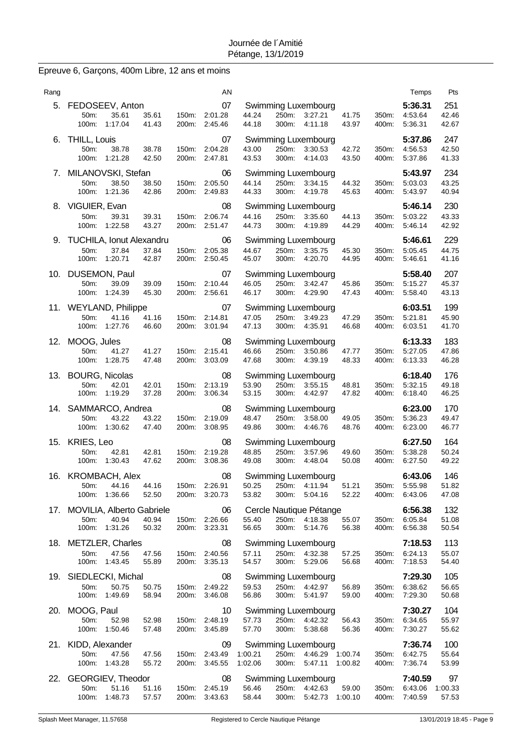# Epreuve 6, Garçons, 400m Libre, 12 ans et moins

| Rang |                                                             |                  |                |                | AN                                   |                    |                |                                                                 |                |                | Temps                               | Pts                    |
|------|-------------------------------------------------------------|------------------|----------------|----------------|--------------------------------------|--------------------|----------------|-----------------------------------------------------------------|----------------|----------------|-------------------------------------|------------------------|
| 5.   | FEDOSEEV, Anton<br>50 <sub>m</sub> :<br>100m: 1:17.04       | 35.61            | 35.61<br>41.43 | 150m:<br>200m: | 07<br>2:01.28<br>2:45.46             | 44.24<br>44.18     | 250m:<br>300m: | Swimming Luxembourg<br>3:27.21<br>4:11.18                       | 41.75<br>43.97 | 350m:<br>400m: | 5:36.31<br>4:53.64<br>5:36.31       | 251<br>42.46<br>42.67  |
| 6.   | THILL, Louis<br>50m:<br>100m:<br>1:21.28                    | 38.78            | 38.78<br>42.50 | 150m:<br>200m: | 07<br>2:04.28<br>2:47.81             | 43.00<br>43.53     | 250m:<br>300m: | Swimming Luxembourg<br>3:30.53<br>4:14.03                       | 42.72<br>43.50 | 350m:<br>400m: | 5:37.86<br>4:56.53<br>5:37.86       | 247<br>42.50<br>41.33  |
| 7.   | MILANOVSKI, Stefan<br>50m:<br>100m:                         | 38.50<br>1:21.36 | 38.50<br>42.86 | 150m:<br>200m: | 06<br>2:05.50<br>2:49.83             | 44.14<br>44.33     | 250m:<br>300m: | Swimming Luxembourg<br>3:34.15<br>4:19.78                       | 44.32<br>45.63 | 350m:<br>400m: | 5:43.97<br>5:03.03<br>5:43.97       | 234<br>43.25<br>40.94  |
| 8.   | VIGUIER, Evan<br>50m:<br>100m:                              | 39.31<br>1:22.58 | 39.31<br>43.27 | 150m:<br>200m: | 08<br>2:06.74<br>2:51.47             | 44.16<br>44.73     | 250m:<br>300m: | Swimming Luxembourg<br>3:35.60<br>4:19.89                       | 44.13<br>44.29 | 350m:<br>400m: | 5:46.14<br>5:03.22<br>5:46.14       | 230<br>43.33<br>42.92  |
| 9.   | <b>TUCHILA, Ionut Alexandru</b><br>50m:<br>100m:<br>1:20.71 | 37.84            | 37.84<br>42.87 | 150m:<br>200m: | 06<br>2:05.38<br>2:50.45             | 44.67<br>45.07     | 250m:<br>300m: | Swimming Luxembourg<br>3:35.75<br>4:20.70                       | 45.30<br>44.95 | 350m:<br>400m: | 5:46.61<br>5:05.45<br>5:46.61       | 229<br>44.75<br>41.16  |
|      | 10. DUSEMON, Paul<br>50m:<br>100m:                          | 39.09<br>1:24.39 | 39.09<br>45.30 | 150m:<br>200m: | 07<br>2:10.44<br>2:56.61             | 46.05<br>46.17     | 250m:<br>300m: | Swimming Luxembourg<br>3:42.47<br>4:29.90                       | 45.86<br>47.43 | 350m:<br>400m: | 5:58.40<br>5:15.27<br>5:58.40       | 207<br>45.37<br>43.13  |
|      | 11. WEYLAND, Philippe<br>50m:<br>100m:<br>1:27.76           | 41.16            | 41.16<br>46.60 | 150m:<br>200m: | 07<br>2:14.81<br>3:01.94             | 47.05<br>47.13     | 250m:<br>300m: | Swimming Luxembourg<br>3:49.23<br>4:35.91                       | 47.29<br>46.68 | 350m:<br>400m: | 6:03.51<br>5:21.81<br>6:03.51       | 199<br>45.90<br>41.70  |
| 12.  | MOOG, Jules<br>50m:<br>1:28.75<br>100m:                     | 41.27            | 41.27<br>47.48 | 150m:<br>200m: | 08<br>2:15.41<br>3:03.09             | 46.66<br>47.68     | 250m:<br>300m: | Swimming Luxembourg<br>3:50.86<br>4:39.19                       | 47.77<br>48.33 | 350m:<br>400m: | 6:13.33<br>5:27.05<br>6:13.33       | 183<br>47.86<br>46.28  |
| 13.  | <b>BOURG, Nicolas</b><br>50m:<br>100m:                      | 42.01<br>1:19.29 | 42.01<br>37.28 | 150m:<br>200m: | 08<br>2:13.19<br>3:06.34             | 53.90<br>53.15     | 250m:<br>300m: | Swimming Luxembourg<br>3:55.15<br>4:42.97                       | 48.81<br>47.82 | 350m:<br>400m: | 6:18.40<br>5:32.15<br>6:18.40       | 176<br>49.18<br>46.25  |
| 14.  | SAMMARCO, Andrea<br>50m:<br>100m:                           | 43.22<br>1:30.62 | 43.22<br>47.40 | 150m:<br>200m: | 08<br>2:19.09<br>3:08.95             | 48.47<br>49.86     | 250m:<br>300m: | Swimming Luxembourg<br>3:58.00<br>4:46.76                       | 49.05<br>48.76 | 350m:<br>400m: | 6:23.00<br>5:36.23<br>6:23.00       | 170<br>49.47<br>46.77  |
| 15.  | <b>KRIES, Leo</b><br>50m:<br>100m:                          | 42.81<br>1:30.43 | 42.81<br>47.62 | 150m:<br>200m: | 08<br>2:19.28<br>3:08.36             | 48.85<br>49.08     | 250m:<br>300m: | Swimming Luxembourg<br>3:57.96<br>4:48.04                       | 49.60<br>50.08 | 350m:<br>400m: | 6:27.50<br>5:38.28<br>6:27.50       | 164<br>50.24<br>49.22  |
|      | 16. KROMBACH, Alex<br>50m:<br>100m:<br>1:36.66              | 44.16            | 44.16<br>52.50 |                | 08<br>150m: 2:26.91<br>200m: 3:20.73 | 50.25<br>53.82     | 250m:<br>300m: | Swimming Luxembourg<br>4:11.94<br>5:04.16                       | 51.21<br>52.22 | 350m:<br>400m: | 6:43.06<br>5:55.98<br>6:43.06       | 146<br>51.82<br>47.08  |
|      | 17. MOVILIA, Alberto Gabriele<br>50m:<br>100m: 1:31.26      | 40.94            | 40.94<br>50.32 |                | 06<br>150m: 2:26.66<br>200m: 3:23.31 | 55.40<br>56.65     | 300m:          | Cercle Nautique Pétange<br>250m: 4:18.38<br>5:14.76             | 55.07<br>56.38 | 350m:<br>400m: | 6:56.38<br>6:05.84<br>6:56.38       | 132<br>51.08<br>50.54  |
|      | 18. METZLER, Charles<br>50m:<br>1:43.45<br>100m:            | 47.56            | 47.56<br>55.89 |                | 08<br>150m: 2:40.56<br>200m: 3:35.13 | 57.11<br>54.57     |                | Swimming Luxembourg<br>250m: 4:32.38<br>300m: 5:29.06           | 57.25<br>56.68 | 350m:<br>400m: | 7:18.53<br>6:24.13<br>7:18.53       | 113<br>55.07<br>54.40  |
|      | 19. SIEDLECKI, Michal<br>50m:<br>1:49.69<br>100m:           | 50.75            | 50.75<br>58.94 | 150m:<br>200m: | 08<br>2:49.22<br>3:46.08             | 59.53<br>56.86     | 250m:<br>300m: | Swimming Luxembourg<br>4:42.97<br>5:41.97                       | 56.89<br>59.00 | 350m:<br>400m: | 7:29.30<br>6:38.62<br>7:29.30       | 105<br>56.65<br>50.68  |
|      | 20. MOOG, Paul<br>50m:<br>100m:<br>1:50.46                  | 52.98            | 52.98<br>57.48 |                | 10<br>150m: 2:48.19<br>200m: 3:45.89 | 57.73<br>57.70     | 250m:<br>300m: | Swimming Luxembourg<br>4:42.32<br>5:38.68                       | 56.43<br>56.36 | 350m:<br>400m: | 7:30.27<br>6:34.65<br>7:30.27       | 104<br>55.97<br>55.62  |
|      | 21. KIDD, Alexander<br>50m:<br>100m: 1:43.28                | 47.56            | 47.56<br>55.72 | 200m:          | 09<br>150m: 2:43.49<br>3:45.55       | 1:00.21<br>1:02.06 | 300m:          | Swimming Luxembourg<br>250m: 4:46.29 1:00.74<br>5:47.11 1:00.82 |                | 350m:<br>400m: | 7:36.74<br>6:42.75<br>7:36.74       | 100<br>55.64<br>53.99  |
| 22.  | GEORGIEV, Theodor<br>50m:<br>100m: 1:48.73                  | 51.16            | 51.16<br>57.57 |                | 08<br>150m: 2:45.19<br>200m: 3:43.63 | 56.46<br>58.44     |                | Swimming Luxembourg<br>250m: 4:42.63<br>300m: 5:42.73 1:00.10   | 59.00          | 350m:          | 7:40.59<br>6:43.06<br>400m: 7:40.59 | 97<br>1:00.33<br>57.53 |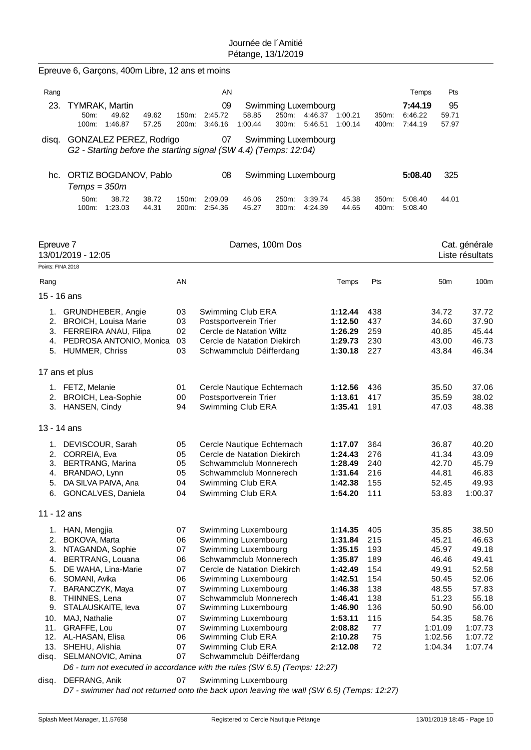|                   | Epreuve 6, Garçons, 400m Libre, 12 ans et moins                                                   |                |                                                      |                  |                                       |                    |                            |                |                               |                      |                                  |
|-------------------|---------------------------------------------------------------------------------------------------|----------------|------------------------------------------------------|------------------|---------------------------------------|--------------------|----------------------------|----------------|-------------------------------|----------------------|----------------------------------|
| Rang              |                                                                                                   |                | AN                                                   |                  |                                       |                    |                            |                | Temps                         | Pts                  |                                  |
| 23.               | <b>TYMRAK, Martin</b><br>50m:<br>49.62<br>49.62<br>100m:<br>1:46.87<br>57.25                      | 150m:<br>200m: | 09<br>2:45.72<br>3:46.16                             | 58.85<br>1:00.44 | Swimming Luxembourg<br>250m:<br>300m: | 5.46.51            | 4:46.37 1:00.21<br>1:00.14 | 350m:<br>400m: | 7:44.19<br>6:46.22<br>7:44.19 | 95<br>59.71<br>57.97 |                                  |
|                   | disq. GONZALEZ PEREZ, Rodrigo<br>G2 - Starting before the starting signal (SW 4.4) (Temps: 12:04) |                | 07                                                   |                  | Swimming Luxembourg                   |                    |                            |                |                               |                      |                                  |
| hc.               | ORTIZ BOGDANOV, Pablo<br>$Temps = 350m$                                                           |                | 08                                                   |                  | Swimming Luxembourg                   |                    |                            |                | 5:08.40                       | 325                  |                                  |
|                   | 38.72<br>50m:<br>38.72<br>100m:<br>1:23.03<br>44.31                                               | 150m:<br>200m: | 2:09.09<br>2:54.36                                   | 46.06<br>45.27   | 250m:<br>300m:                        | 3:39.74<br>4:24.39 | 45.38<br>44.65             | 350m:<br>400m: | 5:08.40<br>5:08.40            | 44.01                |                                  |
| Epreuve 7         | 13/01/2019 - 12:05                                                                                |                |                                                      | Dames, 100m Dos  |                                       |                    |                            |                |                               |                      | Cat. générale<br>Liste résultats |
| Points: FINA 2018 |                                                                                                   |                |                                                      |                  |                                       |                    |                            |                |                               |                      |                                  |
| Rang              |                                                                                                   | AN             |                                                      |                  |                                       |                    | Temps                      | Pts            |                               | 50 <sub>m</sub>      | 100 <sub>m</sub>                 |
| 15 - 16 ans       |                                                                                                   |                |                                                      |                  |                                       |                    |                            |                |                               |                      |                                  |
|                   | 1. GRUNDHEBER, Angie<br>2. BROICH, Louisa Marie                                                   | 03<br>03       | Swimming Club ERA<br>Postsportverein Trier           |                  |                                       |                    | 1:12.44<br>1:12.50         | 438<br>437     |                               | 34.72<br>34.60       | 37.72<br>37.90                   |
|                   | 3. FERREIRA ANAU, Filipa                                                                          | 02             | Cercle de Natation Wiltz                             |                  |                                       |                    | 1:26.29                    | 259            |                               | 40.85                | 45.44                            |
|                   | 4. PEDROSA ANTONIO, Monica                                                                        | 03             | Cercle de Natation Diekirch                          |                  |                                       |                    | 1:29.73                    | 230            |                               | 43.00                | 46.73                            |
|                   | 5. HUMMER, Chriss                                                                                 | 03             | Schwammclub Déifferdang                              |                  |                                       |                    | 1:30.18                    | 227            |                               | 43.84                | 46.34                            |
|                   | 17 ans et plus                                                                                    |                |                                                      |                  |                                       |                    |                            |                |                               |                      |                                  |
|                   | 1. FETZ, Melanie                                                                                  | 01             | Cercle Nautique Echternach                           |                  |                                       |                    | 1:12.56                    | 436            |                               | 35.50                | 37.06                            |
|                   | 2. BROICH, Lea-Sophie                                                                             | 00             | Postsportverein Trier                                |                  |                                       |                    | 1:13.61                    | 417            |                               | 35.59                | 38.02                            |
|                   | 3. HANSEN, Cindy                                                                                  | 94             | Swimming Club ERA                                    |                  |                                       |                    | 1:35.41                    | 191            |                               | 47.03                | 48.38                            |
| 13 - 14 ans       |                                                                                                   |                |                                                      |                  |                                       |                    |                            |                |                               |                      |                                  |
| 1.                | DEVISCOUR, Sarah                                                                                  | 05             | Cercle Nautique Echternach                           |                  |                                       |                    | 1:17.07                    | 364            |                               | 36.87                | 40.20                            |
| 3.                | 2. CORREIA, Eva<br><b>BERTRANG, Marina</b>                                                        | 05<br>05       | Cercle de Natation Diekirch<br>Schwammclub Monnerech |                  |                                       |                    | 1:24.43<br>1:28.49         | 276<br>240     |                               | 41.34<br>42.70       | 43.09<br>45.79                   |
|                   | 4. BRANDAO, Lynn                                                                                  | 05             | Schwammclub Monnerech                                |                  |                                       |                    | 1:31.64                    | 216            |                               | 44.81                | 46.83                            |
| 5.                | DA SILVA PAIVA, Ana                                                                               | 04             | Swimming Club ERA                                    |                  |                                       |                    | 1:42.38                    | 155            |                               | 52.45                | 49.93                            |
|                   | 6. GONCALVES, Daniela                                                                             | 04             | Swimming Club ERA                                    |                  |                                       |                    | 1:54.20                    | 111            |                               | 53.83                | 1:00.37                          |
| 11 - 12 ans       |                                                                                                   |                |                                                      |                  |                                       |                    |                            |                |                               |                      |                                  |
|                   | 1. HAN, Mengjia                                                                                   | 07             | Swimming Luxembourg                                  |                  |                                       |                    | 1:14.35                    | 405            |                               | 35.85                | 38.50                            |
|                   | 2. BOKOVA, Marta                                                                                  | 06             | Swimming Luxembourg                                  |                  |                                       |                    | 1:31.84                    | 215            |                               | 45.21                | 46.63                            |
|                   | 3. NTAGANDA, Sophie                                                                               | 07             | Swimming Luxembourg                                  |                  |                                       |                    | 1:35.15                    | 193            |                               | 45.97                | 49.18                            |
| 5.                | 4. BERTRANG, Louana<br>DE WAHA, Lina-Marie                                                        | 06<br>07       | Schwammclub Monnerech<br>Cercle de Natation Diekirch |                  |                                       |                    | 1:35.87<br>1:42.49         | 189<br>154     |                               | 46.46<br>49.91       | 49.41<br>52.58                   |
| 6.                | SOMANI, Avika                                                                                     | 06             | Swimming Luxembourg                                  |                  |                                       |                    | 1:42.51                    | 154            |                               | 50.45                | 52.06                            |
| 7.                | BARANCZYK, Maya                                                                                   | 07             | Swimming Luxembourg                                  |                  |                                       |                    | 1:46.38                    | 138            |                               | 48.55                | 57.83                            |
| 8.                | THINNES, Lena                                                                                     | 07             | Schwammclub Monnerech                                |                  |                                       |                    | 1:46.41                    | 138            |                               | 51.23                | 55.18                            |
| 9.                | STALAUSKAITE, leva                                                                                | 07             | Swimming Luxembourg                                  |                  |                                       |                    | 1:46.90                    | 136            |                               | 50.90                | 56.00                            |
| 10.<br>11.        | MAJ, Nathalie<br>GRAFFE, Lou                                                                      | 07<br>07       | Swimming Luxembourg<br>Swimming Luxembourg           |                  |                                       |                    | 1:53.11<br>2:08.82         | 115<br>77      |                               | 54.35<br>1:01.09     | 58.76<br>1:07.73                 |
|                   | 12. AL-HASAN, Elisa                                                                               | 06             | Swimming Club ERA                                    |                  |                                       |                    | 2:10.28                    | 75             |                               | 1:02.56              | 1:07.72                          |
|                   | 13. SHEHU, Alishia                                                                                | 07             | Swimming Club ERA                                    |                  |                                       |                    | 2:12.08                    | 72             |                               | 1:04.34              | 1:07.74                          |
|                   | disq. SELMANOVIC, Amina                                                                           | 07             | Schwammclub Déifferdang                              |                  |                                       |                    |                            |                |                               |                      |                                  |
|                   | D6 - turn not executed in accordance with the rules (SW 6.5) (Temps: 12:27)                       |                |                                                      |                  |                                       |                    |                            |                |                               |                      |                                  |
| disq.             | DEFRANG, Anik                                                                                     | 07             | Swimming Luxembourg                                  |                  |                                       |                    |                            |                |                               |                      |                                  |

*D7 - swimmer had not returned onto the back upon leaving the wall (SW 6.5) (Temps: 12:27)*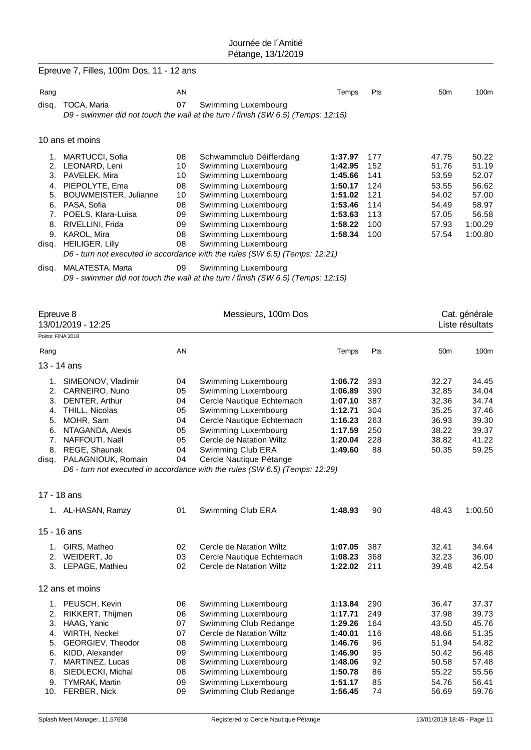|                               | Epreuve 7, Filles, 100m Dos, 11 - 12 ans                                                                                                                                                                                         |                                                                |                                                                                                                                                                                                                                                                                                                                                                                                                                  |                                                                                                 |                                                             |                                                                               |                                                                                   |
|-------------------------------|----------------------------------------------------------------------------------------------------------------------------------------------------------------------------------------------------------------------------------|----------------------------------------------------------------|----------------------------------------------------------------------------------------------------------------------------------------------------------------------------------------------------------------------------------------------------------------------------------------------------------------------------------------------------------------------------------------------------------------------------------|-------------------------------------------------------------------------------------------------|-------------------------------------------------------------|-------------------------------------------------------------------------------|-----------------------------------------------------------------------------------|
| Rang                          |                                                                                                                                                                                                                                  | AN                                                             |                                                                                                                                                                                                                                                                                                                                                                                                                                  | Temps                                                                                           | Pts                                                         | 50 <sub>m</sub>                                                               | 100m                                                                              |
| disq.                         | TOCA, Maria                                                                                                                                                                                                                      | 07                                                             | Swimming Luxembourg<br>D9 - swimmer did not touch the wall at the turn / finish (SW 6.5) (Temps: 12:15)                                                                                                                                                                                                                                                                                                                          |                                                                                                 |                                                             |                                                                               |                                                                                   |
|                               | 10 ans et moins                                                                                                                                                                                                                  |                                                                |                                                                                                                                                                                                                                                                                                                                                                                                                                  |                                                                                                 |                                                             |                                                                               |                                                                                   |
| 3.<br>4.<br>5.<br>8.<br>disq. | 1. MARTUCCI, Sofia<br>2. LEONARD, Leni<br>PAVELEK, Mira<br>PIEPOLYTE, Ema<br>BOUWMEISTER, Julianne<br>6. PASA, Sofia<br>7. POELS, Klara-Luisa<br>RIVELLINI, Frida<br>9. KAROL, Mira<br>disq. HEILIGER, Lilly<br>MALATESTA, Marta | 08<br>10<br>10<br>08<br>10<br>08<br>09<br>09<br>08<br>08<br>09 | Schwammclub Déifferdang<br>Swimming Luxembourg<br>Swimming Luxembourg<br>Swimming Luxembourg<br>Swimming Luxembourg<br>Swimming Luxembourg<br>Swimming Luxembourg<br>Swimming Luxembourg<br>Swimming Luxembourg<br>Swimming Luxembourg<br>D6 - turn not executed in accordance with the rules (SW 6.5) (Temps: 12:21)<br>Swimming Luxembourg<br>D9 - swimmer did not touch the wall at the turn / finish (SW 6.5) (Temps: 12:15) | 1:37.97<br>1:42.95<br>1:45.66<br>1:50.17<br>1:51.02<br>1:53.46<br>1:53.63<br>1:58.22<br>1:58.34 | 177<br>152<br>141<br>124<br>121<br>114<br>113<br>100<br>100 | 47.75<br>51.76<br>53.59<br>53.55<br>54.02<br>54.49<br>57.05<br>57.93<br>57.54 | 50.22<br>51.19<br>52.07<br>56.62<br>57.00<br>58.97<br>56.58<br>1:00.29<br>1:00.80 |
| Epreuve 8                     | 13/01/2019 - 12:25<br>Points: FINA 2018                                                                                                                                                                                          |                                                                | Messieurs, 100m Dos                                                                                                                                                                                                                                                                                                                                                                                                              |                                                                                                 |                                                             |                                                                               | Cat. générale<br>Liste résultats                                                  |
| Rang                          |                                                                                                                                                                                                                                  | AN                                                             |                                                                                                                                                                                                                                                                                                                                                                                                                                  | Temps                                                                                           | Pts                                                         | 50 <sub>m</sub>                                                               | 100m                                                                              |
|                               | 13 - 14 ans                                                                                                                                                                                                                      |                                                                |                                                                                                                                                                                                                                                                                                                                                                                                                                  |                                                                                                 |                                                             |                                                                               |                                                                                   |
| 4.<br>5.<br>6.<br>7.<br>disq. | 1. SIMEONOV, Vladimir<br>2. CARNEIRO, Nuno<br>3. DENTER, Arthur<br>THILL, Nicolas<br>MOHR, Sam<br>NTAGANDA, Alexis<br>NAFFOUTI, Naël<br>8. REGE, Shaunak<br>PALAGNIOUK, Romain                                                   | 04<br>05<br>04<br>05<br>04<br>05<br>05<br>04<br>04             | Swimming Luxembourg<br>Swimming Luxembourg<br>Cercle Nautique Echternach<br>Swimming Luxembourg<br>Cercle Nautique Echternach<br>Swimming Luxembourg<br>Cercle de Natation Wiltz<br>Swimming Club ERA<br>Cercle Nautique Pétange<br>D6 - turn not executed in accordance with the rules (SW 6.5) (Temps: 12:29)                                                                                                                  | 1:06.72<br>1:06.89<br>1:07.10<br>1:12.71<br>1:16.23<br>1:17.59<br>1:20.04<br>1:49.60            | 393<br>390<br>387<br>304<br>263<br>250<br>228<br>88         | 32.27<br>32.85<br>32.36<br>35.25<br>36.93<br>38.22<br>38.82<br>50.35          | 34.45<br>34.04<br>34.74<br>37.46<br>39.30<br>39.37<br>41.22<br>59.25              |
|                               | 17 - 18 ans                                                                                                                                                                                                                      |                                                                |                                                                                                                                                                                                                                                                                                                                                                                                                                  |                                                                                                 |                                                             |                                                                               |                                                                                   |
|                               | 1. AL-HASAN, Ramzy                                                                                                                                                                                                               | 01                                                             | Swimming Club ERA                                                                                                                                                                                                                                                                                                                                                                                                                | 1:48.93                                                                                         | 90                                                          | 48.43                                                                         | 1:00.50                                                                           |
|                               | 15 - 16 ans                                                                                                                                                                                                                      |                                                                |                                                                                                                                                                                                                                                                                                                                                                                                                                  |                                                                                                 |                                                             |                                                                               |                                                                                   |
|                               | 1. GIRS, Matheo<br>2. WEIDERT, Jo<br>3. LEPAGE, Mathieu                                                                                                                                                                          | 02<br>03<br>02                                                 | Cercle de Natation Wiltz<br>Cercle Nautique Echternach<br>Cercle de Natation Wiltz                                                                                                                                                                                                                                                                                                                                               | 1:07.05<br>1:08.23<br>1:22.02                                                                   | 387<br>368<br>211                                           | 32.41<br>32.23<br>39.48                                                       | 34.64<br>36.00<br>42.54                                                           |
|                               | 12 ans et moins                                                                                                                                                                                                                  |                                                                |                                                                                                                                                                                                                                                                                                                                                                                                                                  |                                                                                                 |                                                             |                                                                               |                                                                                   |
| 2.<br>3.<br>5.                | 1. PEUSCH, Kevin<br>RIKKERT, Thijmen<br>HAAG, Yanic<br>4. WIRTH, Neckel<br>GEORGIEV, Theodor<br>6. KIDD, Alexander                                                                                                               | 06<br>06<br>07<br>07<br>08<br>09                               | Swimming Luxembourg<br>Swimming Luxembourg<br>Swimming Club Redange<br>Cercle de Natation Wiltz<br>Swimming Luxembourg<br>Swimming Luxembourg                                                                                                                                                                                                                                                                                    | 1:13.84<br>1:17.71<br>1:29.26<br>1:40.01<br>1:46.76<br>1:46.90                                  | 290<br>249<br>164<br>116<br>96<br>95                        | 36.47<br>37.98<br>43.50<br>48.66<br>51.94<br>50.42                            | 37.37<br>39.73<br>45.76<br>51.35<br>54.82<br>56.48                                |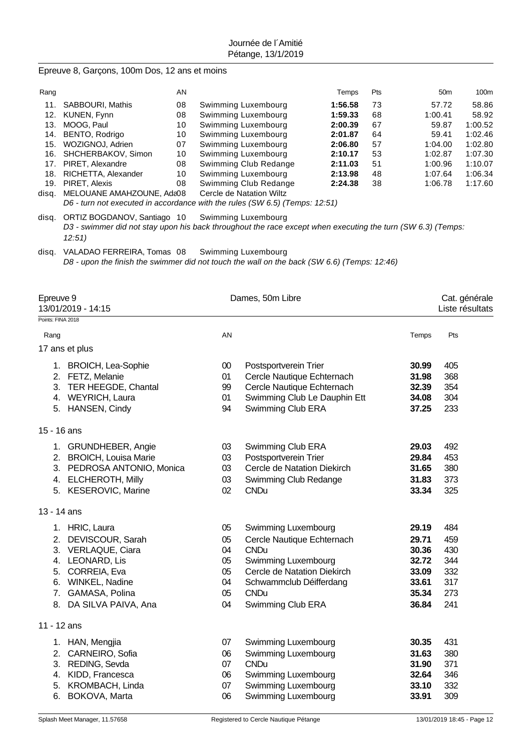Epreuve 8, Garçons, 100m Dos, 12 ans et moins

| Rang  |                                                                             | AN |                          | Temps   | <b>Pts</b> | 50 <sub>m</sub> | 100m    |  |  |  |
|-------|-----------------------------------------------------------------------------|----|--------------------------|---------|------------|-----------------|---------|--|--|--|
| 11.   | SABBOURI, Mathis                                                            | 08 | Swimming Luxembourg      | 1:56.58 | 73         | 57.72           | 58.86   |  |  |  |
|       | 12. KUNEN, Fynn                                                             | 08 | Swimming Luxembourg      | 1:59.33 | 68         | 1:00.41         | 58.92   |  |  |  |
| 13.   | MOOG, Paul                                                                  | 10 | Swimming Luxembourg      | 2:00.39 | 67         | 59.87           | 1:00.52 |  |  |  |
|       | 14. BENTO, Rodrigo                                                          | 10 | Swimming Luxembourg      | 2:01.87 | 64         | 59.41           | 1:02.46 |  |  |  |
|       | 15. WOZIGNOJ, Adrien                                                        | 07 | Swimming Luxembourg      | 2:06.80 | 57         | 1:04.00         | 1:02.80 |  |  |  |
|       | 16. SHCHERBAKOV, Simon                                                      | 10 | Swimming Luxembourg      | 2:10.17 | 53         | 1:02.87         | 1:07.30 |  |  |  |
|       | 17. PIRET, Alexandre                                                        | 08 | Swimming Club Redange    | 2:11.03 | 51         | 1:00.96         | 1:10.07 |  |  |  |
|       | 18. RICHETTA, Alexander                                                     | 10 | Swimming Luxembourg      | 2:13.98 | 48         | 1:07.64         | 1:06.34 |  |  |  |
| 19.   | PIRET, Alexis                                                               | 08 | Swimming Club Redange    | 2:24.38 | 38         | 1:06.78         | 1:17.60 |  |  |  |
| disa. | MELOUANE AMAHZOUNE, Ada08                                                   |    | Cercle de Natation Wiltz |         |            |                 |         |  |  |  |
|       | D6 - turn not executed in accordance with the rules (SW 6.5) (Temps: 12:51) |    |                          |         |            |                 |         |  |  |  |

disq. ORTIZ BOGDANOV, Santiago 10 Swimming Luxembourg *D3 - swimmer did not stay upon his back throughout the race except when executing the turn (SW 6.3) (Temps: 12:51)*

disq. VALADAO FERREIRA, Tomas 08 Swimming Luxembourg *D8 - upon the finish the swimmer did not touch the wall on the back (SW 6.6) (Temps: 12:46)*

|                   | Epreuve 9<br>13/01/2019 - 14:15                                                                                                                                    |                                              | Dames, 50m Libre                                                                                                                                                                      |                                                                      |                                                      |  |  |  |
|-------------------|--------------------------------------------------------------------------------------------------------------------------------------------------------------------|----------------------------------------------|---------------------------------------------------------------------------------------------------------------------------------------------------------------------------------------|----------------------------------------------------------------------|------------------------------------------------------|--|--|--|
| Points: FINA 2018 |                                                                                                                                                                    |                                              |                                                                                                                                                                                       |                                                                      |                                                      |  |  |  |
| Rang              |                                                                                                                                                                    | AN                                           |                                                                                                                                                                                       | Temps                                                                | Pts                                                  |  |  |  |
|                   | 17 ans et plus                                                                                                                                                     |                                              |                                                                                                                                                                                       |                                                                      |                                                      |  |  |  |
|                   | 1. BROICH, Lea-Sophie<br>2. FETZ, Melanie<br>3. TER HEEGDE, Chantal<br>4. WEYRICH, Laura<br>5. HANSEN, Cindy                                                       | $00\,$<br>01<br>99<br>01<br>94               | Postsportverein Trier<br>Cercle Nautique Echternach<br>Cercle Nautique Echternach<br>Swimming Club Le Dauphin Ett<br>Swimming Club ERA                                                | 30.99<br>31.98<br>32.39<br>34.08<br>37.25                            | 405<br>368<br>354<br>304<br>233                      |  |  |  |
| 15 - 16 ans       |                                                                                                                                                                    |                                              |                                                                                                                                                                                       |                                                                      |                                                      |  |  |  |
|                   | 1. GRUNDHEBER, Angie<br>2. BROICH, Louisa Marie<br>3. PEDROSA ANTONIO, Monica<br>4. ELCHEROTH, Milly<br>5. KESEROVIC, Marine                                       | 03<br>03<br>03<br>03<br>02                   | Swimming Club ERA<br>Postsportverein Trier<br>Cercle de Natation Diekirch<br>Swimming Club Redange<br><b>CNDu</b>                                                                     | 29.03<br>29.84<br>31.65<br>31.83<br>33.34                            | 492<br>453<br>380<br>373<br>325                      |  |  |  |
| 13 - 14 ans       |                                                                                                                                                                    |                                              |                                                                                                                                                                                       |                                                                      |                                                      |  |  |  |
| 7.                | 1. HRIC, Laura<br>2. DEVISCOUR, Sarah<br>3. VERLAQUE, Ciara<br>4. LEONARD, Lis<br>5. CORREIA, Eva<br>6. WINKEL, Nadine<br>GAMASA, Polina<br>8. DA SILVA PAIVA, Ana | 05<br>05<br>04<br>05<br>05<br>04<br>05<br>04 | Swimming Luxembourg<br>Cercle Nautique Echternach<br><b>CNDu</b><br>Swimming Luxembourg<br>Cercle de Natation Diekirch<br>Schwammclub Déifferdang<br><b>CNDu</b><br>Swimming Club ERA | 29.19<br>29.71<br>30.36<br>32.72<br>33.09<br>33.61<br>35.34<br>36.84 | 484<br>459<br>430<br>344<br>332<br>317<br>273<br>241 |  |  |  |
| 11 - 12 ans       |                                                                                                                                                                    |                                              |                                                                                                                                                                                       |                                                                      |                                                      |  |  |  |
|                   | 1. HAN, Mengjia<br>2. CARNEIRO, Sofia<br>3. REDING, Sevda<br>4. KIDD, Francesca<br>5. KROMBACH, Linda<br>6. BOKOVA, Marta                                          | 07<br>06<br>07<br>06<br>07<br>06             | Swimming Luxembourg<br>Swimming Luxembourg<br><b>CNDu</b><br>Swimming Luxembourg<br>Swimming Luxembourg<br>Swimming Luxembourg                                                        | 30.35<br>31.63<br>31.90<br>32.64<br>33.10<br>33.91                   | 431<br>380<br>371<br>346<br>332<br>309               |  |  |  |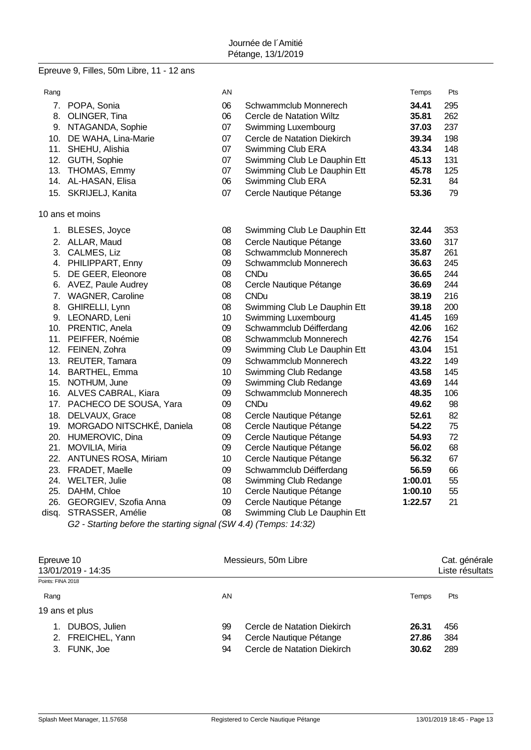## Epreuve 9, Filles, 50m Libre, 11 - 12 ans

| Rang  |                               | AN              |                              | Temps   | Pts |
|-------|-------------------------------|-----------------|------------------------------|---------|-----|
|       | 7. POPA, Sonia                | 06              | Schwammclub Monnerech        | 34.41   | 295 |
|       | 8. OLINGER, Tina              | 06              | Cercle de Natation Wiltz     | 35.81   | 262 |
|       | 9. NTAGANDA, Sophie           | 07              | Swimming Luxembourg          | 37.03   | 237 |
|       | 10. DE WAHA, Lina-Marie       | 07              | Cercle de Natation Diekirch  | 39.34   | 198 |
|       | 11. SHEHU, Alishia            | 07              | Swimming Club ERA            | 43.34   | 148 |
|       | 12. GUTH, Sophie              | 07              | Swimming Club Le Dauphin Ett | 45.13   | 131 |
|       | 13. THOMAS, Emmy              | 07              | Swimming Club Le Dauphin Ett | 45.78   | 125 |
|       | 14. AL-HASAN, Elisa           | 06              | Swimming Club ERA            | 52.31   | 84  |
|       | 15. SKRIJELJ, Kanita          | 07              | Cercle Nautique Pétange      | 53.36   | 79  |
|       | 10 ans et moins               |                 |                              |         |     |
|       | 1. BLESES, Joyce              | 08              | Swimming Club Le Dauphin Ett | 32.44   | 353 |
|       | 2. ALLAR, Maud                | 08              | Cercle Nautique Pétange      | 33.60   | 317 |
|       | 3. CALMES, Liz                | 08              | Schwammclub Monnerech        | 35.87   | 261 |
|       | 4. PHILIPPART, Enny           | 09              | Schwammclub Monnerech        | 36.63   | 245 |
|       | 5. DE GEER, Eleonore          | 80              | <b>CNDu</b>                  | 36.65   | 244 |
|       | 6. AVEZ, Paule Audrey         | 08              | Cercle Nautique Pétange      | 36.69   | 244 |
|       | 7. WAGNER, Caroline           | 80              | <b>CNDu</b>                  | 38.19   | 216 |
|       | 8. GHIRELLI, Lynn             | 08              | Swimming Club Le Dauphin Ett | 39.18   | 200 |
|       | 9. LEONARD, Leni              | 10 <sup>1</sup> | Swimming Luxembourg          | 41.45   | 169 |
|       | 10. PRENTIC, Anela            | 09              | Schwammclub Déifferdang      | 42.06   | 162 |
|       | 11. PEIFFER, Noémie           | 08              | Schwammclub Monnerech        | 42.76   | 154 |
|       | 12. FEINEN, Zohra             | 09              | Swimming Club Le Dauphin Ett | 43.04   | 151 |
|       | 13. REUTER, Tamara            | 09              | Schwammclub Monnerech        | 43.22   | 149 |
|       | 14. BARTHEL, Emma             | 10              | Swimming Club Redange        | 43.58   | 145 |
|       | 15. NOTHUM, June              | 09              | Swimming Club Redange        | 43.69   | 144 |
|       | 16. ALVES CABRAL, Kiara       | 09              | Schwammclub Monnerech        | 48.35   | 106 |
|       | 17. PACHECO DE SOUSA, Yara    | 09              | <b>CNDu</b>                  | 49.62   | 98  |
|       | 18. DELVAUX, Grace            | 08              | Cercle Nautique Pétange      | 52.61   | 82  |
|       | 19. MORGADO NITSCHKÉ, Daniela | 08              | Cercle Nautique Pétange      | 54.22   | 75  |
|       | 20. HUMEROVIC, Dina           | 09              | Cercle Nautique Pétange      | 54.93   | 72  |
|       | 21. MOVILIA, Miria            | 09              | Cercle Nautique Pétange      | 56.02   | 68  |
|       | 22. ANTUNES ROSA, Miriam      | 10              | Cercle Nautique Pétange      | 56.32   | 67  |
|       | 23. FRADET, Maelle            | 09              | Schwammclub Déifferdang      | 56.59   | 66  |
|       | 24. WELTER, Julie             | 08              | Swimming Club Redange        | 1:00.01 | 55  |
|       | 25. DAHM, Chloe               | 10              | Cercle Nautique Pétange      | 1:00.10 | 55  |
|       | 26. GEORGIEV, Szofia Anna     | 09              | Cercle Nautique Pétange      | 1:22.57 | 21  |
| disq. | STRASSER, Amélie              | 08              | Swimming Club Le Dauphin Ett |         |     |

*G2 - Starting before the starting signal (SW 4.4) (Temps: 14:32)*

| Epreuve 10<br>13/01/2019 - 14:35                   | Messieurs, 50m Libre                                                                                                               | Cat. générale<br>Liste résultats |  |
|----------------------------------------------------|------------------------------------------------------------------------------------------------------------------------------------|----------------------------------|--|
| Points: FINA 2018                                  |                                                                                                                                    |                                  |  |
| Rang                                               | AN<br>Temps                                                                                                                        | Pts                              |  |
| 19 ans et plus                                     |                                                                                                                                    |                                  |  |
| DUBOS, Julien<br>2. FREICHEL, Yann<br>3. FUNK, Joe | 99<br>Cercle de Natation Diekirch<br>26.31<br>Cercle Nautique Pétange<br>27.86<br>94<br>Cercle de Natation Diekirch<br>94<br>30.62 | 456<br>384<br>289                |  |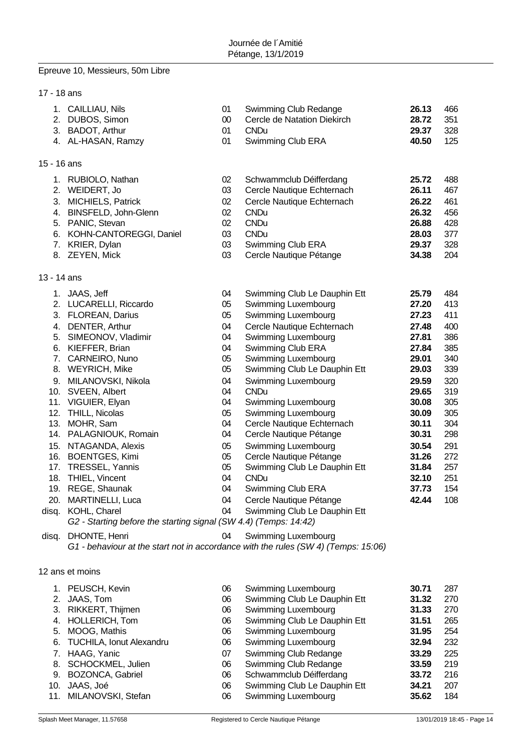# Epreuve 10, Messieurs, 50m Libre

 $1$ 

| 17 - 18 ans |                                                                                                                                                                                                                                                                                                                                                                                                                                                                                                                                                                   |                                                                                                                                  |                                                                                                                                                                                                                                                                                                                                                                                                                                                                                                                                                                         |                                                                                                                                                                                  |                                                                                                                                          |
|-------------|-------------------------------------------------------------------------------------------------------------------------------------------------------------------------------------------------------------------------------------------------------------------------------------------------------------------------------------------------------------------------------------------------------------------------------------------------------------------------------------------------------------------------------------------------------------------|----------------------------------------------------------------------------------------------------------------------------------|-------------------------------------------------------------------------------------------------------------------------------------------------------------------------------------------------------------------------------------------------------------------------------------------------------------------------------------------------------------------------------------------------------------------------------------------------------------------------------------------------------------------------------------------------------------------------|----------------------------------------------------------------------------------------------------------------------------------------------------------------------------------|------------------------------------------------------------------------------------------------------------------------------------------|
|             | 1. CAILLIAU, Nils<br>2. DUBOS, Simon<br>3. BADOT, Arthur<br>4. AL-HASAN, Ramzy                                                                                                                                                                                                                                                                                                                                                                                                                                                                                    | 01<br>$00\,$<br>01<br>01                                                                                                         | Swimming Club Redange<br>Cercle de Natation Diekirch<br><b>CNDu</b><br>Swimming Club ERA                                                                                                                                                                                                                                                                                                                                                                                                                                                                                | 26.13<br>28.72<br>29.37<br>40.50                                                                                                                                                 | 466<br>351<br>328<br>125                                                                                                                 |
| 15 - 16 ans |                                                                                                                                                                                                                                                                                                                                                                                                                                                                                                                                                                   |                                                                                                                                  |                                                                                                                                                                                                                                                                                                                                                                                                                                                                                                                                                                         |                                                                                                                                                                                  |                                                                                                                                          |
|             | 1. RUBIOLO, Nathan<br>2. WEIDERT, Jo<br>3. MICHIELS, Patrick<br>4. BINSFELD, John-Glenn<br>5. PANIC, Stevan<br>6. KOHN-CANTOREGGI, Daniel<br>7. KRIER, Dylan<br>8. ZEYEN, Mick                                                                                                                                                                                                                                                                                                                                                                                    | 02<br>03<br>02<br>02<br>$02\,$<br>03<br>03<br>03                                                                                 | Schwammclub Déifferdang<br>Cercle Nautique Echternach<br>Cercle Nautique Echternach<br><b>CNDu</b><br><b>CNDu</b><br><b>CNDu</b><br>Swimming Club ERA<br>Cercle Nautique Pétange                                                                                                                                                                                                                                                                                                                                                                                        | 25.72<br>26.11<br>26.22<br>26.32<br>26.88<br>28.03<br>29.37<br>34.38                                                                                                             | 488<br>467<br>461<br>456<br>428<br>377<br>328<br>204                                                                                     |
| 13 - 14 ans |                                                                                                                                                                                                                                                                                                                                                                                                                                                                                                                                                                   |                                                                                                                                  |                                                                                                                                                                                                                                                                                                                                                                                                                                                                                                                                                                         |                                                                                                                                                                                  |                                                                                                                                          |
| disq.       | 1. JAAS, Jeff<br>2. LUCARELLI, Riccardo<br>3. FLOREAN, Darius<br>4. DENTER, Arthur<br>5. SIMEONOV, Vladimir<br>6. KIEFFER, Brian<br>7. CARNEIRO, Nuno<br>8. WEYRICH, Mike<br>9. MILANOVSKI, Nikola<br>10. SVEEN, Albert<br>11. VIGUIER, Elyan<br>12. THILL, Nicolas<br>13. MOHR, Sam<br>14. PALAGNIOUK, Romain<br>15. NTAGANDA, Alexis<br>16. BOENTGES, Kimi<br>17. TRESSEL, Yannis<br>18. THIEL, Vincent<br>19. REGE, Shaunak<br>20. MARTINELLI, Luca<br>disq. KOHL, Charel<br>G2 - Starting before the starting signal (SW 4.4) (Temps: 14:42)<br>DHONTE, Henri | 04<br>05<br>05<br>04<br>04<br>04<br>05<br>05<br>04<br>04<br>04<br>05<br>04<br>04<br>05<br>05<br>05<br>04<br>04<br>04<br>04<br>04 | Swimming Club Le Dauphin Ett<br>Swimming Luxembourg<br>Swimming Luxembourg<br>Cercle Nautique Echternach<br>Swimming Luxembourg<br>Swimming Club ERA<br>Swimming Luxembourg<br>Swimming Club Le Dauphin Ett<br>Swimming Luxembourg<br><b>CNDu</b><br>Swimming Luxembourg<br>Swimming Luxembourg<br>Cercle Nautique Echternach<br>Cercle Nautique Pétange<br>Swimming Luxembourg<br>Cercle Nautique Pétange<br>Swimming Club Le Dauphin Ett<br><b>CNDu</b><br>Swimming Club ERA<br>Cercle Nautique Pétange<br>Swimming Club Le Dauphin Ett<br><b>Swimming Luxembourg</b> | 25.79<br>27.20<br>27.23<br>27.48<br>27.81<br>27.84<br>29.01<br>29.03<br>29.59<br>29.65<br>30.08<br>30.09<br>30.11<br>30.31<br>30.54<br>31.26<br>31.84<br>32.10<br>37.73<br>42.44 | 484<br>413<br>411<br>400<br>386<br>385<br>340<br>339<br>320<br>319<br>305<br>305<br>304<br>298<br>291<br>272<br>257<br>251<br>154<br>108 |
|             | G1 - behaviour at the start not in accordance with the rules (SW 4) (Temps: 15:06)                                                                                                                                                                                                                                                                                                                                                                                                                                                                                |                                                                                                                                  |                                                                                                                                                                                                                                                                                                                                                                                                                                                                                                                                                                         |                                                                                                                                                                                  |                                                                                                                                          |
|             | 12 ans et moins                                                                                                                                                                                                                                                                                                                                                                                                                                                                                                                                                   |                                                                                                                                  |                                                                                                                                                                                                                                                                                                                                                                                                                                                                                                                                                                         |                                                                                                                                                                                  |                                                                                                                                          |
|             |                                                                                                                                                                                                                                                                                                                                                                                                                                                                                                                                                                   |                                                                                                                                  |                                                                                                                                                                                                                                                                                                                                                                                                                                                                                                                                                                         |                                                                                                                                                                                  |                                                                                                                                          |

| 1. PEUSCH, Kevin            | 06 | Swimming Luxembourg          | 30.71 | 287 |
|-----------------------------|----|------------------------------|-------|-----|
| 2. JAAS, Tom                | 06 | Swimming Club Le Dauphin Ett | 31.32 | 270 |
| 3. RIKKERT, Thijmen         | 06 | <b>Swimming Luxembourg</b>   | 31.33 | 270 |
| 4. HOLLERICH, Tom           | 06 | Swimming Club Le Dauphin Ett | 31.51 | 265 |
| 5. MOOG, Mathis             | 06 | Swimming Luxembourg          | 31.95 | 254 |
| 6. TUCHILA, Ionut Alexandru | 06 | Swimming Luxembourg          | 32.94 | 232 |
| 7. HAAG, Yanic              | 07 | Swimming Club Redange        | 33.29 | 225 |
| 8. SCHOCKMEL, Julien        | 06 | Swimming Club Redange        | 33.59 | 219 |
| 9. BOZONCA, Gabriel         | 06 | Schwammclub Déifferdang      | 33.72 | 216 |
| 10. JAAS, Joé               | 06 | Swimming Club Le Dauphin Ett | 34.21 | 207 |
| 11. MILANOVSKI, Stefan      | 06 | Swimming Luxembourg          | 35.62 | 184 |
|                             |    |                              |       |     |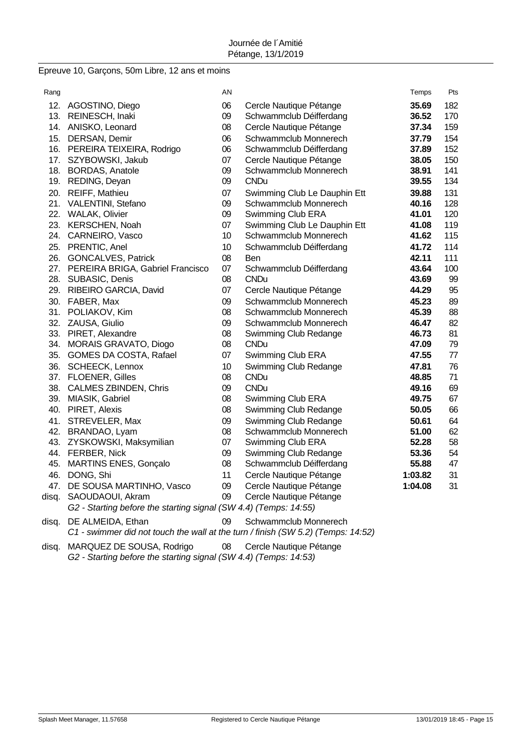### Epreuve 10, Garçons, 50m Libre, 12 ans et moins

| Rang  |                                                                  | AN              |                              | Temps   | Pts |
|-------|------------------------------------------------------------------|-----------------|------------------------------|---------|-----|
|       | 12. AGOSTINO, Diego                                              | 06              | Cercle Nautique Pétange      | 35.69   | 182 |
|       | 13. REINESCH, Inaki                                              | 09              | Schwammclub Déifferdang      | 36.52   | 170 |
|       | 14. ANISKO, Leonard                                              | 08              | Cercle Nautique Pétange      | 37.34   | 159 |
|       | 15. DERSAN, Demir                                                | 06              | Schwammclub Monnerech        | 37.79   | 154 |
|       | 16. PEREIRA TEIXEIRA, Rodrigo                                    | 06              | Schwammclub Déifferdang      | 37.89   | 152 |
|       | 17. SZYBOWSKI, Jakub                                             | 07              | Cercle Nautique Pétange      | 38.05   | 150 |
|       | 18. BORDAS, Anatole                                              | 09              | Schwammclub Monnerech        | 38.91   | 141 |
|       | 19. REDING, Deyan                                                | 09              | <b>CNDu</b>                  | 39.55   | 134 |
|       | 20. REIFF, Mathieu                                               | 07              | Swimming Club Le Dauphin Ett | 39.88   | 131 |
|       | 21. VALENTINI, Stefano                                           | 09              | Schwammclub Monnerech        | 40.16   | 128 |
|       | 22. WALAK, Olivier                                               | 09              | Swimming Club ERA            | 41.01   | 120 |
|       | 23. KERSCHEN, Noah                                               | 07              | Swimming Club Le Dauphin Ett | 41.08   | 119 |
|       | 24. CARNEIRO, Vasco                                              | 10 <sup>1</sup> | Schwammclub Monnerech        | 41.62   | 115 |
|       | 25. PRENTIC, Anel                                                | 10              | Schwammclub Déifferdang      | 41.72   | 114 |
|       | 26. GONCALVES, Patrick                                           | 08              | Ben                          | 42.11   | 111 |
|       | 27. PEREIRA BRIGA, Gabriel Francisco                             | 07              | Schwammclub Déifferdang      | 43.64   | 100 |
|       | 28. SUBASIC, Denis                                               | 08              | <b>CNDu</b>                  | 43.69   | 99  |
|       | 29. RIBEIRO GARCIA, David                                        | 07              | Cercle Nautique Pétange      | 44.29   | 95  |
|       | 30. FABER, Max                                                   | 09              | Schwammclub Monnerech        | 45.23   | 89  |
|       | 31. POLIAKOV, Kim                                                | 08              | Schwammclub Monnerech        | 45.39   | 88  |
|       | 32. ZAUSA, Giulio                                                | 09              | Schwammclub Monnerech        | 46.47   | 82  |
|       | 33. PIRET, Alexandre                                             | 08              | Swimming Club Redange        | 46.73   | 81  |
|       | 34. MORAIS GRAVATO, Diogo                                        | 08              | <b>CNDu</b>                  | 47.09   | 79  |
|       | 35. GOMES DA COSTA, Rafael                                       | 07              | Swimming Club ERA            | 47.55   | 77  |
|       | 36. SCHEECK, Lennox                                              | 10              | Swimming Club Redange        | 47.81   | 76  |
|       | 37. FLOENER, Gilles                                              | 08              | <b>CNDu</b>                  | 48.85   | 71  |
|       | 38. CALMES ZBINDEN, Chris                                        | 09              | <b>CNDu</b>                  | 49.16   | 69  |
|       | 39. MIASIK, Gabriel                                              | 08              | Swimming Club ERA            | 49.75   | 67  |
|       | 40. PIRET, Alexis                                                | 08              | Swimming Club Redange        | 50.05   | 66  |
|       | 41. STREVELER, Max                                               | 09              | Swimming Club Redange        | 50.61   | 64  |
|       | 42. BRANDAO, Lyam                                                | 08              | Schwammclub Monnerech        | 51.00   | 62  |
|       | 43. ZYSKOWSKI, Maksymilian                                       | 07              | Swimming Club ERA            | 52.28   | 58  |
|       | 44. FERBER, Nick                                                 | 09              | Swimming Club Redange        | 53.36   | 54  |
|       | 45. MARTINS ENES, Gonçalo                                        | 08              | Schwammclub Déifferdang      | 55.88   | 47  |
|       | 46. DONG, Shi                                                    | 11              | Cercle Nautique Pétange      | 1:03.82 | 31  |
|       | 47. DE SOUSA MARTINHO, Vasco                                     | 09              | Cercle Nautique Pétange      | 1:04.08 | 31  |
| disq. | SAOUDAOUI, Akram                                                 | 09              | Cercle Nautique Pétange      |         |     |
|       | G2 - Starting before the starting signal (SW 4.4) (Temps: 14:55) |                 |                              |         |     |
|       | disq. DE ALMEIDA, Ethan                                          | 09              | Schwammclub Monnerech        |         |     |

*C1 - swimmer did not touch the wall at the turn / finish (SW 5.2) (Temps: 14:52)*

disq. MARQUEZ DE SOUSA, Rodrigo 08 Cercle Nautique Pétange *G2 - Starting before the starting signal (SW 4.4) (Temps: 14:53)*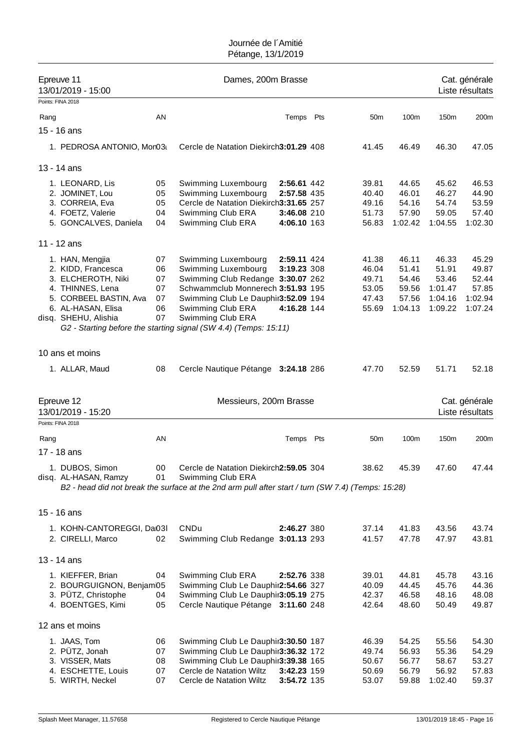|      | Epreuve 11<br>13/01/2019 - 15:00                                                                                                                        |                                        | Dames, 200m Brasse                                                                                                                                                                                                                                                        |                                                          |     |                                                    |                                                      |                                                          | Cat. générale<br>Liste résultats                       |
|------|---------------------------------------------------------------------------------------------------------------------------------------------------------|----------------------------------------|---------------------------------------------------------------------------------------------------------------------------------------------------------------------------------------------------------------------------------------------------------------------------|----------------------------------------------------------|-----|----------------------------------------------------|------------------------------------------------------|----------------------------------------------------------|--------------------------------------------------------|
|      | Points: FINA 2018                                                                                                                                       |                                        |                                                                                                                                                                                                                                                                           |                                                          |     |                                                    |                                                      |                                                          |                                                        |
| Rang |                                                                                                                                                         | AN                                     |                                                                                                                                                                                                                                                                           | Temps                                                    | Pts | 50 <sub>m</sub>                                    | 100m                                                 | 150m                                                     | 200m                                                   |
|      | 15 - 16 ans                                                                                                                                             |                                        |                                                                                                                                                                                                                                                                           |                                                          |     |                                                    |                                                      |                                                          |                                                        |
|      | 1. PEDROSA ANTONIO, Mor03                                                                                                                               |                                        | Cercle de Natation Diekirch3:01.29 408                                                                                                                                                                                                                                    |                                                          |     | 41.45                                              | 46.49                                                | 46.30                                                    | 47.05                                                  |
|      | 13 - 14 ans                                                                                                                                             |                                        |                                                                                                                                                                                                                                                                           |                                                          |     |                                                    |                                                      |                                                          |                                                        |
|      | 1. LEONARD, Lis<br>2. JOMINET, Lou<br>3. CORREIA, Eva<br>4. FOETZ, Valerie<br>5. GONCALVES, Daniela                                                     | 05<br>05<br>05<br>04<br>04             | Swimming Luxembourg<br>Swimming Luxembourg<br>Cercle de Natation Diekirch3:31.65 257<br>Swimming Club ERA<br>Swimming Club ERA                                                                                                                                            | 2:56.61 442<br>2:57.58 435<br>3:46.08 210<br>4:06.10 163 |     | 39.81<br>40.40<br>49.16<br>51.73<br>56.83          | 44.65<br>46.01<br>54.16<br>57.90<br>1:02.42          | 45.62<br>46.27<br>54.74<br>59.05<br>1:04.55              | 46.53<br>44.90<br>53.59<br>57.40<br>1:02.30            |
|      | 11 - 12 ans                                                                                                                                             |                                        |                                                                                                                                                                                                                                                                           |                                                          |     |                                                    |                                                      |                                                          |                                                        |
|      | 1. HAN, Mengjia<br>2. KIDD, Francesca<br>3. ELCHEROTH, Niki<br>4. THINNES, Lena<br>5. CORBEEL BASTIN, Ava<br>6. AL-HASAN, Elisa<br>disq. SHEHU, Alishia | 07<br>06<br>07<br>07<br>07<br>06<br>07 | Swimming Luxembourg<br>Swimming Luxembourg<br>Swimming Club Redange 3:30.07 262<br>Schwammclub Monnerech 3:51.93 195<br>Swimming Club Le Dauphir3:52.09 194<br>Swimming Club ERA<br>Swimming Club ERA<br>G2 - Starting before the starting signal (SW 4.4) (Temps: 15:11) | 2:59.11 424<br>3:19.23 308<br>4:16.28 144                |     | 41.38<br>46.04<br>49.71<br>53.05<br>47.43<br>55.69 | 46.11<br>51.41<br>54.46<br>59.56<br>57.56<br>1:04.13 | 46.33<br>51.91<br>53.46<br>1:01.47<br>1:04.16<br>1:09.22 | 45.29<br>49.87<br>52.44<br>57.85<br>1:02.94<br>1:07.24 |
|      | 10 ans et moins                                                                                                                                         |                                        |                                                                                                                                                                                                                                                                           |                                                          |     |                                                    |                                                      |                                                          |                                                        |
|      | 1. ALLAR, Maud                                                                                                                                          | 08                                     | Cercle Nautique Pétange 3:24.18 286                                                                                                                                                                                                                                       |                                                          |     | 47.70                                              | 52.59                                                | 51.71                                                    | 52.18                                                  |
|      | Epreuve 12<br>13/01/2019 - 15:20                                                                                                                        |                                        | Messieurs, 200m Brasse                                                                                                                                                                                                                                                    |                                                          |     |                                                    |                                                      |                                                          | Cat. générale<br>Liste résultats                       |
|      | Points: FINA 2018                                                                                                                                       |                                        |                                                                                                                                                                                                                                                                           |                                                          |     |                                                    |                                                      |                                                          |                                                        |
| Rang |                                                                                                                                                         | AN                                     |                                                                                                                                                                                                                                                                           | Temps Pts                                                |     | 50 <sub>m</sub>                                    | 100m                                                 | 150m                                                     | 200m                                                   |
|      | 17 - 18 ans<br>1. DUBOS, Simon<br>disq. AL-HASAN, Ramzy                                                                                                 | 00<br>01                               | Cercle de Natation Diekirch2:59.05 304<br>Swimming Club ERA<br>B2 - head did not break the surface at the 2nd arm pull after start / turn (SW 7.4) (Temps: 15:28)                                                                                                         |                                                          |     | 38.62                                              | 45.39                                                | 47.60                                                    | 47.44                                                  |
|      | 15 - 16 ans                                                                                                                                             |                                        |                                                                                                                                                                                                                                                                           |                                                          |     |                                                    |                                                      |                                                          |                                                        |
|      | 1. KOHN-CANTOREGGI, Da03I<br>2. CIRELLI, Marco                                                                                                          | 02                                     | CNDu<br>Swimming Club Redange 3:01.13 293                                                                                                                                                                                                                                 | 2:46.27 380                                              |     | 37.14<br>41.57                                     | 41.83<br>47.78                                       | 43.56<br>47.97                                           | 43.74<br>43.81                                         |
|      | 13 - 14 ans                                                                                                                                             |                                        |                                                                                                                                                                                                                                                                           |                                                          |     |                                                    |                                                      |                                                          |                                                        |
|      | 1. KIEFFER, Brian<br>2. BOURGUIGNON, Benjam05<br>3. PÜTZ, Christophe<br>4. BOENTGES, Kimi                                                               | 04<br>04<br>05                         | Swimming Club ERA<br>Swimming Club Le Dauphir2:54.66 327<br>Swimming Club Le Dauphir3:05.19 275<br>Cercle Nautique Pétange 3:11.60 248                                                                                                                                    | 2:52.76 338                                              |     | 39.01<br>40.09<br>42.37<br>42.64                   | 44.81<br>44.45<br>46.58<br>48.60                     | 45.78<br>45.76<br>48.16<br>50.49                         | 43.16<br>44.36<br>48.08<br>49.87                       |
|      | 12 ans et moins                                                                                                                                         |                                        |                                                                                                                                                                                                                                                                           |                                                          |     |                                                    |                                                      |                                                          |                                                        |
|      | 1. JAAS, Tom<br>2. PÜTZ, Jonah<br>3. VISSER, Mats<br>4. ESCHETTE, Louis<br>5. WIRTH, Neckel                                                             | 06<br>07<br>08<br>07<br>07             | Swimming Club Le Dauphir3:30.50 187<br>Swimming Club Le Dauphir3:36.32 172<br>Swimming Club Le Dauphir3:39.38 165<br>Cercle de Natation Wiltz<br>Cercle de Natation Wiltz                                                                                                 | <b>3:42.23 159</b><br>3:54.72 135                        |     | 46.39<br>49.74<br>50.67<br>50.69<br>53.07          | 54.25<br>56.93<br>56.77<br>56.79<br>59.88            | 55.56<br>55.36<br>58.67<br>56.92<br>1:02.40              | 54.30<br>54.29<br>53.27<br>57.83<br>59.37              |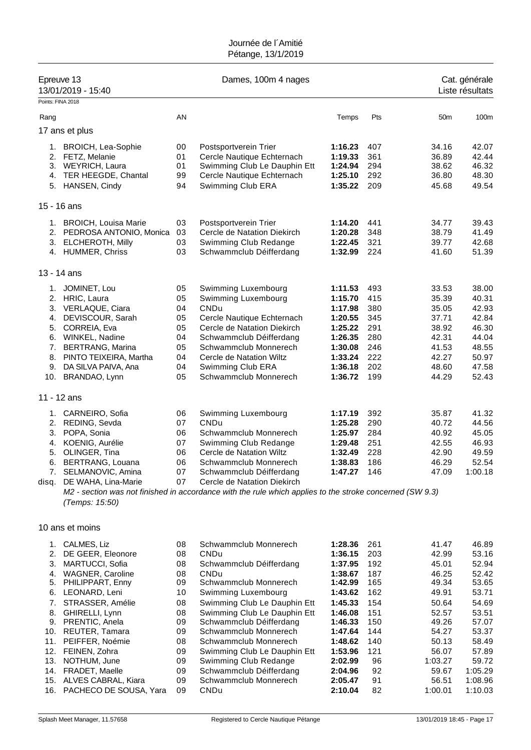| Points: FINA 2018 | Epreuve 13<br>13/01/2019 - 15:40                     |              | Dames, 100m 4 nages                                                                                      |                    |               |                  | Cat. générale<br>Liste résultats |
|-------------------|------------------------------------------------------|--------------|----------------------------------------------------------------------------------------------------------|--------------------|---------------|------------------|----------------------------------|
|                   |                                                      | AN           |                                                                                                          | Temps              | Pts           | 50 <sub>m</sub>  | 100m                             |
| Rang              |                                                      |              |                                                                                                          |                    |               |                  |                                  |
|                   | 17 ans et plus                                       |              |                                                                                                          |                    |               |                  |                                  |
| 1.                | <b>BROICH, Lea-Sophie</b>                            | 00           | Postsportverein Trier                                                                                    | 1:16.23            | 407           | 34.16            | 42.07                            |
|                   | 2. FETZ, Melanie                                     | 01           | Cercle Nautique Echternach                                                                               | 1:19.33            | 361           | 36.89            | 42.44                            |
| 4.                | 3. WEYRICH, Laura<br>TER HEEGDE, Chantal             | 01<br>99     | Swimming Club Le Dauphin Ett<br>Cercle Nautique Echternach                                               | 1:24.94<br>1:25.10 | 294<br>292    | 38.62<br>36.80   | 46.32<br>48.30                   |
|                   | 5. HANSEN, Cindy                                     | 94           | Swimming Club ERA                                                                                        | 1:35.22            | 209           | 45.68            | 49.54                            |
|                   | 15 - 16 ans                                          |              |                                                                                                          |                    |               |                  |                                  |
| 1.                | <b>BROICH, Louisa Marie</b>                          | 03           | Postsportverein Trier                                                                                    | 1:14.20            | 441           | 34.77            | 39.43                            |
| 2.                | PEDROSA ANTONIO, Monica                              | 03           | Cercle de Natation Diekirch                                                                              | 1:20.28            | 348           | 38.79            | 41.49                            |
| 3.                | <b>ELCHEROTH, Milly</b>                              | 03           | Swimming Club Redange                                                                                    | 1:22.45            | 321           | 39.77            | 42.68                            |
|                   | 4. HUMMER, Chriss                                    | 03           | Schwammclub Déifferdang                                                                                  | 1:32.99            | 224           | 41.60            | 51.39                            |
|                   | 13 - 14 ans                                          |              |                                                                                                          |                    |               |                  |                                  |
| 1.                | JOMINET, Lou                                         | 05           | Swimming Luxembourg                                                                                      | 1:11.53            | 493           | 33.53            | 38.00                            |
| 2.                | HRIC, Laura                                          | 05<br>04     | Swimming Luxembourg<br><b>CNDu</b>                                                                       | 1:15.70<br>1:17.98 | 415<br>380    | 35.39<br>35.05   | 40.31<br>42.93                   |
| 4.                | 3. VERLAQUE, Ciara<br>DEVISCOUR, Sarah               | 05           | Cercle Nautique Echternach                                                                               | 1:20.55            | 345           | 37.71            | 42.84                            |
| 5.                | CORREIA, Eva                                         | 05           | Cercle de Natation Diekirch                                                                              | 1:25.22            | 291           | 38.92            | 46.30                            |
|                   | 6. WINKEL, Nadine                                    | 04           | Schwammclub Déifferdang                                                                                  | 1:26.35            | 280           | 42.31            | 44.04                            |
| 7.                | <b>BERTRANG, Marina</b>                              | 05           | Schwammclub Monnerech                                                                                    | 1:30.08            | 246           | 41.53            | 48.55                            |
| 8.                | PINTO TEIXEIRA, Martha                               | 04           | Cercle de Natation Wiltz                                                                                 | 1:33.24            | 222           | 42.27            | 50.97                            |
| 9.<br>10.         | DA SILVA PAIVA, Ana<br>BRANDAO, Lynn                 | 04<br>05     | Swimming Club ERA<br>Schwammclub Monnerech                                                               | 1:36.18<br>1:36.72 | 202<br>199    | 48.60<br>44.29   | 47.58<br>52.43                   |
|                   | 11 - 12 ans                                          |              |                                                                                                          |                    |               |                  |                                  |
| 1.                | CARNEIRO, Sofia                                      | 06           | Swimming Luxembourg                                                                                      | 1:17.19            | 392           | 35.87            | 41.32                            |
|                   | 2. REDING, Sevda                                     | 07           | <b>CNDu</b>                                                                                              | 1:25.28            | 290           | 40.72            | 44.56                            |
| 3.                | POPA, Sonia                                          | 06           | Schwammclub Monnerech                                                                                    | 1:25.97            | 284           | 40.92            | 45.05                            |
| 4.                | KOENIG, Aurélie                                      | 07           | Swimming Club Redange                                                                                    | 1:29.48            | 251           | 42.55            | 46.93                            |
| 5.<br>6.          | OLINGER, Tina<br>BERTRANG, Louana                    | 06<br>06     | Cercle de Natation Wiltz<br>Schwammclub Monnerech                                                        | 1:32.49<br>1:38.83 | 228<br>186    | 42.90<br>46.29   | 49.59<br>52.54                   |
|                   | 7. SELMANOVIC, Amina                                 | 07           | Schwammclub Déifferdang                                                                                  | 1:47.27            | - 146         | 47.09            | 1:00.18                          |
| disq.             | DE WAHA, Lina-Marie                                  | 07           | Cercle de Natation Diekirch                                                                              |                    |               |                  |                                  |
|                   | (Temps: 15:50)                                       |              | M2 - section was not finished in accordance with the rule which applies to the stroke concerned (SW 9.3) |                    |               |                  |                                  |
|                   | 10 ans et moins                                      |              |                                                                                                          |                    |               |                  |                                  |
| 1.                | CALMES, Liz                                          | 08           | Schwammclub Monnerech                                                                                    | 1:28.36            | 261           | 41.47            | 46.89                            |
| 2.                | DE GEER, Eleonore                                    | 08           | CNDu                                                                                                     | 1:36.15            | 203           | 42.99            | 53.16                            |
| 3.                | MARTUCCI, Sofia                                      | 08           | Schwammclub Déifferdang                                                                                  | 1:37.95            | 192           | 45.01            | 52.94                            |
| 4.                | <b>WAGNER, Caroline</b>                              | 08           | CNDu                                                                                                     | 1:38.67            | 187           | 46.25            | 52.42                            |
| 5.<br>6.          | PHILIPPART, Enny<br>LEONARD, Leni                    | 09<br>10     | Schwammclub Monnerech<br>Swimming Luxembourg                                                             | 1:42.99<br>1:43.62 | 165<br>162    | 49.34<br>49.91   | 53.65<br>53.71                   |
| 7.                | STRASSER, Amélie                                     | 08           | Swimming Club Le Dauphin Ett                                                                             | 1:45.33            | 154           | 50.64            | 54.69                            |
| 8.                | GHIRELLI, Lynn                                       | 08           | Swimming Club Le Dauphin Ett                                                                             | 1:46.08            | 151           | 52.57            | 53.51                            |
|                   | 9. PRENTIC, Anela                                    | 09           | Schwammclub Déifferdang                                                                                  | 1:46.33            | 150           | 49.26            | 57.07                            |
|                   | 10. REUTER, Tamara                                   | 09           | Schwammclub Monnerech                                                                                    | 1:47.64            | 144           | 54.27            | 53.37                            |
| 11.<br>12.        | PEIFFER, Noémie<br>FEINEN, Zohra                     | 08<br>09     | Schwammclub Monnerech<br>Swimming Club Le Dauphin Ett                                                    | 1:48.62<br>1:53.96 | 140<br>121    | 50.13<br>56.07   | 58.49<br>57.89                   |
| 13.               | NOTHUM, June                                         | 09           | Swimming Club Redange                                                                                    | 2:02.99            | 96            | 1:03.27          | 59.72                            |
| 14.               | FRADET, Maelle                                       | 09           | Schwammclub Déifferdang                                                                                  | 2:04.96            | 92            | 59.67            | 1:05.29                          |
| 15.<br>AC         | ALVES CABRAL, Kiara<br><b>DACHECO DE COLICA Voro</b> | 09<br>$\cap$ | Schwammclub Monnerech<br>$\sim$ NID.                                                                     | 2:05.47<br>2.4004  | 91<br>$\circ$ | 56.51<br>1.00.01 | 1:08.96<br>1.1002                |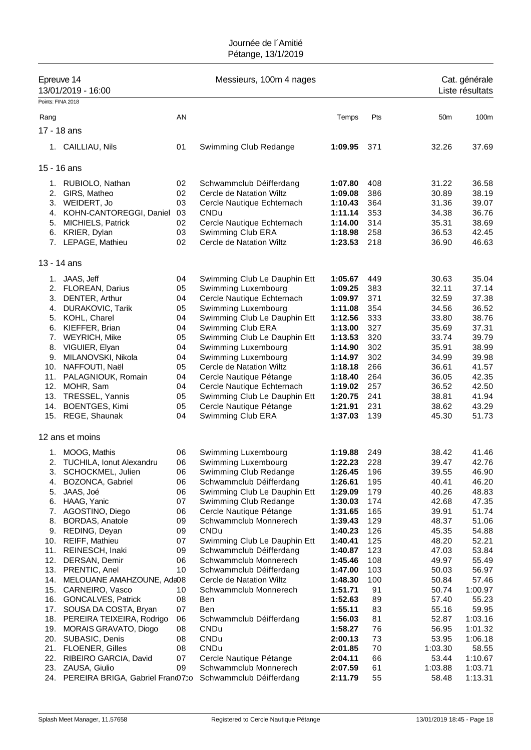| Epreuve 14<br>13/01/2019 - 16:00 |                                                |          | Messieurs, 100m 4 nages                                 |                    |            |                 | Cat. générale<br>Liste résultats |  |
|----------------------------------|------------------------------------------------|----------|---------------------------------------------------------|--------------------|------------|-----------------|----------------------------------|--|
| Points: FINA 2018                |                                                |          |                                                         |                    |            |                 |                                  |  |
| Rang                             |                                                | AN       |                                                         | Temps              | Pts        | 50 <sub>m</sub> | 100m                             |  |
|                                  | 17 - 18 ans                                    |          |                                                         |                    |            |                 |                                  |  |
|                                  |                                                |          |                                                         |                    |            |                 |                                  |  |
|                                  | 1. CAILLIAU, Nils                              | 01       | Swimming Club Redange                                   | 1:09.95            | 371        | 32.26           | 37.69                            |  |
|                                  | 15 - 16 ans                                    |          |                                                         |                    |            |                 |                                  |  |
|                                  | 1. RUBIOLO, Nathan                             | 02       | Schwammclub Déifferdang                                 | 1:07.80            | 408        | 31.22           | 36.58                            |  |
| 2.                               | GIRS, Matheo                                   | 02       | Cercle de Natation Wiltz                                | 1:09.08            | 386        | 30.89           | 38.19                            |  |
|                                  | 3. WEIDERT, Jo                                 | 03       | Cercle Nautique Echternach                              | 1:10.43            | 364        | 31.36           | 39.07                            |  |
| 4.                               | KOHN-CANTOREGGI, Daniel                        | 03       | CNDu                                                    | 1:11.14            | 353        | 34.38           | 36.76                            |  |
|                                  | 5. MICHIELS, Patrick                           | 02       | Cercle Nautique Echternach                              | 1:14.00            | 314        | 35.31           | 38.69                            |  |
|                                  | 6. KRIER, Dylan                                | 03       | Swimming Club ERA                                       | 1:18.98            | 258        | 36.53           | 42.45                            |  |
|                                  | 7. LEPAGE, Mathieu                             | 02       | Cercle de Natation Wiltz                                | 1:23.53            | 218        | 36.90           | 46.63                            |  |
|                                  | 13 - 14 ans                                    |          |                                                         |                    |            |                 |                                  |  |
| 1.                               | JAAS, Jeff                                     | 04       | Swimming Club Le Dauphin Ett                            | 1:05.67            | 449        | 30.63           | 35.04                            |  |
|                                  | 2. FLOREAN, Darius                             | 05       | Swimming Luxembourg                                     | 1:09.25            | 383        | 32.11           | 37.14                            |  |
| 3.                               | DENTER, Arthur                                 | 04       | Cercle Nautique Echternach                              | 1:09.97            | 371        | 32.59           | 37.38                            |  |
| 4.                               | <b>DURAKOVIC, Tarik</b>                        | 05       | Swimming Luxembourg                                     | 1:11.08            | 354        | 34.56           | 36.52                            |  |
|                                  | 5. KOHL, Charel                                | 04       | Swimming Club Le Dauphin Ett                            | 1:12.56            | 333        | 33.80           | 38.76                            |  |
| 6.                               | KIEFFER, Brian                                 | 04       | Swimming Club ERA                                       | 1:13.00            | 327        | 35.69           | 37.31                            |  |
| 7.                               | <b>WEYRICH, Mike</b>                           | 05       | Swimming Club Le Dauphin Ett                            | 1:13.53            | 320        | 33.74           | 39.79                            |  |
|                                  | 8. VIGUIER, Elyan                              | 04       | Swimming Luxembourg                                     | 1:14.90            | 302        | 35.91           | 38.99                            |  |
| 9.                               | MILANOVSKI, Nikola                             | 04       | Swimming Luxembourg                                     | 1:14.97            | 302        | 34.99           | 39.98                            |  |
|                                  | 10. NAFFOUTI, Naël                             | 05       | Cercle de Natation Wiltz                                | 1:18.18            | 266        | 36.61           | 41.57                            |  |
| 11.                              | PALAGNIOUK, Romain                             | 04       | Cercle Nautique Pétange                                 | 1:18.40            | 264        | 36.05           | 42.35                            |  |
| 12.                              | MOHR, Sam                                      | 04       | Cercle Nautique Echternach                              | 1:19.02            | 257        | 36.52           | 42.50                            |  |
| 13.<br>14.                       | TRESSEL, Yannis<br><b>BOENTGES, Kimi</b>       | 05<br>05 | Swimming Club Le Dauphin Ett<br>Cercle Nautique Pétange | 1:20.75            | 241<br>231 | 38.81           | 41.94<br>43.29                   |  |
|                                  | 15. REGE, Shaunak                              | 04       | Swimming Club ERA                                       | 1:21.91<br>1:37.03 | 139        | 38.62<br>45.30  | 51.73                            |  |
|                                  | 12 ans et moins                                |          |                                                         |                    |            |                 |                                  |  |
|                                  |                                                | 06       |                                                         | 1:19.88            | 249        | 38.42           | 41.46                            |  |
|                                  | 1. MOOG, Mathis<br>2. TUCHILA, Ionut Alexandru | 06       | Swimming Luxembourg<br>Swimming Luxembourg              | 1:22.23            | 228        | 39.47           | 42.76                            |  |
| 3.                               | SCHOCKMEL, Julien                              | 06       | Swimming Club Redange                                   | 1:26.45            | 196        | 39.55           | 46.90                            |  |
| 4.                               | BOZONCA, Gabriel                               | 06       | Schwammclub Déifferdang                                 | 1:26.61            | 195        | 40.41           | 46.20                            |  |
| 5.                               | JAAS, Joé                                      | 06       | Swimming Club Le Dauphin Ett                            | 1:29.09            | 179        | 40.26           | 48.83                            |  |
| 6.                               | HAAG, Yanic                                    | 07       | Swimming Club Redange                                   | 1:30.03            | 174        | 42.68           | 47.35                            |  |
| 7.                               | AGOSTINO, Diego                                | 06       | Cercle Nautique Pétange                                 | 1:31.65            | 165        | 39.91           | 51.74                            |  |
| 8.                               | <b>BORDAS, Anatole</b>                         | 09       | Schwammclub Monnerech                                   | 1:39.43            | 129        | 48.37           | 51.06                            |  |
| 9.                               | REDING, Deyan                                  | 09       | CNDu                                                    | 1:40.23            | 126        | 45.35           | 54.88                            |  |
| 10.                              | REIFF, Mathieu                                 | 07       | Swimming Club Le Dauphin Ett                            | 1:40.41            | 125        | 48.20           | 52.21                            |  |
| 11.                              | REINESCH, Inaki                                | 09       | Schwammclub Déifferdang                                 | 1:40.87            | 123        | 47.03           | 53.84                            |  |
| 12.                              | DERSAN, Demir                                  | 06       | Schwammclub Monnerech                                   | 1:45.46            | 108        | 49.97           | 55.49                            |  |
|                                  | 13. PRENTIC, Anel                              | 10       | Schwammclub Déifferdang                                 | 1:47.00            | 103        | 50.03           | 56.97                            |  |
| 14.                              | MELOUANE AMAHZOUNE, Ada08                      |          | Cercle de Natation Wiltz                                | 1:48.30            | 100        | 50.84           | 57.46                            |  |
| 15.                              | CARNEIRO, Vasco                                | 10       | Schwammclub Monnerech                                   | 1:51.71            | 91         | 50.74           | 1:00.97                          |  |
| 16.                              | <b>GONCALVES, Patrick</b>                      | 08       | Ben                                                     | 1:52.63            | 89         | 57.40           | 55.23                            |  |
| 17.                              | SOUSA DA COSTA, Bryan                          | 07       | Ben                                                     | 1:55.11            | 83         | 55.16           | 59.95                            |  |
|                                  | 18. PEREIRA TEIXEIRA, Rodrigo                  | 06       | Schwammclub Déifferdang                                 | 1:56.03            | 81         | 52.87           | 1:03.16                          |  |
| 19.                              | MORAIS GRAVATO, Diogo                          | 08       | CNDu                                                    | 1:58.27            | 76         | 56.95           | 1:01.32                          |  |
|                                  | 20. SUBASIC, Denis                             | 08       | CNDu                                                    | 2:00.13            | 73         | 53.95           | 1:06.18                          |  |
| 21.                              | <b>FLOENER, Gilles</b>                         | 08       | CNDu                                                    | 2:01.85            | 70         | 1:03.30         | 58.55                            |  |
| 22.                              | RIBEIRO GARCIA, David                          | 07<br>09 | Cercle Nautique Pétange<br>Schwammclub Monnerech        | 2:04.11            | 66         | 53.44           | 1:10.67                          |  |
| 23.                              | ZAUSA, Giulio                                  |          | Schwammclub Déifferdang                                 | 2:07.59            | 61         | 1:03.88         | 1:03.71<br>1:13.31               |  |
|                                  | 24. PEREIRA BRIGA, Gabriel Fran 07:0           |          |                                                         | 2:11.79            | 55         | 58.48           |                                  |  |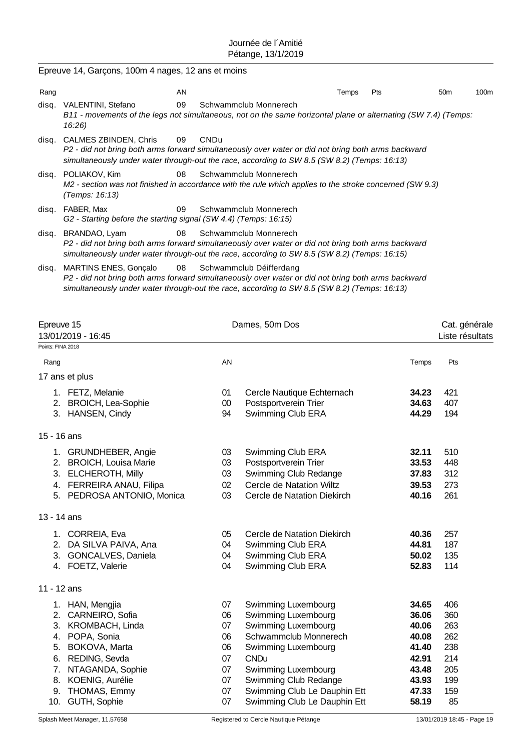|       | Epreuve 14, Garçons, 100m 4 nages, 12 ans et moins                                                                                                                                                                                                 |             |                                              |                |                                  |                  |  |  |
|-------|----------------------------------------------------------------------------------------------------------------------------------------------------------------------------------------------------------------------------------------------------|-------------|----------------------------------------------|----------------|----------------------------------|------------------|--|--|
| Rang  | AN                                                                                                                                                                                                                                                 |             | Temps                                        | Pts            | 50m                              | 100 <sub>m</sub> |  |  |
| disq. | 09<br>VALENTINI, Stefano<br>B11 - movements of the legs not simultaneous, not on the same horizontal plane or alternating (SW 7.4) (Temps:<br>16:26                                                                                                |             | Schwammclub Monnerech                        |                |                                  |                  |  |  |
| disq. | CALMES ZBINDEN, Chris<br>09<br>P2 - did not bring both arms forward simultaneously over water or did not bring both arms backward<br>simultaneously under water through-out the race, according to SW 8.5 (SW 8.2) (Temps: 16:13)                  | <b>CNDu</b> |                                              |                |                                  |                  |  |  |
| disq. | POLIAKOV, Kim<br>08<br>M2 - section was not finished in accordance with the rule which applies to the stroke concerned (SW 9.3)<br>(Temps: 16:13)                                                                                                  |             | Schwammclub Monnerech                        |                |                                  |                  |  |  |
| disq. | FABER, Max<br>09<br>Schwammclub Monnerech<br>G2 - Starting before the starting signal (SW 4.4) (Temps: 16:15)                                                                                                                                      |             |                                              |                |                                  |                  |  |  |
| disq. | 08<br>Schwammclub Monnerech<br>BRANDAO, Lyam<br>P2 - did not bring both arms forward simultaneously over water or did not bring both arms backward<br>simultaneously under water through-out the race, according to SW 8.5 (SW 8.2) (Temps: 16:15) |             |                                              |                |                                  |                  |  |  |
| disq. | <b>MARTINS ENES, Gonçalo</b><br>08<br>P2 - did not bring both arms forward simultaneously over water or did not bring both arms backward<br>simultaneously under water through-out the race, according to SW 8.5 (SW 8.2) (Temps: 16:13)           |             | Schwammclub Déifferdang                      |                |                                  |                  |  |  |
|       | Epreuve 15<br>13/01/2019 - 16:45                                                                                                                                                                                                                   |             | Dames, 50m Dos                               |                | Cat. générale<br>Liste résultats |                  |  |  |
|       | Points: FINA 2018                                                                                                                                                                                                                                  |             |                                              |                |                                  |                  |  |  |
|       | Rang                                                                                                                                                                                                                                               | AN          |                                              | Temps          | Pts                              |                  |  |  |
|       | 17 ans et plus                                                                                                                                                                                                                                     |             |                                              |                |                                  |                  |  |  |
|       | 1. FETZ, Melanie                                                                                                                                                                                                                                   | 01          | Cercle Nautique Echternach                   | 34.23          | 421                              |                  |  |  |
|       | 2. BROICH, Lea-Sophie                                                                                                                                                                                                                              | 00          | Postsportverein Trier                        | 34.63          | 407                              |                  |  |  |
|       | 3. HANSEN, Cindy                                                                                                                                                                                                                                   | 94          | Swimming Club ERA                            | 44.29          | 194                              |                  |  |  |
|       | 15 - 16 ans                                                                                                                                                                                                                                        |             |                                              |                |                                  |                  |  |  |
|       | 1. GRUNDHEBER, Angie                                                                                                                                                                                                                               | 03          | Swimming Club ERA                            | 32.11          | 510                              |                  |  |  |
|       | 2. BROICH, Louisa Marie                                                                                                                                                                                                                            | 03          | Postsportverein Trier                        | 33.53          | 448                              |                  |  |  |
|       | 3. ELCHEROTH, Milly                                                                                                                                                                                                                                | 03          | Swimming Club Redange                        | 37.83          | 312                              |                  |  |  |
|       | 4. FERREIRA ANAU, Filipa                                                                                                                                                                                                                           | 02          | Cercle de Natation Wiltz                     | 39.53          | 273                              |                  |  |  |
|       | 5. PEDROSA ANTONIO, Monica                                                                                                                                                                                                                         | 03          | Cercle de Natation Diekirch                  | 40.16          | 261                              |                  |  |  |
|       | 13 - 14 ans                                                                                                                                                                                                                                        |             |                                              |                |                                  |                  |  |  |
|       | 1. CORREIA, Eva                                                                                                                                                                                                                                    | 05          | Cercle de Natation Diekirch                  | 40.36          | 257                              |                  |  |  |
|       | 2. DA SILVA PAIVA, Ana                                                                                                                                                                                                                             | 04          | Swimming Club ERA                            | 44.81          | 187                              |                  |  |  |
|       | 3. GONCALVES, Daniela                                                                                                                                                                                                                              | 04          | Swimming Club ERA                            | 50.02          | 135                              |                  |  |  |
|       | 4. FOETZ, Valerie                                                                                                                                                                                                                                  | 04          | Swimming Club ERA                            | 52.83          | 114                              |                  |  |  |
|       | 11 - 12 ans                                                                                                                                                                                                                                        |             |                                              |                |                                  |                  |  |  |
|       | 1. HAN, Mengjia                                                                                                                                                                                                                                    | 07          | Swimming Luxembourg                          | 34.65          | 406                              |                  |  |  |
|       | 2. CARNEIRO, Sofia                                                                                                                                                                                                                                 | 06          | Swimming Luxembourg                          | 36.06          | 360                              |                  |  |  |
|       | 3. KROMBACH, Linda                                                                                                                                                                                                                                 | 07          | Swimming Luxembourg                          | 40.06          | 263                              |                  |  |  |
|       | 4. POPA, Sonia                                                                                                                                                                                                                                     | 06          | Schwammclub Monnerech                        | 40.08          | 262                              |                  |  |  |
|       | BOKOVA, Marta<br>5.                                                                                                                                                                                                                                | 06          | Swimming Luxembourg                          | 41.40          | 238                              |                  |  |  |
|       | REDING, Sevda<br>6.                                                                                                                                                                                                                                | 07          | <b>CNDu</b>                                  | 42.91          | 214                              |                  |  |  |
|       | NTAGANDA, Sophie<br>7.<br>KOENIG, Aurélie<br>8.                                                                                                                                                                                                    | 07<br>07    | Swimming Luxembourg<br>Swimming Club Redange | 43.48<br>43.93 | 205<br>199                       |                  |  |  |
|       | THOMAS, Emmy<br>9.                                                                                                                                                                                                                                 | 07          | Swimming Club Le Dauphin Ett                 | 47.33          | 159                              |                  |  |  |
|       | 10. GUTH, Sophie                                                                                                                                                                                                                                   | 07          | Swimming Club Le Dauphin Ett                 | 58.19          | 85                               |                  |  |  |
|       |                                                                                                                                                                                                                                                    |             |                                              |                |                                  |                  |  |  |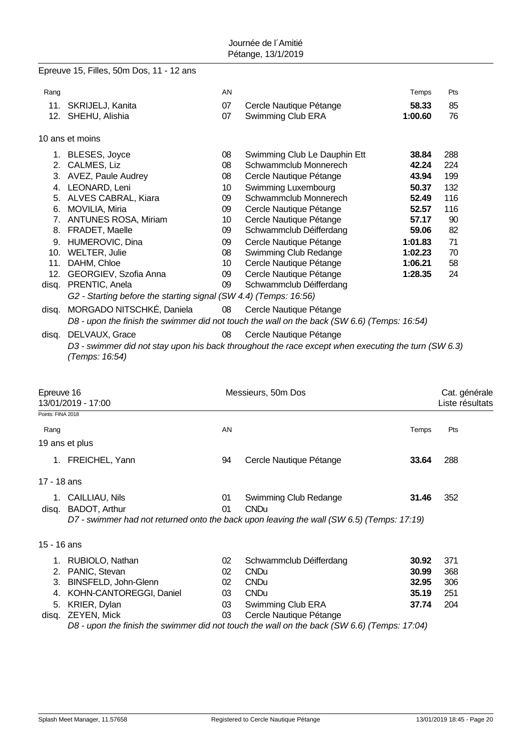# Epreuve 15, Filles, 50m Dos, 11 - 12 ans

| Rang  |                                                                  | <b>AN</b>       |                                                                                                     | Temps   | Pts |
|-------|------------------------------------------------------------------|-----------------|-----------------------------------------------------------------------------------------------------|---------|-----|
|       | 11. SKRIJELJ, Kanita                                             | 07              | Cercle Nautique Pétange                                                                             | 58.33   | 85  |
|       | 12. SHEHU, Alishia                                               | 07              | Swimming Club ERA                                                                                   | 1:00.60 | 76  |
|       |                                                                  |                 |                                                                                                     |         |     |
|       | 10 ans et moins                                                  |                 |                                                                                                     |         |     |
|       | 1. BLESES, Joyce                                                 | 08              | Swimming Club Le Dauphin Ett                                                                        | 38.84   | 288 |
| 2.    | CALMES, Liz                                                      | 08              | Schwammclub Monnerech                                                                               | 42.24   | 224 |
| 3.    | AVEZ, Paule Audrey                                               | 08              | Cercle Nautique Pétange                                                                             | 43.94   | 199 |
| 4.    | LEONARD, Leni                                                    | 10 <sup>°</sup> | Swimming Luxembourg                                                                                 | 50.37   | 132 |
| 5.    | ALVES CABRAL, Kiara                                              | 09              | Schwammclub Monnerech                                                                               | 52.49   | 116 |
| 6.    | MOVILIA, Miria                                                   | 09              | Cercle Nautique Pétange                                                                             | 52.57   | 116 |
| 7.    | <b>ANTUNES ROSA, Miriam</b>                                      | 10              | Cercle Nautique Pétange                                                                             | 57.17   | 90  |
| 8.    | FRADET, Maelle                                                   | 09              | Schwammclub Déifferdang                                                                             | 59.06   | 82  |
| 9.    | HUMEROVIC, Dina                                                  | 09              | Cercle Nautique Pétange                                                                             | 1:01.83 | 71  |
| 10.   | WELTER, Julie                                                    | 08              | Swimming Club Redange                                                                               | 1:02.23 | 70  |
| 11.   | DAHM, Chloe                                                      | 10              | Cercle Nautique Pétange                                                                             | 1:06.21 | 58  |
| 12.   | GEORGIEV, Szofia Anna                                            | 09              | Cercle Nautique Pétange                                                                             | 1:28.35 | 24  |
| disg. | PRENTIC, Anela                                                   | 09              | Schwammclub Déifferdang                                                                             |         |     |
|       | G2 - Starting before the starting signal (SW 4.4) (Temps: 16:56) |                 |                                                                                                     |         |     |
| disq. | MORGADO NITSCHKÉ, Daniela                                        | 08              | Cercle Nautique Pétange                                                                             |         |     |
|       |                                                                  |                 | D8 - upon the finish the swimmer did not touch the wall on the back (SW 6.6) (Temps: 16:54)         |         |     |
| disq. | DELVAUX, Grace                                                   | 08              | Cercle Nautique Pétange                                                                             |         |     |
|       | (Temps: 16:54)                                                   |                 | D3 - swimmer did not stay upon his back throughout the race except when executing the turn (SW 6.3) |         |     |

| Epreuve 16<br>13/01/2019 - 17:00 |                                                                                             |    | Messieurs, 50m Dos      |       | Cat. générale<br>Liste résultats |  |
|----------------------------------|---------------------------------------------------------------------------------------------|----|-------------------------|-------|----------------------------------|--|
| Points: FINA 2018                |                                                                                             |    |                         |       |                                  |  |
| Rang                             |                                                                                             | AN |                         | Temps | Pts                              |  |
|                                  | 19 ans et plus                                                                              |    |                         |       |                                  |  |
| $1_{\cdot}$                      | FREICHEL, Yann                                                                              | 94 | Cercle Nautique Pétange | 33.64 | 288                              |  |
| 17 - 18 ans                      |                                                                                             |    |                         |       |                                  |  |
| 1.                               | CAILLIAU, Nils                                                                              | 01 | Swimming Club Redange   | 31.46 | 352                              |  |
| disq.                            | BADOT, Arthur                                                                               | 01 | <b>CNDu</b>             |       |                                  |  |
|                                  | D7 - swimmer had not returned onto the back upon leaving the wall (SW 6.5) (Temps: 17:19)   |    |                         |       |                                  |  |
| 15 - 16 ans                      |                                                                                             |    |                         |       |                                  |  |
|                                  | RUBIOLO, Nathan                                                                             | 02 | Schwammclub Déifferdang | 30.92 | 371                              |  |
| 2.                               | PANIC, Stevan                                                                               | 02 | <b>CNDu</b>             | 30.99 | 368                              |  |
| 3.                               | BINSFELD, John-Glenn                                                                        | 02 | <b>CNDu</b>             | 32.95 | 306                              |  |
| 4.                               | KOHN-CANTOREGGI, Daniel                                                                     | 03 | <b>CNDu</b>             | 35.19 | 251                              |  |
| 5.                               | KRIER, Dylan                                                                                | 03 | Swimming Club ERA       | 37.74 | 204                              |  |
| disq.                            | <b>ZEYEN, Mick</b>                                                                          | 03 | Cercle Nautique Pétange |       |                                  |  |
|                                  | D8 - upon the finish the swimmer did not touch the wall on the back (SW 6.6) (Temps: 17:04) |    |                         |       |                                  |  |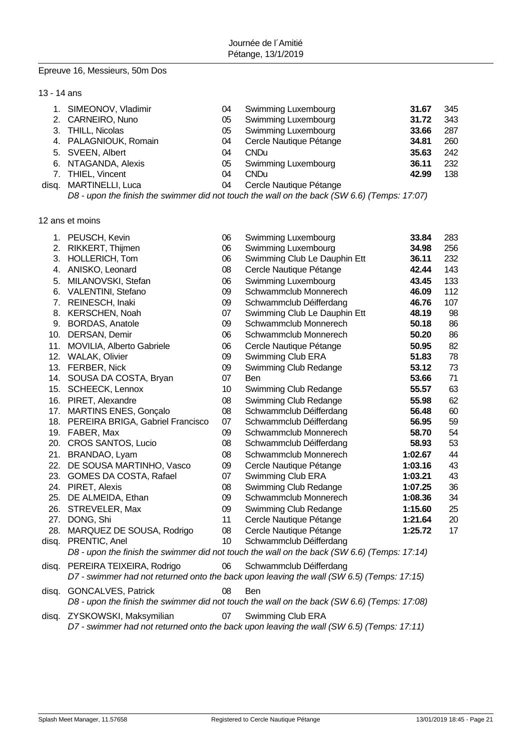## Epreuve 16, Messieurs, 50m Dos

|  |  | 13 - 14 ans |
|--|--|-------------|
|--|--|-------------|

| 1. SIMEONOV, Vladimir  | 04 | Swimming Luxembourg                                                                                                             | 31.67 | 345 |
|------------------------|----|---------------------------------------------------------------------------------------------------------------------------------|-------|-----|
| 2. CARNEIRO, Nuno      | 05 | <b>Swimming Luxembourg</b>                                                                                                      | 31.72 | 343 |
| 3. THILL, Nicolas      | 05 | Swimming Luxembourg                                                                                                             | 33.66 | 287 |
| 4. PALAGNIOUK, Romain  | 04 | Cercle Nautique Pétange                                                                                                         | 34.81 | 260 |
| 5. SVEEN, Albert       | 04 | <b>CNDu</b>                                                                                                                     | 35.63 | 242 |
| 6. NTAGANDA, Alexis    | 05 | <b>Swimming Luxembourg</b>                                                                                                      | 36.11 | 232 |
| 7. THIEL, Vincent      | 04 | <b>CNDu</b>                                                                                                                     | 42.99 | 138 |
| disq. MARTINELLI, Luca | 04 | Cercle Nautique Pétange                                                                                                         |       |     |
|                        |    | $\mathsf{D0}$ and the field the column of distinct trade the sualling the heal (OULO O) (Transection $\mathsf{A2}\mathsf{O7}$ ) |       |     |

*D8 - upon the finish the swimmer did not touch the wall on the back (SW 6.6) (Temps: 17:07)*

12 ans et moins

|       | 1. PEUSCH, Kevin                     | 06 | Swimming Luxembourg                                                                         | 33.84   | 283 |
|-------|--------------------------------------|----|---------------------------------------------------------------------------------------------|---------|-----|
| 2.    | RIKKERT, Thijmen                     | 06 | Swimming Luxembourg                                                                         | 34.98   | 256 |
|       | 3. HOLLERICH, Tom                    | 06 | Swimming Club Le Dauphin Ett                                                                | 36.11   | 232 |
| 4.    | ANISKO, Leonard                      | 08 | Cercle Nautique Pétange                                                                     | 42.44   | 143 |
| 5.    | MILANOVSKI, Stefan                   | 06 | Swimming Luxembourg                                                                         | 43.45   | 133 |
|       | 6. VALENTINI, Stefano                | 09 | Schwammclub Monnerech                                                                       | 46.09   | 112 |
|       | 7. REINESCH, Inaki                   | 09 | Schwammclub Déifferdang                                                                     | 46.76   | 107 |
|       | 8. KERSCHEN, Noah                    | 07 | Swimming Club Le Dauphin Ett                                                                | 48.19   | 98  |
|       | 9. BORDAS, Anatole                   | 09 | Schwammclub Monnerech                                                                       | 50.18   | 86  |
|       | 10. DERSAN, Demir                    | 06 | Schwammclub Monnerech                                                                       | 50.20   | 86  |
| 11.   | MOVILIA, Alberto Gabriele            | 06 | Cercle Nautique Pétange                                                                     | 50.95   | 82  |
|       | 12. WALAK, Olivier                   | 09 | Swimming Club ERA                                                                           | 51.83   | 78  |
|       | 13. FERBER, Nick                     | 09 | Swimming Club Redange                                                                       | 53.12   | 73  |
|       | 14. SOUSA DA COSTA, Bryan            | 07 | <b>Ben</b>                                                                                  | 53.66   | 71  |
|       | 15. SCHEECK, Lennox                  | 10 | Swimming Club Redange                                                                       | 55.57   | 63  |
|       | 16. PIRET, Alexandre                 | 08 | Swimming Club Redange                                                                       | 55.98   | 62  |
|       | 17. MARTINS ENES, Gonçalo            | 08 | Schwammclub Déifferdang                                                                     | 56.48   | 60  |
|       | 18. PEREIRA BRIGA, Gabriel Francisco | 07 | Schwammclub Déifferdang                                                                     | 56.95   | 59  |
|       | 19. FABER, Max                       | 09 | Schwammclub Monnerech                                                                       | 58.70   | 54  |
|       | 20. CROS SANTOS, Lucio               | 08 | Schwammclub Déifferdang                                                                     | 58.93   | 53  |
|       | 21. BRANDAO, Lyam                    | 08 | Schwammclub Monnerech                                                                       | 1:02.67 | 44  |
|       | 22. DE SOUSA MARTINHO, Vasco         | 09 | Cercle Nautique Pétange                                                                     | 1:03.16 | 43  |
|       | 23. GOMES DA COSTA, Rafael           | 07 | Swimming Club ERA                                                                           | 1:03.21 | 43  |
|       | 24. PIRET, Alexis                    | 08 | Swimming Club Redange                                                                       | 1:07.25 | 36  |
|       | 25. DE ALMEIDA, Ethan                | 09 | Schwammclub Monnerech                                                                       | 1:08.36 | 34  |
|       | 26. STREVELER, Max                   | 09 | Swimming Club Redange                                                                       | 1:15.60 | 25  |
|       | 27. DONG, Shi                        | 11 | Cercle Nautique Pétange                                                                     | 1:21.64 | 20  |
| 28.   | MARQUEZ DE SOUSA, Rodrigo            | 08 | Cercle Nautique Pétange                                                                     | 1:25.72 | 17  |
| disq. | PRENTIC, Anel                        | 10 | Schwammclub Déifferdang                                                                     |         |     |
|       |                                      |    | D8 - upon the finish the swimmer did not touch the wall on the back (SW 6.6) (Temps: 17:14) |         |     |
| disq. | PEREIRA TEIXEIRA, Rodrigo            | 06 | Schwammclub Déifferdang                                                                     |         |     |
|       |                                      |    | D7 - swimmer had not returned onto the back upon leaving the wall (SW 6.5) (Temps: 17:15)   |         |     |
| disq. | <b>GONCALVES, Patrick</b>            | 08 | Ben                                                                                         |         |     |
|       |                                      |    | D8 - upon the finish the swimmer did not touch the wall on the back (SW 6.6) (Temps: 17:08) |         |     |
| disq. | ZYSKOWSKI, Maksymilian               | 07 | Swimming Club ERA                                                                           |         |     |
|       |                                      |    | D7 - swimmer had not returned onto the back upon leaving the wall (SW 6.5) (Temps: 17:11)   |         |     |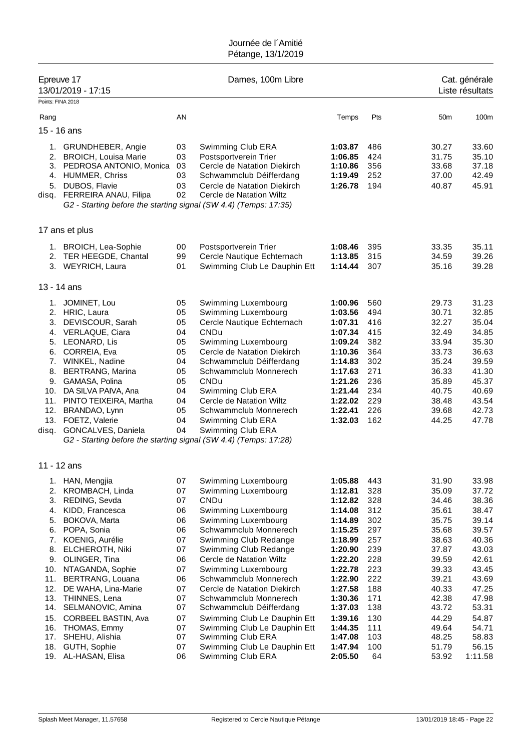| Epreuve 17<br>13/01/2019 - 17:15<br>Points: FINA 2018 |                                                                                                                                                   |                                  | Dames, 100m Libre                                                                                                                                               |                                                     | Cat. générale<br>Liste résultats |                                           |                                           |
|-------------------------------------------------------|---------------------------------------------------------------------------------------------------------------------------------------------------|----------------------------------|-----------------------------------------------------------------------------------------------------------------------------------------------------------------|-----------------------------------------------------|----------------------------------|-------------------------------------------|-------------------------------------------|
|                                                       |                                                                                                                                                   |                                  |                                                                                                                                                                 |                                                     |                                  |                                           |                                           |
| Rang                                                  |                                                                                                                                                   | AN                               |                                                                                                                                                                 | Temps                                               | Pts                              | 50 <sub>m</sub>                           | 100m                                      |
|                                                       | 15 - 16 ans                                                                                                                                       |                                  |                                                                                                                                                                 |                                                     |                                  |                                           |                                           |
| 2.<br>3.<br>4.<br>5.<br>disq.                         | 1. GRUNDHEBER, Angie<br><b>BROICH, Louisa Marie</b><br>PEDROSA ANTONIO, Monica<br><b>HUMMER, Chriss</b><br>DUBOS, Flavie<br>FERREIRA ANAU, Filipa | 03<br>03<br>03<br>03<br>03<br>02 | Swimming Club ERA<br>Postsportverein Trier<br>Cercle de Natation Diekirch<br>Schwammclub Déifferdang<br>Cercle de Natation Diekirch<br>Cercle de Natation Wiltz | 1:03.87<br>1:06.85<br>1:10.86<br>1:19.49<br>1:26.78 | 486<br>424<br>356<br>252<br>194  | 30.27<br>31.75<br>33.68<br>37.00<br>40.87 | 33.60<br>35.10<br>37.18<br>42.49<br>45.91 |
|                                                       | G2 - Starting before the starting signal (SW 4.4) (Temps: 17:35)                                                                                  |                                  |                                                                                                                                                                 |                                                     |                                  |                                           |                                           |
|                                                       | 17 ans et plus                                                                                                                                    |                                  |                                                                                                                                                                 |                                                     |                                  |                                           |                                           |
|                                                       | 1. BROICH, Lea-Sophie                                                                                                                             | 00                               | Postsportverein Trier                                                                                                                                           | 1:08.46                                             | 395                              | 33.35                                     | 35.11                                     |
|                                                       | 2. TER HEEGDE, Chantal                                                                                                                            | 99                               | Cercle Nautique Echternach                                                                                                                                      | 1:13.85                                             | 315                              | 34.59                                     | 39.26                                     |
|                                                       | 3. WEYRICH, Laura                                                                                                                                 | 01                               | Swimming Club Le Dauphin Ett                                                                                                                                    | 1:14.44                                             | 307                              | 35.16                                     | 39.28                                     |
|                                                       | 13 - 14 ans                                                                                                                                       |                                  |                                                                                                                                                                 |                                                     |                                  |                                           |                                           |
| 1.                                                    | JOMINET, Lou                                                                                                                                      | 05                               | Swimming Luxembourg                                                                                                                                             | 1:00.96                                             | 560                              | 29.73                                     | 31.23                                     |
|                                                       | 2. HRIC, Laura                                                                                                                                    | 05                               | Swimming Luxembourg                                                                                                                                             | 1:03.56                                             | 494                              | 30.71                                     | 32.85                                     |
| 3.                                                    | DEVISCOUR, Sarah                                                                                                                                  | 05                               | Cercle Nautique Echternach                                                                                                                                      | 1:07.31                                             | 416                              | 32.27                                     | 35.04                                     |
|                                                       | 4. VERLAQUE, Ciara                                                                                                                                | 04                               | CNDu                                                                                                                                                            | 1:07.34                                             | 415                              | 32.49                                     | 34.85                                     |
| 5.<br>6.                                              | LEONARD, Lis                                                                                                                                      | 05<br>05                         | Swimming Luxembourg<br>Cercle de Natation Diekirch                                                                                                              | 1:09.24<br>1:10.36                                  | 382<br>364                       | 33.94<br>33.73                            | 35.30                                     |
|                                                       | CORREIA, Eva<br>7. WINKEL, Nadine                                                                                                                 | 04                               | Schwammclub Déifferdang                                                                                                                                         | 1:14.83                                             | 302                              | 35.24                                     | 36.63<br>39.59                            |
| 8.                                                    | <b>BERTRANG, Marina</b>                                                                                                                           | 05                               | Schwammclub Monnerech                                                                                                                                           | 1:17.63                                             | 271                              | 36.33                                     | 41.30                                     |
|                                                       | 9. GAMASA, Polina                                                                                                                                 | 05                               | CNDu                                                                                                                                                            | 1:21.26                                             | 236                              | 35.89                                     | 45.37                                     |
| 10.                                                   | DA SILVA PAIVA, Ana                                                                                                                               | 04                               | Swimming Club ERA                                                                                                                                               | 1:21.44                                             | 234                              | 40.75                                     | 40.69                                     |
| 11.                                                   | PINTO TEIXEIRA, Martha                                                                                                                            | 04                               | Cercle de Natation Wiltz                                                                                                                                        | 1:22.02                                             | 229                              | 38.48                                     | 43.54                                     |
| 12.                                                   | BRANDAO, Lynn                                                                                                                                     | 05                               | Schwammclub Monnerech                                                                                                                                           | 1:22.41                                             | 226                              | 39.68                                     | 42.73                                     |
| 13.                                                   | FOETZ, Valerie                                                                                                                                    | 04                               | Swimming Club ERA                                                                                                                                               | 1:32.03                                             | 162                              | 44.25                                     | 47.78                                     |
| disq.                                                 | GONCALVES, Daniela                                                                                                                                | 04                               | Swimming Club ERA                                                                                                                                               |                                                     |                                  |                                           |                                           |
|                                                       | G2 - Starting before the starting signal (SW 4.4) (Temps: 17:28)                                                                                  |                                  |                                                                                                                                                                 |                                                     |                                  |                                           |                                           |
|                                                       | 11 - 12 ans                                                                                                                                       |                                  |                                                                                                                                                                 |                                                     |                                  |                                           |                                           |
|                                                       | 1. HAN, Mengjia                                                                                                                                   | 07                               | Swimming Luxembourg                                                                                                                                             | 1:05.88                                             | 443                              | 31.90                                     | 33.98                                     |
| 2.                                                    | KROMBACH, Linda                                                                                                                                   | 07                               | Swimming Luxembourg                                                                                                                                             | 1:12.81                                             | 328                              | 35.09                                     | 37.72                                     |
| 3.                                                    | REDING, Sevda                                                                                                                                     | 07                               | CNDu                                                                                                                                                            | 1:12.82                                             | 328                              | 34.46                                     | 38.36                                     |
| 4.<br>5.                                              | KIDD, Francesca<br>BOKOVA, Marta                                                                                                                  | 06<br>06                         | Swimming Luxembourg<br>Swimming Luxembourg                                                                                                                      | 1:14.08<br>1:14.89                                  | 312<br>302                       | 35.61<br>35.75                            | 38.47<br>39.14                            |
| 6.                                                    | POPA, Sonia                                                                                                                                       | 06                               | Schwammclub Monnerech                                                                                                                                           | 1:15.25                                             | 297                              | 35.68                                     | 39.57                                     |
| 7.                                                    | KOENIG, Aurélie                                                                                                                                   | 07                               | Swimming Club Redange                                                                                                                                           | 1:18.99                                             | 257                              | 38.63                                     | 40.36                                     |
| 8.                                                    | ELCHEROTH, Niki                                                                                                                                   | 07                               | Swimming Club Redange                                                                                                                                           | 1:20.90                                             | 239                              | 37.87                                     | 43.03                                     |
| 9.                                                    | OLINGER, Tina                                                                                                                                     | 06                               | Cercle de Natation Wiltz                                                                                                                                        | 1:22.20                                             | 228                              | 39.59                                     | 42.61                                     |
| 10.                                                   | NTAGANDA, Sophie                                                                                                                                  | 07                               | Swimming Luxembourg                                                                                                                                             | 1:22.78                                             | 223                              | 39.33                                     | 43.45                                     |
| 11.                                                   | BERTRANG, Louana                                                                                                                                  | 06                               | Schwammclub Monnerech                                                                                                                                           | 1:22.90                                             | 222                              | 39.21                                     | 43.69                                     |
| 12.                                                   | DE WAHA, Lina-Marie                                                                                                                               | 07                               | Cercle de Natation Diekirch                                                                                                                                     | 1:27.58                                             | 188                              | 40.33                                     | 47.25                                     |
| 13.<br>14.                                            | THINNES, Lena<br>SELMANOVIC, Amina                                                                                                                | 07<br>07                         | Schwammclub Monnerech<br>Schwammclub Déifferdang                                                                                                                | 1:30.36<br>1:37.03                                  | 171<br>138                       | 42.38<br>43.72                            | 47.98<br>53.31                            |
| 15.                                                   | CORBEEL BASTIN, Ava                                                                                                                               | 07                               | Swimming Club Le Dauphin Ett                                                                                                                                    | 1:39.16                                             | 130                              | 44.29                                     | 54.87                                     |
| 16.                                                   | THOMAS, Emmy                                                                                                                                      | 07                               | Swimming Club Le Dauphin Ett                                                                                                                                    | 1:44.35                                             | 111                              | 49.64                                     | 54.71                                     |
| 17.                                                   | SHEHU, Alishia                                                                                                                                    | 07                               | Swimming Club ERA                                                                                                                                               | 1:47.08                                             | 103                              | 48.25                                     | 58.83                                     |
| 18.                                                   | GUTH, Sophie                                                                                                                                      | 07                               | Swimming Club Le Dauphin Ett                                                                                                                                    | 1:47.94                                             | 100                              | 51.79                                     | 56.15                                     |
|                                                       | 19. AL-HASAN, Elisa                                                                                                                               | 06                               | Swimming Club ERA                                                                                                                                               | 2:05.50                                             | 64                               | 53.92                                     | 1:11.58                                   |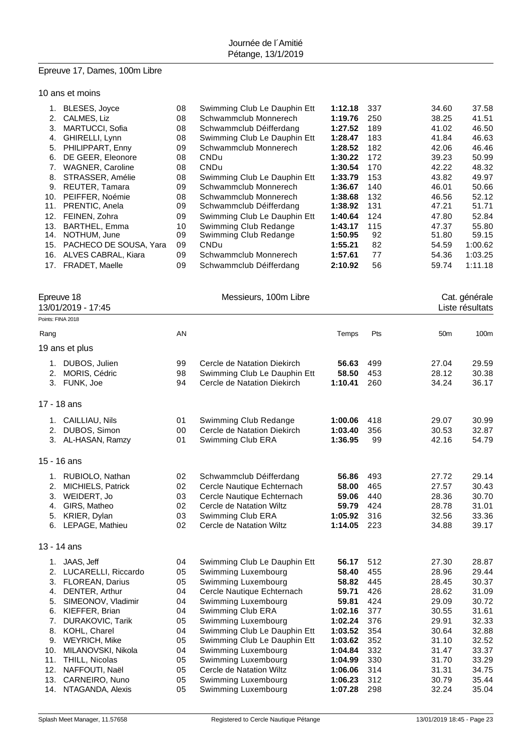# Epreuve 17, Dames, 100m Libre

### 10 ans et moins

|     | BLESES, Joyce           | 08 | Swimming Club Le Dauphin Ett | 1:12.18 | 337 | 34.60 | 37.58   |
|-----|-------------------------|----|------------------------------|---------|-----|-------|---------|
| 2.  | CALMES, Liz             | 08 | Schwammclub Monnerech        | 1:19.76 | 250 | 38.25 | 41.51   |
| 3.  | <b>MARTUCCI, Sofia</b>  | 08 | Schwammclub Déifferdang      | 1:27.52 | 189 | 41.02 | 46.50   |
| 4.  | GHIRELLI, Lynn          | 08 | Swimming Club Le Dauphin Ett | 1:28.47 | 183 | 41.84 | 46.63   |
| 5.  | PHILIPPART, Enny        | 09 | Schwammclub Monnerech        | 1:28.52 | 182 | 42.06 | 46.46   |
| 6.  | DE GEER, Eleonore       | 08 | CNDu                         | 1:30.22 | 172 | 39.23 | 50.99   |
| 7.  | <b>WAGNER, Caroline</b> | 08 | CNDu                         | 1:30.54 | 170 | 42.22 | 48.32   |
| 8.  | STRASSER, Amélie        | 08 | Swimming Club Le Dauphin Ett | 1:33.79 | 153 | 43.82 | 49.97   |
| 9.  | REUTER, Tamara          | 09 | Schwammclub Monnerech        | 1:36.67 | 140 | 46.01 | 50.66   |
| 10. | PEIFFER, Noémie         | 08 | Schwammclub Monnerech        | 1:38.68 | 132 | 46.56 | 52.12   |
| 11. | PRENTIC, Anela          | 09 | Schwammclub Déifferdang      | 1:38.92 | 131 | 47.21 | 51.71   |
| 12. | FEINEN, Zohra           | 09 | Swimming Club Le Dauphin Ett | 1:40.64 | 124 | 47.80 | 52.84   |
| 13. | <b>BARTHEL, Emma</b>    | 10 | Swimming Club Redange        | 1:43.17 | 115 | 47.37 | 55.80   |
| 14. | NOTHUM, June            | 09 | Swimming Club Redange        | 1:50.95 | 92  | 51.80 | 59.15   |
| 15. | PACHECO DE SOUSA, Yara  | 09 | CNDu                         | 1:55.21 | 82  | 54.59 | 1:00.62 |
| 16. | ALVES CABRAL, Kiara     | 09 | Schwammclub Monnerech        | 1:57.61 | 77  | 54.36 | 1:03.25 |
| 17. | <b>FRADET, Maelle</b>   | 09 | Schwammclub Déifferdang      | 2:10.92 | 56  | 59.74 | 1:11.18 |
|     |                         |    |                              |         |     |       |         |

| Epreuve 18<br>13/01/2019 - 17:45 |                          |    | Messieurs, 100m Libre        |         |     | Cat. générale<br>Liste résultats |       |  |
|----------------------------------|--------------------------|----|------------------------------|---------|-----|----------------------------------|-------|--|
|                                  | Points: FINA 2018        |    |                              |         |     |                                  |       |  |
| Rang                             |                          | AN |                              | Temps   | Pts | 50m                              | 100m  |  |
|                                  | 19 ans et plus           |    |                              |         |     |                                  |       |  |
|                                  | 1. DUBOS, Julien         | 99 | Cercle de Natation Diekirch  | 56.63   | 499 | 27.04                            | 29.59 |  |
| 2.                               | MORIS, Cédric            | 98 | Swimming Club Le Dauphin Ett | 58.50   | 453 | 28.12                            | 30.38 |  |
|                                  | 3. FUNK, Joe             | 94 | Cercle de Natation Diekirch  | 1:10.41 | 260 | 34.24                            | 36.17 |  |
|                                  | 17 - 18 ans              |    |                              |         |     |                                  |       |  |
|                                  | 1. CAILLIAU, Nils        | 01 | Swimming Club Redange        | 1:00.06 | 418 | 29.07                            | 30.99 |  |
|                                  | 2. DUBOS, Simon          | 00 | Cercle de Natation Diekirch  | 1:03.40 | 356 | 30.53                            | 32.87 |  |
|                                  | 3. AL-HASAN, Ramzy       | 01 | Swimming Club ERA            | 1:36.95 | 99  | 42.16                            | 54.79 |  |
|                                  | $15 - 16$ ans            |    |                              |         |     |                                  |       |  |
|                                  | 1. RUBIOLO, Nathan       | 02 | Schwammclub Déifferdang      | 56.86   | 493 | 27.72                            | 29.14 |  |
| 2.                               | <b>MICHIELS, Patrick</b> | 02 | Cercle Nautique Echternach   | 58.00   | 465 | 27.57                            | 30.43 |  |
|                                  | 3. WEIDERT, Jo           | 03 | Cercle Nautique Echternach   | 59.06   | 440 | 28.36                            | 30.70 |  |
| 4.                               | GIRS, Matheo             | 02 | Cercle de Natation Wiltz     | 59.79   | 424 | 28.78                            | 31.01 |  |
|                                  | 5. KRIER, Dylan          | 03 | Swimming Club ERA            | 1:05.92 | 316 | 32.56                            | 33.36 |  |
|                                  | 6. LEPAGE, Mathieu       | 02 | Cercle de Natation Wiltz     | 1:14.05 | 223 | 34.88                            | 39.17 |  |
|                                  | 13 - 14 ans              |    |                              |         |     |                                  |       |  |
|                                  | 1. JAAS, Jeff            | 04 | Swimming Club Le Dauphin Ett | 56.17   | 512 | 27.30                            | 28.87 |  |
|                                  | 2. LUCARELLI, Riccardo   | 05 | Swimming Luxembourg          | 58.40   | 455 | 28.96                            | 29.44 |  |
|                                  | 3. FLOREAN, Darius       | 05 | Swimming Luxembourg          | 58.82   | 445 | 28.45                            | 30.37 |  |
|                                  | 4. DENTER, Arthur        | 04 | Cercle Nautique Echternach   | 59.71   | 426 | 28.62                            | 31.09 |  |
| 5.                               | SIMEONOV, Vladimir       | 04 | Swimming Luxembourg          | 59.81   | 424 | 29.09                            | 30.72 |  |
| 6.                               | KIEFFER, Brian           | 04 | Swimming Club ERA            | 1:02.16 | 377 | 30.55                            | 31.61 |  |
| 7.                               | <b>DURAKOVIC, Tarik</b>  | 05 | Swimming Luxembourg          | 1:02.24 | 376 | 29.91                            | 32.33 |  |
| 8.                               | KOHL, Charel             | 04 | Swimming Club Le Dauphin Ett | 1:03.52 | 354 | 30.64                            | 32.88 |  |
|                                  | 9. WEYRICH, Mike         | 05 | Swimming Club Le Dauphin Ett | 1:03.62 | 352 | 31.10                            | 32.52 |  |
| 10.                              | MILANOVSKI, Nikola       | 04 | Swimming Luxembourg          | 1:04.84 | 332 | 31.47                            | 33.37 |  |
|                                  | 11. THILL, Nicolas       | 05 | Swimming Luxembourg          | 1:04.99 | 330 | 31.70                            | 33.29 |  |
| 12.                              | NAFFOUTI, Naël           | 05 | Cercle de Natation Wiltz     | 1:06.06 | 314 | 31.31                            | 34.75 |  |
| 13.                              | CARNEIRO, Nuno           | 05 | Swimming Luxembourg          | 1:06.23 | 312 | 30.79                            | 35.44 |  |
| 14.                              | NTAGANDA, Alexis         | 05 | Swimming Luxembourg          | 1:07.28 | 298 | 32.24                            | 35.04 |  |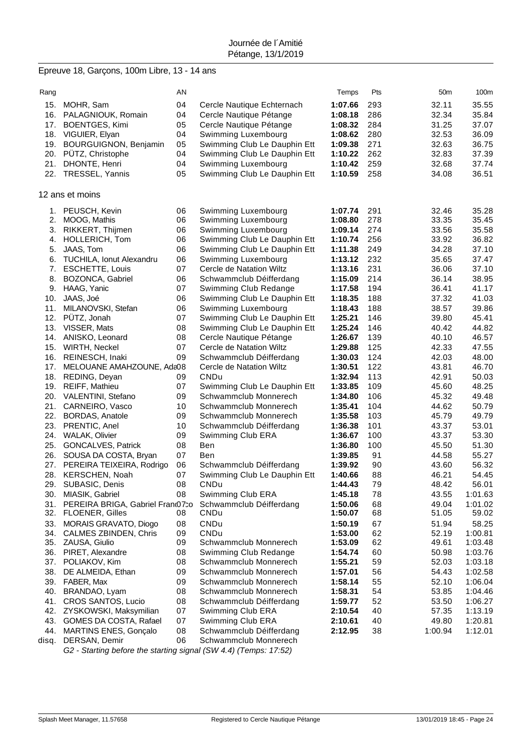# Epreuve 18, Garçons, 100m Libre, 13 - 14 ans

| Rang  |                                                                                      | AN |                              | Temps   | Pts | 50 <sub>m</sub> | 100m    |
|-------|--------------------------------------------------------------------------------------|----|------------------------------|---------|-----|-----------------|---------|
| 15.   |                                                                                      | 04 |                              | 1:07.66 | 293 | 32.11           | 35.55   |
|       | MOHR, Sam                                                                            |    | Cercle Nautique Echternach   |         |     |                 |         |
|       | 16. PALAGNIOUK, Romain                                                               | 04 | Cercle Nautique Pétange      | 1:08.18 | 286 | 32.34           | 35.84   |
| 17.   | <b>BOENTGES, Kimi</b>                                                                | 05 | Cercle Nautique Pétange      | 1:08.32 | 284 | 31.25           | 37.07   |
|       | 18. VIGUIER, Elyan                                                                   | 04 | Swimming Luxembourg          | 1:08.62 | 280 | 32.53           | 36.09   |
| 19.   | <b>BOURGUIGNON, Benjamin</b>                                                         | 05 | Swimming Club Le Dauphin Ett | 1:09.38 | 271 | 32.63           | 36.75   |
|       | 20. PÜTZ, Christophe                                                                 | 04 | Swimming Club Le Dauphin Ett | 1:10.22 | 262 | 32.83           | 37.39   |
| 21.   | DHONTE, Henri                                                                        | 04 | Swimming Luxembourg          | 1:10.42 | 259 | 32.68           | 37.74   |
|       | 22. TRESSEL, Yannis                                                                  | 05 | Swimming Club Le Dauphin Ett | 1:10.59 | 258 | 34.08           | 36.51   |
|       | 12 ans et moins                                                                      |    |                              |         |     |                 |         |
|       | 1. PEUSCH, Kevin                                                                     | 06 | Swimming Luxembourg          | 1:07.74 | 291 | 32.46           | 35.28   |
| 2.    | MOOG, Mathis                                                                         | 06 | Swimming Luxembourg          | 1:08.80 | 278 | 33.35           | 35.45   |
| 3.    | RIKKERT, Thijmen                                                                     | 06 | Swimming Luxembourg          | 1:09.14 | 274 | 33.56           | 35.58   |
| 4.    | HOLLERICH, Tom                                                                       | 06 | Swimming Club Le Dauphin Ett | 1:10.74 | 256 | 33.92           | 36.82   |
| 5.    | JAAS, Tom                                                                            | 06 | Swimming Club Le Dauphin Ett | 1:11.38 | 249 | 34.28           | 37.10   |
| 6.    | TUCHILA, Ionut Alexandru                                                             | 06 | Swimming Luxembourg          | 1:13.12 | 232 | 35.65           | 37.47   |
| 7.    | <b>ESCHETTE, Louis</b>                                                               | 07 | Cercle de Natation Wiltz     | 1:13.16 | 231 | 36.06           | 37.10   |
| 8.    | BOZONCA, Gabriel                                                                     | 06 | Schwammclub Déifferdang      | 1:15.09 | 214 | 36.14           | 38.95   |
| 9.    | HAAG, Yanic                                                                          | 07 | Swimming Club Redange        | 1:17.58 | 194 | 36.41           | 41.17   |
| 10.   | JAAS, Joé                                                                            | 06 | Swimming Club Le Dauphin Ett | 1:18.35 | 188 | 37.32           | 41.03   |
| 11.   | MILANOVSKI, Stefan                                                                   | 06 | Swimming Luxembourg          | 1:18.43 | 188 | 38.57           | 39.86   |
| 12.   | PÜTZ, Jonah                                                                          | 07 | Swimming Club Le Dauphin Ett | 1:25.21 | 146 | 39.80           | 45.41   |
|       | 13. VISSER, Mats                                                                     | 08 | Swimming Club Le Dauphin Ett | 1:25.24 | 146 | 40.42           | 44.82   |
|       | 14. ANISKO, Leonard                                                                  | 08 | Cercle Nautique Pétange      | 1:26.67 | 139 | 40.10           | 46.57   |
| 15.   | WIRTH, Neckel                                                                        | 07 | Cercle de Natation Wiltz     | 1:29.88 | 125 | 42.33           | 47.55   |
| 16.   | REINESCH, Inaki                                                                      | 09 | Schwammclub Déifferdang      | 1:30.03 | 124 | 42.03           | 48.00   |
| 17.   | MELOUANE AMAHZOUNE, Ada08                                                            |    | Cercle de Natation Wiltz     | 1:30.51 | 122 | 43.81           | 46.70   |
|       | 18. REDING, Deyan                                                                    | 09 | <b>CNDu</b>                  | 1:32.94 | 113 | 42.91           | 50.03   |
| 19.   | REIFF, Mathieu                                                                       | 07 | Swimming Club Le Dauphin Ett | 1:33.85 | 109 | 45.60           | 48.25   |
|       | 20. VALENTINI, Stefano                                                               | 09 | Schwammclub Monnerech        | 1:34.80 | 106 | 45.32           | 49.48   |
|       | 21. CARNEIRO, Vasco                                                                  | 10 | Schwammclub Monnerech        | 1:35.41 | 104 | 44.62           | 50.79   |
| 22.   | <b>BORDAS, Anatole</b>                                                               | 09 | Schwammclub Monnerech        | 1:35.58 | 103 | 45.79           | 49.79   |
| 23.   | PRENTIC, Anel                                                                        | 10 | Schwammclub Déifferdang      | 1:36.38 | 101 | 43.37           | 53.01   |
| 24.   | WALAK, Olivier                                                                       | 09 | Swimming Club ERA            | 1:36.67 | 100 | 43.37           | 53.30   |
| 25.   | <b>GONCALVES, Patrick</b>                                                            | 08 | Ben                          | 1:36.80 | 100 | 45.50           | 51.30   |
| 26.   | SOUSA DA COSTA, Bryan                                                                | 07 | Ben                          | 1:39.85 | 91  | 44.58           | 55.27   |
| 27.   | PEREIRA TEIXEIRA, Rodrigo                                                            | 06 | Schwammclub Déifferdang      | 1:39.92 | 90  | 43.60           | 56.32   |
|       | 28. KERSCHEN, Noah                                                                   | 07 | Swimming Club Le Dauphin Ett | 1:40.66 | 88  | 46.21           | 54.45   |
|       | 29. SUBASIC, Denis                                                                   | 08 | CNDu                         | 1:44.43 | 79  | 48.42           | 56.01   |
|       | 30. MIASIK, Gabriel                                                                  | 08 | Swimming Club ERA            | 1:45.18 | 78  | 43.55           | 1:01.63 |
| 31.   | PEREIRA BRIGA, Gabriel Franc07co                                                     |    | Schwammclub Déifferdang      | 1:50.06 | 68  | 49.04           | 1:01.02 |
| 32.   | <b>FLOENER, Gilles</b>                                                               | 08 | CNDu                         | 1:50.07 | 68  | 51.05           | 59.02   |
| 33.   | MORAIS GRAVATO, Diogo                                                                | 08 | CNDu                         | 1:50.19 | 67  | 51.94           | 58.25   |
| 34.   | CALMES ZBINDEN, Chris                                                                | 09 | CNDu                         | 1:53.00 | 62  | 52.19           | 1:00.81 |
| 35.   | ZAUSA, Giulio                                                                        | 09 | Schwammclub Monnerech        | 1:53.09 | 62  | 49.61           | 1:03.48 |
| 36.   | PIRET, Alexandre                                                                     | 08 | Swimming Club Redange        | 1:54.74 | 60  | 50.98           | 1:03.76 |
| 37.   | POLIAKOV, Kim                                                                        | 08 | Schwammclub Monnerech        | 1:55.21 | 59  | 52.03           | 1:03.18 |
| 38.   | DE ALMEIDA, Ethan                                                                    | 09 | Schwammclub Monnerech        | 1:57.01 | 56  | 54.43           | 1:02.58 |
| 39.   |                                                                                      | 09 | Schwammclub Monnerech        | 1:58.14 | 55  | 52.10           | 1:06.04 |
| 40.   | FABER, Max<br>BRANDAO, Lyam                                                          | 08 | Schwammclub Monnerech        | 1:58.31 | 54  | 53.85           | 1:04.46 |
|       |                                                                                      | 08 |                              |         |     |                 |         |
| 41.   | CROS SANTOS, Lucio                                                                   |    | Schwammclub Déifferdang      | 1:59.77 | 52  | 53.50           | 1:06.27 |
| 42.   | ZYSKOWSKI, Maksymilian                                                               | 07 | Swimming Club ERA            | 2:10.54 | 40  | 57.35           | 1:13.19 |
| 43.   | GOMES DA COSTA, Rafael                                                               | 07 | Swimming Club ERA            | 2:10.61 | 40  | 49.80           | 1:20.81 |
| 44.   | MARTINS ENES, Gonçalo                                                                | 08 | Schwammclub Déifferdang      | 2:12.95 | 38  | 1:00.94         | 1:12.01 |
| disq. | DERSAN, Demir<br>$C2$ Storting before the eterting eignal $(911/4.4)$ (Tempe: 17:52) | 06 | Schwammclub Monnerech        |         |     |                 |         |

*G2 - Starting before the starting signal (SW 4.4) (Temps: 17:52)*